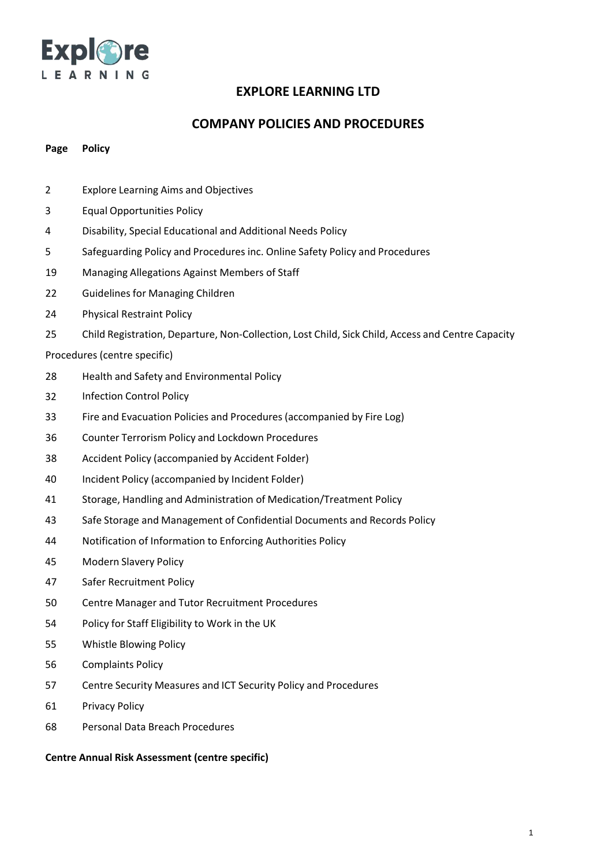

## **COMPANY POLICIES AND PROCEDURES**

#### **Page Policy**

- Explore Learning Aims and Objectives
- Equal Opportunities Policy
- Disability, Special Educational and Additional Needs Policy
- Safeguarding Policy and Procedures inc. Online Safety Policy and Procedures
- Managing Allegations Against Members of Staff
- Guidelines for Managing Children
- Physical Restraint Policy
- Child Registration, Departure, Non-Collection, Lost Child, Sick Child, Access and Centre Capacity

#### Procedures (centre specific)

- Health and Safety and Environmental Policy
- Infection Control Policy
- Fire and Evacuation Policies and Procedures (accompanied by Fire Log)
- Counter Terrorism Policy and Lockdown Procedures
- Accident Policy (accompanied by Accident Folder)
- Incident Policy (accompanied by Incident Folder)
- Storage, Handling and Administration of Medication/Treatment Policy
- Safe Storage and Management of Confidential Documents and Records Policy
- Notification of Information to Enforcing Authorities Policy
- Modern Slavery Policy
- Safer Recruitment Policy
- Centre Manager and Tutor Recruitment Procedures
- Policy for Staff Eligibility to Work in the UK
- Whistle Blowing Policy
- Complaints Policy
- Centre Security Measures and ICT Security Policy and Procedures
- Privacy Policy
- Personal Data Breach Procedures

**Centre Annual Risk Assessment (centre specific)**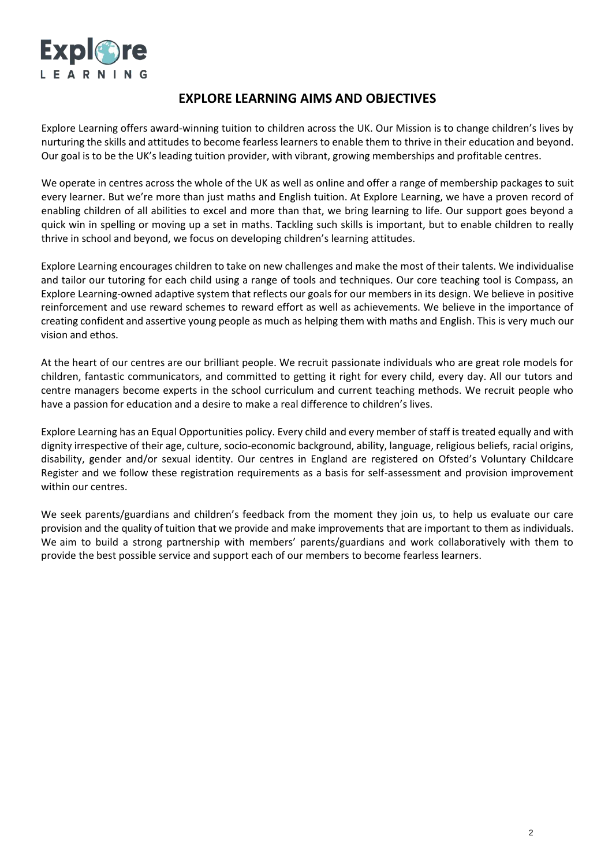

## **EXPLORE LEARNING AIMS AND OBJECTIVES**

Explore Learning offers award-winning tuition to children across the UK. Our Mission is to change children's lives by nurturing the skills and attitudes to become fearless learners to enable them to thrive in their education and beyond. Our goal is to be the UK's leading tuition provider, with vibrant, growing memberships and profitable centres.

We operate in centres across the whole of the UK as well as online and offer a range of membership packages to suit every learner. But we're more than just maths and English tuition. At Explore Learning, we have a proven record of enabling children of all abilities to excel and more than that, we bring learning to life. Our support goes beyond a quick win in spelling or moving up a set in maths. Tackling such skills is important, but to enable children to really thrive in school and beyond, we focus on developing children's learning attitudes.

Explore Learning encourages children to take on new challenges and make the most of their talents. We individualise and tailor our tutoring for each child using a range of tools and techniques. Our core teaching tool is Compass, an Explore Learning-owned adaptive system that reflects our goals for our members in its design. We believe in positive reinforcement and use reward schemes to reward effort as well as achievements. We believe in the importance of creating confident and assertive young people as much as helping them with maths and English. This is very much our vision and ethos.

At the heart of our centres are our brilliant people. We recruit passionate individuals who are great role models for children, fantastic communicators, and committed to getting it right for every child, every day. All our tutors and centre managers become experts in the school curriculum and current teaching methods. We recruit people who have a passion for education and a desire to make a real difference to children's lives.

Explore Learning has an Equal Opportunities policy. Every child and every member of staff is treated equally and with dignity irrespective of their age, culture, socio-economic background, ability, language, religious beliefs, racial origins, disability, gender and/or sexual identity. Our centres in England are registered on Ofsted's Voluntary Childcare Register and we follow these registration requirements as a basis for self-assessment and provision improvement within our centres.

We seek parents/guardians and children's feedback from the moment they join us, to help us evaluate our care provision and the quality of tuition that we provide and make improvements that are important to them as individuals. We aim to build a strong partnership with members' parents/guardians and work collaboratively with them to provide the best possible service and support each of our members to become fearless learners.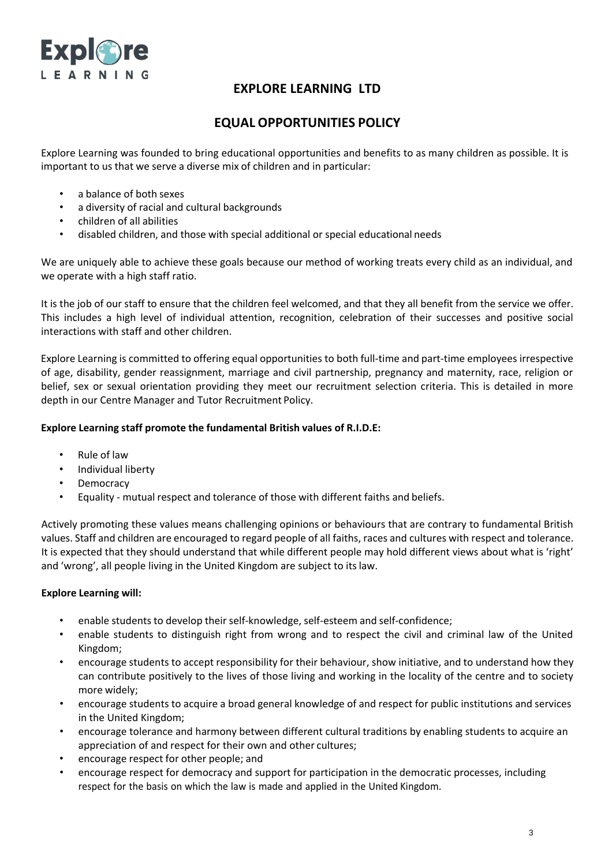

# **EQUAL OPPORTUNITIES POLICY**

Explore Learning was founded to bring educational opportunities and benefits to as many children as possible. It is important to us that we serve a diverse mix of children and in particular:

- a balance of both sexes
- a diversity of racial and cultural backgrounds
- children of all abilities
- disabled children, and those with special additional or special educational needs

We are uniquely able to achieve these goals because our method of working treats every child as an individual, and we operate with a high staff ratio.

It is the job of our staff to ensure that the children feel welcomed, and that they all benefit from the service we offer. This includes a high level of individual attention, recognition, celebration of their successes and positive social interactions with staff and other children.

Explore Learning is committed to offering equal opportunities to both full-time and part-time employees irrespective of age, disability, gender reassignment, marriage and civil partnership, pregnancy and maternity, race, religion or belief, sex or sexual orientation providing they meet our recruitment selection criteria. This is detailed in more depth in our Centre Manager and Tutor Recruitment Policy.

### **Explore Learning staff promote the fundamental British values of R.I.D.E:**

- Rule of law
- Individual liberty
- Democracy
- Equality mutual respect and tolerance of those with different faiths and beliefs.

Actively promoting these values means challenging opinions or behaviours that are contrary to fundamental British values. Staff and children are encouraged to regard people of all faiths, races and cultures with respect and tolerance. It is expected that they should understand that while different people may hold different views about what is 'right' and 'wrong', all people living in the United Kingdom are subject to itslaw.

#### **Explore Learning will:**

- enable students to develop their self-knowledge, self-esteem and self-confidence;
- enable students to distinguish right from wrong and to respect the civil and criminal law of the United Kingdom;
- encourage students to accept responsibility for their behaviour, show initiative, and to understand how they can contribute positively to the lives of those living and working in the locality of the centre and to society more widely;
- encourage students to acquire a broad general knowledge of and respect for public institutions and services in the United Kingdom;
- encourage tolerance and harmony between different cultural traditions by enabling students to acquire an appreciation of and respect for their own and other cultures;
- encourage respect for other people; and
- encourage respect for democracy and support for participation in the democratic processes, including respect for the basis on which the law is made and applied in the United Kingdom.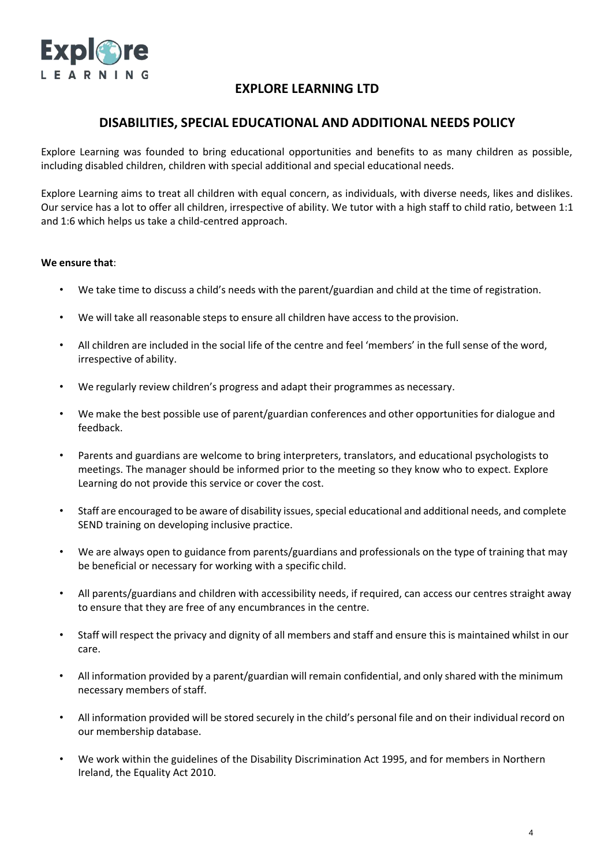

## **DISABILITIES, SPECIAL EDUCATIONAL AND ADDITIONAL NEEDS POLICY**

Explore Learning was founded to bring educational opportunities and benefits to as many children as possible, including disabled children, children with special additional and special educational needs.

Explore Learning aims to treat all children with equal concern, as individuals, with diverse needs, likes and dislikes. Our service has a lot to offer all children, irrespective of ability. We tutor with a high staff to child ratio, between 1:1 and 1:6 which helps us take a child-centred approach.

### **We ensure that**:

- We take time to discuss a child's needs with the parent/guardian and child at the time of registration.
- We will take all reasonable steps to ensure all children have access to the provision.
- All children are included in the social life of the centre and feel 'members' in the full sense of the word, irrespective of ability.
- We regularly review children's progress and adapt their programmes as necessary.
- We make the best possible use of parent/guardian conferences and other opportunities for dialogue and feedback.
- Parents and guardians are welcome to bring interpreters, translators, and educational psychologists to meetings. The manager should be informed prior to the meeting so they know who to expect. Explore Learning do not provide this service or cover the cost.
- Staff are encouraged to be aware of disability issues, special educational and additional needs, and complete SEND training on developing inclusive practice.
- We are always open to guidance from parents/guardians and professionals on the type of training that may be beneficial or necessary for working with a specific child.
- All parents/guardians and children with accessibility needs, if required, can access our centres straight away to ensure that they are free of any encumbrances in the centre.
- Staff will respect the privacy and dignity of all members and staff and ensure this is maintained whilst in our care.
- All information provided by a parent/guardian will remain confidential, and only shared with the minimum necessary members of staff.
- All information provided will be stored securely in the child's personal file and on their individual record on our membership database.
- We work within the guidelines of the Disability Discrimination Act 1995, and for members in Northern Ireland, the Equality Act 2010.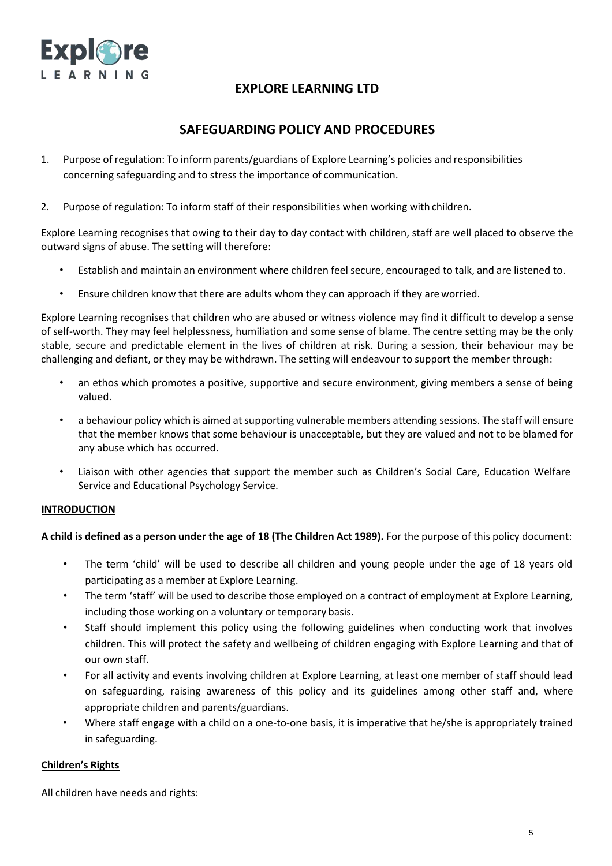

## **SAFEGUARDING POLICY AND PROCEDURES**

- 1. Purpose of regulation: To inform parents/guardians of Explore Learning's policies and responsibilities concerning safeguarding and to stress the importance of communication.
- 2. Purpose of regulation: To inform staff of their responsibilities when working with children.

Explore Learning recognises that owing to their day to day contact with children, staff are well placed to observe the outward signs of abuse. The setting will therefore:

- Establish and maintain an environment where children feel secure, encouraged to talk, and are listened to.
- Ensure children know that there are adults whom they can approach if they areworried.

Explore Learning recognises that children who are abused or witness violence may find it difficult to develop a sense of self-worth. They may feel helplessness, humiliation and some sense of blame. The centre setting may be the only stable, secure and predictable element in the lives of children at risk. During a session, their behaviour may be challenging and defiant, or they may be withdrawn. The setting will endeavour to support the member through:

- an ethos which promotes a positive, supportive and secure environment, giving members a sense of being valued.
- a behaviour policy which is aimed at supporting vulnerable members attending sessions. The staff will ensure that the member knows that some behaviour is unacceptable, but they are valued and not to be blamed for any abuse which has occurred.
- Liaison with other agencies that support the member such as Children's Social Care, Education Welfare Service and Educational Psychology Service.

#### **INTRODUCTION**

A child is defined as a person under the age of 18 (The Children Act 1989). For the purpose of this policy document:

- The term 'child' will be used to describe all children and young people under the age of 18 years old participating as a member at Explore Learning.
- The term 'staff' will be used to describe those employed on a contract of employment at Explore Learning, including those working on a voluntary or temporary basis.
- Staff should implement this policy using the following guidelines when conducting work that involves children. This will protect the safety and wellbeing of children engaging with Explore Learning and that of our own staff.
- For all activity and events involving children at Explore Learning, at least one member of staff should lead on safeguarding, raising awareness of this policy and its guidelines among other staff and, where appropriate children and parents/guardians.
- Where staff engage with a child on a one-to-one basis, it is imperative that he/she is appropriately trained in safeguarding.

## **Children's Rights**

All children have needs and rights: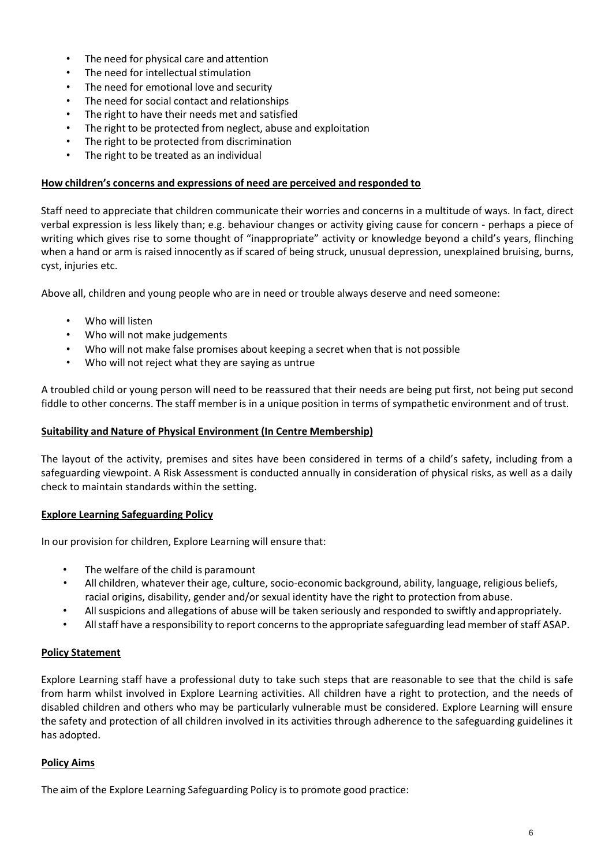- The need for physical care and attention
- The need for intellectual stimulation
- The need for emotional love and security
- The need for social contact and relationships
- The right to have their needs met and satisfied
- The right to be protected from neglect, abuse and exploitation
- The right to be protected from discrimination
- The right to be treated as an individual

### **How children's concerns and expressions of need are perceived and responded to**

Staff need to appreciate that children communicate their worries and concerns in a multitude of ways. In fact, direct verbal expression is less likely than; e.g. behaviour changes or activity giving cause for concern - perhaps a piece of writing which gives rise to some thought of "inappropriate" activity or knowledge beyond a child's years, flinching when a hand or arm is raised innocently as if scared of being struck, unusual depression, unexplained bruising, burns, cyst, injuries etc.

Above all, children and young people who are in need or trouble always deserve and need someone:

- Who will listen
- Who will not make judgements
- Who will not make false promises about keeping a secret when that is not possible
- Who will not reject what they are saying as untrue

A troubled child or young person will need to be reassured that their needs are being put first, not being put second fiddle to other concerns. The staff member is in a unique position in terms of sympathetic environment and of trust.

### **Suitability and Nature of Physical Environment (In Centre Membership)**

The layout of the activity, premises and sites have been considered in terms of a child's safety, including from a safeguarding viewpoint. A Risk Assessment is conducted annually in consideration of physical risks, as well as a daily check to maintain standards within the setting.

#### **Explore Learning Safeguarding Policy**

In our provision for children, Explore Learning will ensure that:

- The welfare of the child is paramount
- All children, whatever their age, culture, socio-economic background, ability, language, religious beliefs, racial origins, disability, gender and/or sexual identity have the right to protection from abuse.
- All suspicions and allegations of abuse will be taken seriously and responded to swiftly andappropriately.
- All staff have a responsibility to report concerns to the appropriate safeguarding lead member of staff ASAP.

## **Policy Statement**

Explore Learning staff have a professional duty to take such steps that are reasonable to see that the child is safe from harm whilst involved in Explore Learning activities. All children have a right to protection, and the needs of disabled children and others who may be particularly vulnerable must be considered. Explore Learning will ensure the safety and protection of all children involved in its activities through adherence to the safeguarding guidelines it has adopted.

## **Policy Aims**

The aim of the Explore Learning Safeguarding Policy is to promote good practice: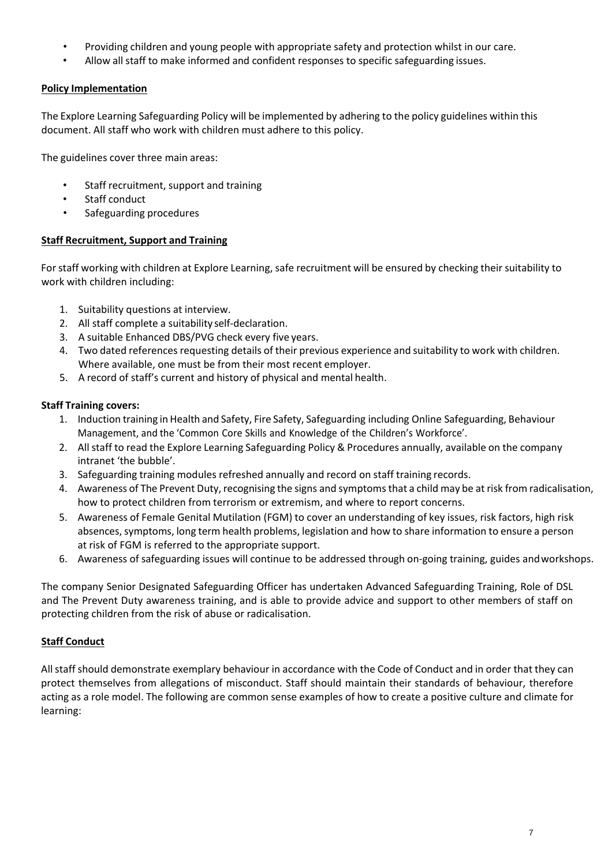- Providing children and young people with appropriate safety and protection whilst in our care.
- Allow all staff to make informed and confident responses to specific safeguarding issues.

## **Policy Implementation**

The Explore Learning Safeguarding Policy will be implemented by adhering to the policy guidelines within this document. All staff who work with children must adhere to this policy.

The guidelines cover three main areas:

- Staff recruitment, support and training
- Staff conduct
- Safeguarding procedures

## **Staff Recruitment, Support and Training**

For staff working with children at Explore Learning, safe recruitment will be ensured by checking their suitability to work with children including:

- 1. Suitability questions at interview.
- 2. All staff complete a suitability self-declaration.
- 3. A suitable Enhanced DBS/PVG check every five years.
- 4. Two dated references requesting details of their previous experience and suitability to work with children. Where available, one must be from their most recent employer.
- 5. A record of staff's current and history of physical and mental health.

## **Staff Training covers:**

- 1. Induction training in Health and Safety, Fire Safety, Safeguarding including Online Safeguarding, Behaviour Management, and the 'Common Core Skills and Knowledge of the Children's Workforce'.
- 2. Allstaff to read the Explore Learning Safeguarding Policy & Procedures annually, available on the company intranet 'the bubble'.
- 3. Safeguarding training modules refreshed annually and record on staff training records.
- 4. Awareness of The Prevent Duty, recognising the signs and symptomsthat a child may be at risk from radicalisation, how to protect children from terrorism or extremism, and where to report concerns.
- 5. Awareness of Female Genital Mutilation (FGM) to cover an understanding of key issues, risk factors, high risk absences, symptoms, long term health problems, legislation and how to share information to ensure a person at risk of FGM is referred to the appropriate support.
- 6. Awareness of safeguarding issues will continue to be addressed through on-going training, guides andworkshops.

The company Senior Designated Safeguarding Officer has undertaken Advanced Safeguarding Training, Role of DSL and The Prevent Duty awareness training, and is able to provide advice and support to other members of staff on protecting children from the risk of abuse or radicalisation.

## **Staff Conduct**

All staff should demonstrate exemplary behaviour in accordance with the Code of Conduct and in order that they can protect themselves from allegations of misconduct. Staff should maintain their standards of behaviour, therefore acting as a role model. The following are common sense examples of how to create a positive culture and climate for learning: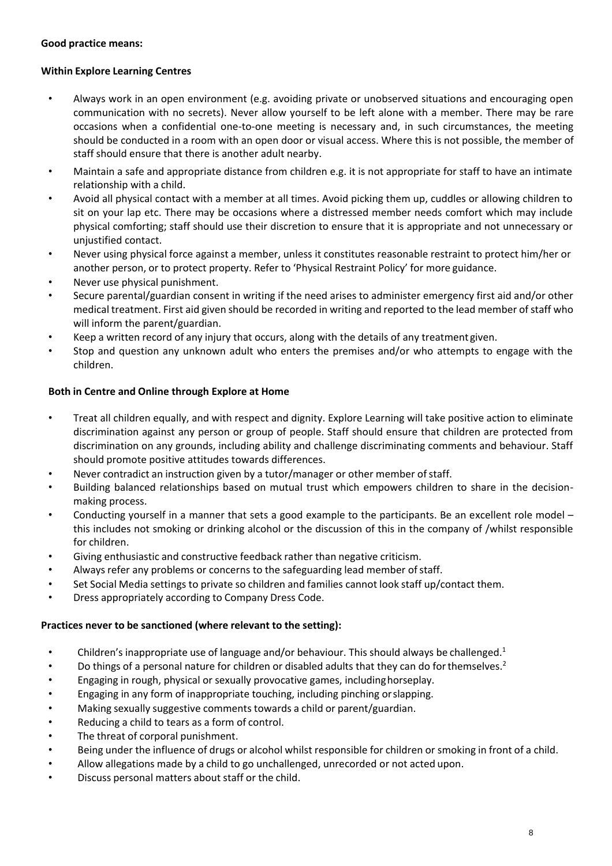### **Good practice means:**

### **Within Explore Learning Centres**

- Always work in an open environment (e.g. avoiding private or unobserved situations and encouraging open communication with no secrets). Never allow yourself to be left alone with a member. There may be rare occasions when a confidential one-to-one meeting is necessary and, in such circumstances, the meeting should be conducted in a room with an open door or visual access. Where this is not possible, the member of staff should ensure that there is another adult nearby.
- Maintain a safe and appropriate distance from children e.g. it is not appropriate for staff to have an intimate relationship with a child.
- Avoid all physical contact with a member at all times. Avoid picking them up, cuddles or allowing children to sit on your lap etc. There may be occasions where a distressed member needs comfort which may include physical comforting; staff should use their discretion to ensure that it is appropriate and not unnecessary or unjustified contact.
- Never using physical force against a member, unless it constitutes reasonable restraint to protect him/her or another person, or to protect property. Refer to 'Physical Restraint Policy' for more guidance.
- Never use physical punishment.
- Secure parental/guardian consent in writing if the need arises to administer emergency first aid and/or other medical treatment. First aid given should be recorded in writing and reported to the lead member ofstaff who will inform the parent/guardian.
- Keep a written record of any injury that occurs, along with the details of any treatment given.
- Stop and question any unknown adult who enters the premises and/or who attempts to engage with the children.

### **Both in Centre and Online through Explore at Home**

- Treat all children equally, and with respect and dignity. Explore Learning will take positive action to eliminate discrimination against any person or group of people. Staff should ensure that children are protected from discrimination on any grounds, including ability and challenge discriminating comments and behaviour. Staff should promote positive attitudes towards differences.
- Never contradict an instruction given by a tutor/manager or other member of staff.
- Building balanced relationships based on mutual trust which empowers children to share in the decisionmaking process.
- Conducting yourself in a manner that sets a good example to the participants. Be an excellent role model this includes not smoking or drinking alcohol or the discussion of this in the company of /whilst responsible for children.
- Giving enthusiastic and constructive feedback rather than negative criticism.
- Always refer any problems or concerns to the safeguarding lead member ofstaff.
- Set Social Media settings to private so children and families cannot look staff up/contact them.
- Dress appropriately according to Company Dress Code.

#### **Practices never to be sanctioned (where relevant to the setting):**

- Children's inappropriate use of language and/or behaviour. This should always be challenged. $1$
- Do things of a personal nature for children or disabled adults that they can do for themselves.<sup>2</sup>
- Engaging in rough, physical or sexually provocative games, includinghorseplay.
- Engaging in any form of inappropriate touching, including pinching orslapping.
- Making sexually suggestive comments towards a child or parent/guardian.
- Reducing a child to tears as a form of control.
- The threat of corporal punishment.
- Being under the influence of drugs or alcohol whilst responsible for children or smoking in front of a child.
- Allow allegations made by a child to go unchallenged, unrecorded or not acted upon.
- Discuss personal matters about staff or the child.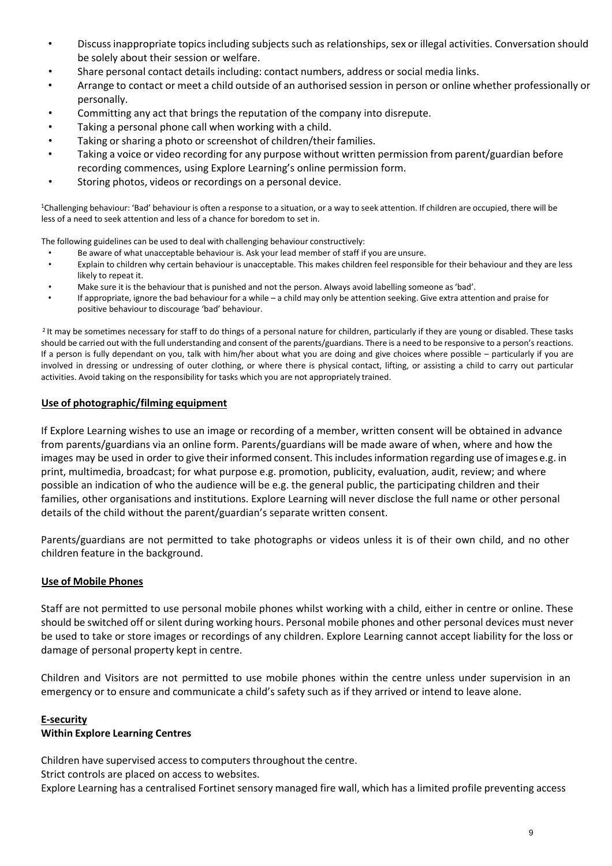- Discussinappropriate topicsincluding subjects such as relationships,sex or illegal activities. Conversation should be solely about their session or welfare.
- Share personal contact details including: contact numbers, address or social media links.
- Arrange to contact or meet a child outside of an authorised session in person or online whether professionally or personally.
- Committing any act that brings the reputation of the company into disrepute.
- Taking a personal phone call when working with a child.
- Taking or sharing a photo or screenshot of children/their families.
- Taking a voice or video recording for any purpose without written permission from parent/guardian before recording commences, using Explore Learning's online permission form.
- Storing photos, videos or recordings on a personal device.

<sup>1</sup>Challenging behaviour: 'Bad' behaviour is often a response to a situation, or a way to seek attention. If children are occupied, there will be less of a need to seek attention and less of a chance for boredom to set in.

The following guidelines can be used to deal with challenging behaviour constructively:

- Be aware of what unacceptable behaviour is. Ask your lead member of staff if you are unsure.
- Explain to children why certain behaviour is unacceptable. This makes children feel responsible for their behaviour and they are less likely to repeat it.
- Make sure it is the behaviour that is punished and not the person. Always avoid labelling someone as'bad'.
- If appropriate, ignore the bad behaviour for a while a child may only be attention seeking. Give extra attention and praise for positive behaviour to discourage 'bad' behaviour.

<sup>2</sup> It may be sometimes necessary for staff to do things of a personal nature for children, particularly if they are young or disabled. These tasks should be carried out with the full understanding and consent of the parents/guardians. There is a need to be responsive to a person's reactions. If a person is fully dependant on you, talk with him/her about what you are doing and give choices where possible – particularly if you are involved in dressing or undressing of outer clothing, or where there is physical contact, lifting, or assisting a child to carry out particular activities. Avoid taking on the responsibility for tasks which you are not appropriately trained.

#### **Use of photographic/filming equipment**

If Explore Learning wishes to use an image or recording of a member, written consent will be obtained in advance from parents/guardians via an online form. Parents/guardians will be made aware of when, where and how the images may be used in order to give their informed consent. This includes information regarding use of images e.g. in print, multimedia, broadcast; for what purpose e.g. promotion, publicity, evaluation, audit, review; and where possible an indication of who the audience will be e.g. the general public, the participating children and their families, other organisations and institutions. Explore Learning will never disclose the full name or other personal details of the child without the parent/guardian's separate written consent.

Parents/guardians are not permitted to take photographs or videos unless it is of their own child, and no other children feature in the background.

#### **Use of Mobile Phones**

Staff are not permitted to use personal mobile phones whilst working with a child, either in centre or online. These should be switched off or silent during working hours. Personal mobile phones and other personal devices must never be used to take or store images or recordings of any children. Explore Learning cannot accept liability for the loss or damage of personal property kept in centre.

Children and Visitors are not permitted to use mobile phones within the centre unless under supervision in an emergency or to ensure and communicate a child's safety such as if they arrived or intend to leave alone.

#### **E-security**

#### **Within Explore Learning Centres**

Children have supervised access to computers throughout the centre.

Strict controls are placed on access to websites.

Explore Learning has a centralised Fortinet sensory managed fire wall, which has a limited profile preventing access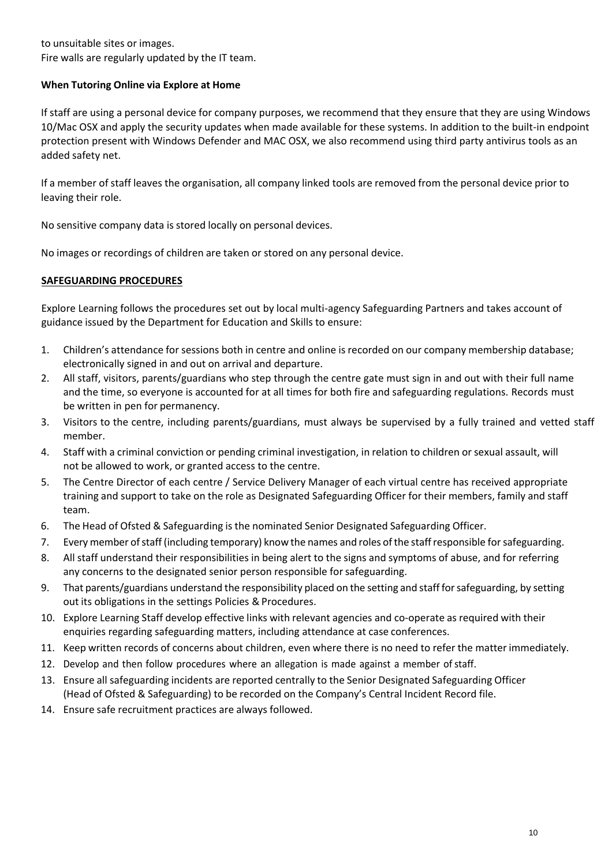to unsuitable sites or images. Fire walls are regularly updated by the IT team.

## **When Tutoring Online via Explore at Home**

If staff are using a personal device for company purposes, we recommend that they ensure that they are using Windows 10/Mac OSX and apply the security updates when made available for these systems. In addition to the built-in endpoint protection present with Windows Defender and MAC OSX, we also recommend using third party antivirus tools as an added safety net.

If a member of staff leaves the organisation, all company linked tools are removed from the personal device prior to leaving their role.

No sensitive company data is stored locally on personal devices.

No images or recordings of children are taken or stored on any personal device.

## **SAFEGUARDING PROCEDURES**

Explore Learning follows the procedures set out by local multi-agency Safeguarding Partners and takes account of guidance issued by the Department for Education and Skills to ensure:

- 1. Children's attendance for sessions both in centre and online is recorded on our company membership database; electronically signed in and out on arrival and departure.
- 2. All staff, visitors, parents/guardians who step through the centre gate must sign in and out with their full name and the time, so everyone is accounted for at all times for both fire and safeguarding regulations. Records must be written in pen for permanency.
- 3. Visitors to the centre, including parents/guardians, must always be supervised by a fully trained and vetted staff member.
- 4. Staff with a criminal conviction or pending criminal investigation, in relation to children or sexual assault, will not be allowed to work, or granted access to the centre.
- 5. The Centre Director of each centre / Service Delivery Manager of each virtual centre has received appropriate training and support to take on the role as Designated Safeguarding Officer for their members, family and staff team.
- 6. The Head of Ofsted & Safeguarding is the nominated Senior Designated Safeguarding Officer.
- 7. Every member ofstaff (including temporary) know the names and roles ofthe staffresponsible forsafeguarding.
- 8. All staff understand their responsibilities in being alert to the signs and symptoms of abuse, and for referring any concerns to the designated senior person responsible for safeguarding.
- 9. That parents/guardians understand the responsibility placed on the setting and staff forsafeguarding, by setting out its obligations in the settings Policies & Procedures.
- 10. Explore Learning Staff develop effective links with relevant agencies and co-operate as required with their enquiries regarding safeguarding matters, including attendance at case conferences.
- 11. Keep written records of concerns about children, even where there is no need to refer the matterimmediately.
- 12. Develop and then follow procedures where an allegation is made against a member ofstaff.
- 13. Ensure all safeguarding incidents are reported centrally to the Senior Designated Safeguarding Officer (Head of Ofsted & Safeguarding) to be recorded on the Company's Central Incident Record file.
- 14. Ensure safe recruitment practices are always followed.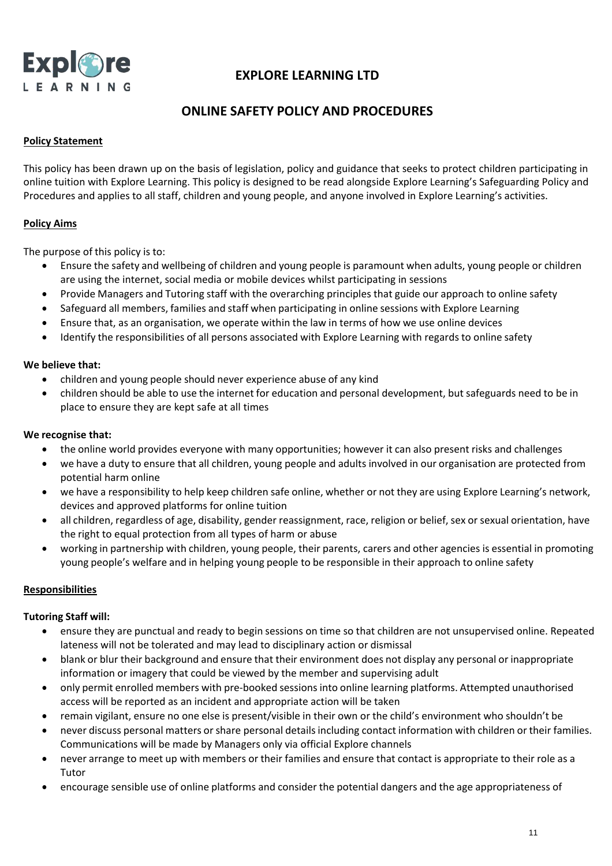

# **ONLINE SAFETY POLICY AND PROCEDURES**

### **Policy Statement**

This policy has been drawn up on the basis of legislation, policy and guidance that seeks to protect children participating in online tuition with Explore Learning. This policy is designed to be read alongside Explore Learning's Safeguarding Policy and Procedures and applies to all staff, children and young people, and anyone involved in Explore Learning's activities.

### **Policy Aims**

The purpose of this policy is to:

- Ensure the safety and wellbeing of children and young people is paramount when adults, young people or children are using the internet, social media or mobile devices whilst participating in sessions
- Provide Managers and Tutoring staff with the overarching principles that guide our approach to online safety
- Safeguard all members, families and staff when participating in online sessions with Explore Learning
- Ensure that, as an organisation, we operate within the law in terms of how we use online devices
- Identify the responsibilities of all persons associated with Explore Learning with regards to online safety

#### **We believe that:**

- children and young people should never experience abuse of any kind
- children should be able to use the internet for education and personal development, but safeguards need to be in place to ensure they are kept safe at all times

#### **We recognise that:**

- the online world provides everyone with many opportunities; however it can also present risks and challenges
- we have a duty to ensure that all children, young people and adults involved in our organisation are protected from potential harm online
- we have a responsibility to help keep children safe online, whether or not they are using Explore Learning's network, devices and approved platforms for online tuition
- all children, regardless of age, disability, gender reassignment, race, religion or belief, sex or sexual orientation, have the right to equal protection from all types of harm or abuse
- working in partnership with children, young people, their parents, carers and other agencies is essential in promoting young people's welfare and in helping young people to be responsible in their approach to online safety

#### **Responsibilities**

#### **Tutoring Staff will:**

- ensure they are punctual and ready to begin sessions on time so that children are not unsupervised online. Repeated lateness will not be tolerated and may lead to disciplinary action or dismissal
- blank or blur their background and ensure that their environment does not display any personal or inappropriate information or imagery that could be viewed by the member and supervising adult
- only permit enrolled members with pre-booked sessionsinto online learning platforms. Attempted unauthorised access will be reported as an incident and appropriate action will be taken
- remain vigilant, ensure no one else is present/visible in their own or the child's environment who shouldn't be
- never discuss personal matters orshare personal detailsincluding contact information with children or their families. Communications will be made by Managers only via official Explore channels
- never arrange to meet up with members or their families and ensure that contact is appropriate to their role as a Tutor
- encourage sensible use of online platforms and consider the potential dangers and the age appropriateness of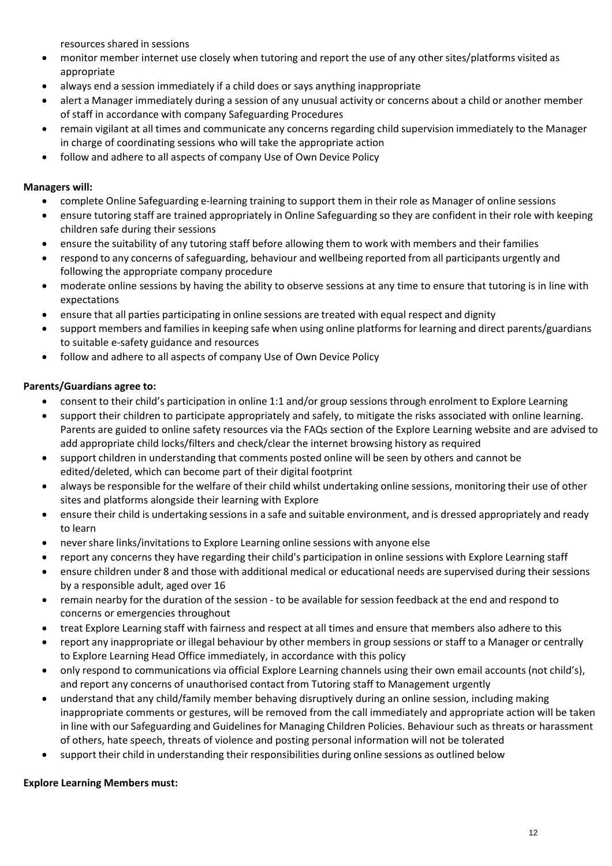resources shared in sessions

- monitor member internet use closely when tutoring and report the use of any other sites/platforms visited as appropriate
- always end a session immediately if a child does or says anything inappropriate
- alert a Manager immediately during a session of any unusual activity or concerns about a child or another member of staff in accordance with company Safeguarding Procedures
- remain vigilant at all times and communicate any concerns regarding child supervision immediately to the Manager in charge of coordinating sessions who will take the appropriate action
- follow and adhere to all aspects of company Use of Own Device Policy

## **Managers will:**

- complete Online Safeguarding e-learning training to support them in their role as Manager of online sessions
- ensure tutoring staff are trained appropriately in Online Safeguarding so they are confident in their role with keeping children safe during their sessions
- ensure the suitability of any tutoring staff before allowing them to work with members and their families
- respond to any concerns of safeguarding, behaviour and wellbeing reported from all participants urgently and following the appropriate company procedure
- moderate online sessions by having the ability to observe sessions at any time to ensure that tutoring is in line with expectations
- ensure that all parties participating in online sessions are treated with equal respect and dignity
- support members and families in keeping safe when using online platforms for learning and direct parents/guardians to suitable e-safety guidance and resources
- follow and adhere to all aspects of company Use of Own Device Policy

## **Parents/Guardians agree to:**

- consent to their child's participation in online 1:1 and/or group sessions through enrolment to Explore Learning
- support their children to participate appropriately and safely, to mitigate the risks associated with online learning. Parents are guided to online safety resources via the FAQs section of the Explore Learning website and are advised to add appropriate child locks/filters and check/clear the internet browsing history as required
- support children in understanding that comments posted online will be seen by others and cannot be edited/deleted, which can become part of their digital footprint
- always be responsible for the welfare of their child whilst undertaking online sessions, monitoring their use of other sites and platforms alongside their learning with Explore
- ensure their child is undertaking sessions in a safe and suitable environment, and is dressed appropriately and ready to learn
- nevershare links/invitations to Explore Learning online sessions with anyone else
- report any concerns they have regarding their child's participation in online sessions with Explore Learning staff
- ensure children under 8 and those with additional medical or educational needs are supervised during their sessions by a responsible adult, aged over 16
- remain nearby for the duration of the session to be available for session feedback at the end and respond to concerns or emergencies throughout
- treat Explore Learning staff with fairness and respect at all times and ensure that members also adhere to this
- report any inappropriate or illegal behaviour by other members in group sessions or staff to a Manager or centrally to Explore Learning Head Office immediately, in accordance with this policy
- only respond to communications via official Explore Learning channels using their own email accounts (not child's), and report any concerns of unauthorised contact from Tutoring staff to Management urgently
- understand that any child/family member behaving disruptively during an online session, including making inappropriate comments or gestures, will be removed from the call immediately and appropriate action will be taken in line with our Safeguarding and Guidelines for Managing Children Policies. Behaviour such as threats or harassment of others, hate speech, threats of violence and posting personal information will not be tolerated
- support their child in understanding their responsibilities during online sessions as outlined below

## **Explore Learning Members must:**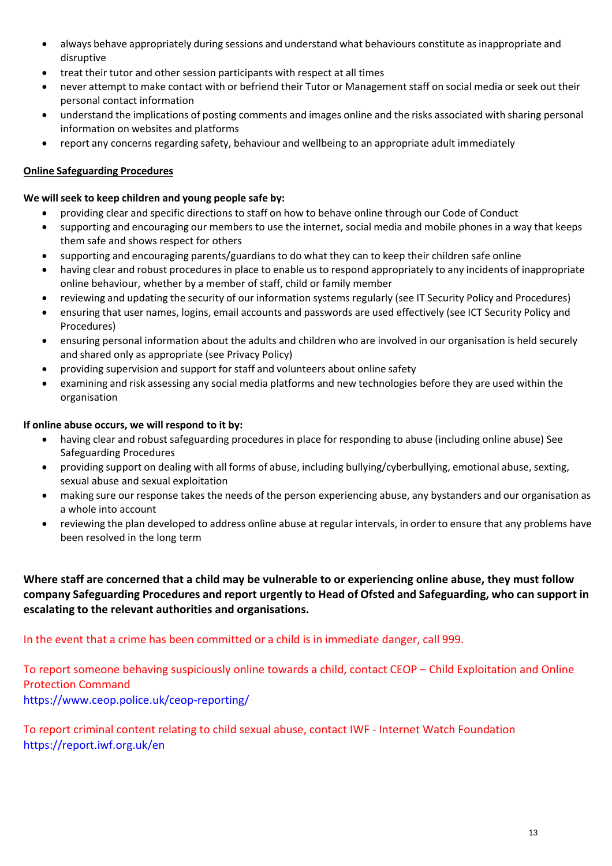- always behave appropriately during sessions and understand what behaviours constitute asinappropriate and disruptive
- treat their tutor and other session participants with respect at all times
- never attempt to make contact with or befriend their Tutor or Management staff on social media or seek out their personal contact information
- understand the implications of posting comments and images online and the risks associated with sharing personal information on websites and platforms
- report any concerns regarding safety, behaviour and wellbeing to an appropriate adult immediately

## **Online Safeguarding Procedures**

### **We will seek to keep children and young people safe by:**

- providing clear and specific directions to staff on how to behave online through our Code of Conduct
- supporting and encouraging our members to use the internet, social media and mobile phones in a way that keeps them safe and shows respect for others
- supporting and encouraging parents/guardians to do what they can to keep their children safe online
- having clear and robust procedures in place to enable us to respond appropriately to any incidents of inappropriate online behaviour, whether by a member of staff, child or family member
- reviewing and updating the security of our information systems regularly (see IT Security Policy and Procedures)
- ensuring that user names, logins, email accounts and passwords are used effectively (see ICT Security Policy and Procedures)
- ensuring personal information about the adults and children who are involved in our organisation is held securely and shared only as appropriate (see Privacy Policy)
- providing supervision and support for staff and volunteers about online safety
- examining and risk assessing any social media platforms and new technologies before they are used within the organisation

## **If online abuse occurs, we will respond to it by:**

- having clear and robust safeguarding procedures in place for responding to abuse (including online abuse) See Safeguarding Procedures
- providing support on dealing with all forms of abuse, including bullying/cyberbullying, emotional abuse, sexting, sexual abuse and sexual exploitation
- making sure our response takes the needs of the person experiencing abuse, any bystanders and our organisation as a whole into account
- reviewing the plan developed to address online abuse at regular intervals, in order to ensure that any problems have been resolved in the long term

**Where staff are concerned that a child may be vulnerable to or experiencing online abuse, they must follow company Safeguarding Procedures and report urgently to Head of Ofsted and Safeguarding, who can support in escalating to the relevant authorities and organisations.**

## In the event that a crime has been committed or a child is in immediate danger, call 999.

To report someone behaving suspiciously online towards a child, contact CEOP – Child Exploitation and Online Protection Command <https://www.ceop.police.uk/ceop-reporting/>

To report criminal content relating to child sexual abuse, contact IWF - Internet Watch Foundation <https://report.iwf.org.uk/en>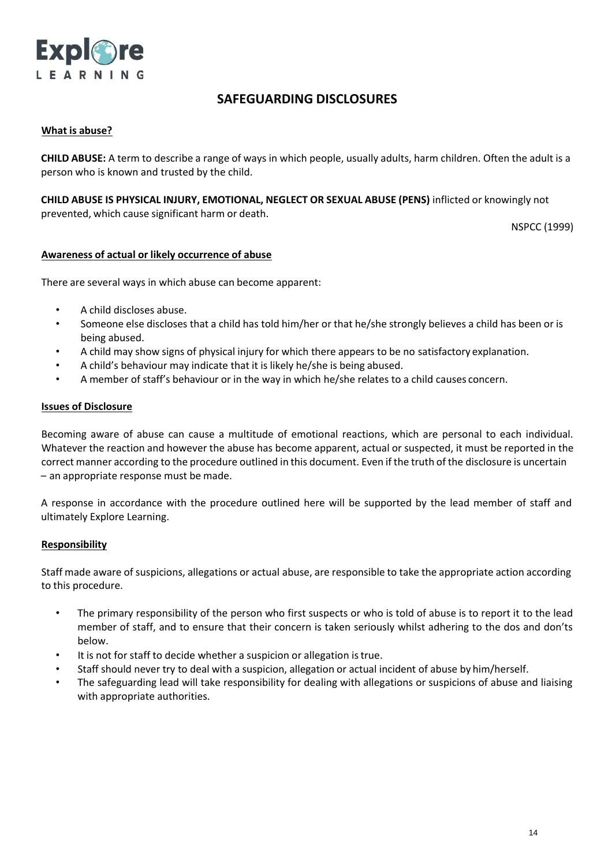

## **SAFEGUARDING DISCLOSURES**

### **What is abuse?**

**CHILD ABUSE:** A term to describe a range of ways in which people, usually adults, harm children. Often the adult is a person who is known and trusted by the child.

**CHILD ABUSE IS PHYSICAL INJURY, EMOTIONAL, NEGLECT OR SEXUAL ABUSE (PENS)** inflicted or knowingly not prevented, which cause significant harm or death.

NSPCC (1999)

#### **Awareness of actual or likely occurrence of abuse**

There are several ways in which abuse can become apparent:

- A child discloses abuse.
- Someone else discloses that a child has told him/her or that he/she strongly believes a child has been or is being abused.
- A child may show signs of physical injury for which there appears to be no satisfactory explanation.
- A child's behaviour may indicate that it is likely he/she is being abused.
- A member of staff's behaviour or in the way in which he/she relates to a child causes concern.

#### **Issues of Disclosure**

Becoming aware of abuse can cause a multitude of emotional reactions, which are personal to each individual. Whatever the reaction and however the abuse has become apparent, actual or suspected, it must be reported in the correct manner according to the procedure outlined in this document. Even if the truth of the disclosure is uncertain – an appropriate response must be made.

A response in accordance with the procedure outlined here will be supported by the lead member of staff and ultimately Explore Learning.

#### **Responsibility**

Staff made aware of suspicions, allegations or actual abuse, are responsible to take the appropriate action according to this procedure.

- The primary responsibility of the person who first suspects or who is told of abuse is to report it to the lead member of staff, and to ensure that their concern is taken seriously whilst adhering to the dos and don'ts below.
- It is not for staff to decide whether a suspicion or allegation istrue.
- Staff should never try to deal with a suspicion, allegation or actual incident of abuse by him/herself.
- The safeguarding lead will take responsibility for dealing with allegations or suspicions of abuse and liaising with appropriate authorities.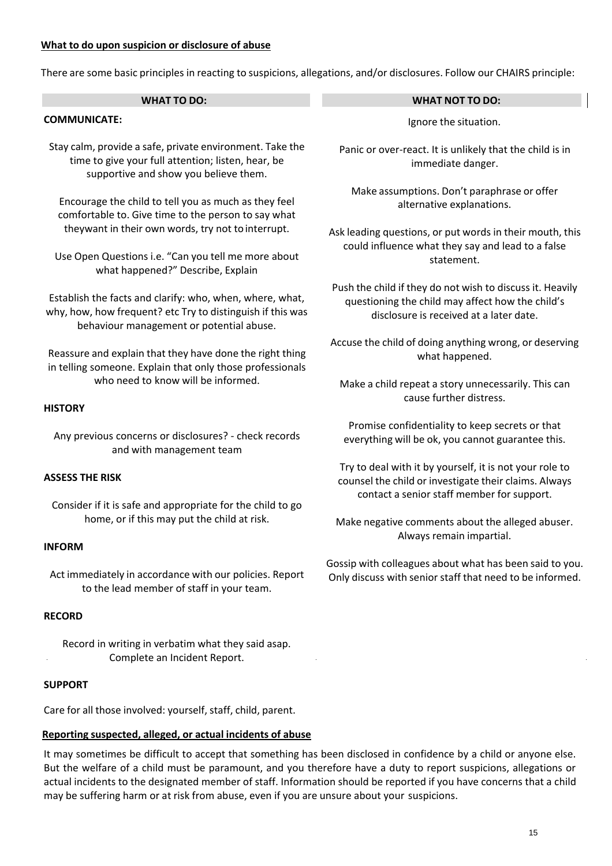### **What to do upon suspicion or disclosure of abuse**

There are some basic principles in reacting to suspicions, allegations, and/or disclosures. Follow our CHAIRS principle:

| <b>WHAT TO DO:</b>                                                                                                                                                                                                                                                                                                                                             | <b>WHAT NOT TO DO:</b>                                                                                                                                         |  |
|----------------------------------------------------------------------------------------------------------------------------------------------------------------------------------------------------------------------------------------------------------------------------------------------------------------------------------------------------------------|----------------------------------------------------------------------------------------------------------------------------------------------------------------|--|
| <b>COMMUNICATE:</b>                                                                                                                                                                                                                                                                                                                                            | Ignore the situation.                                                                                                                                          |  |
| Stay calm, provide a safe, private environment. Take the<br>time to give your full attention; listen, hear, be<br>supportive and show you believe them.                                                                                                                                                                                                        | Panic or over-react. It is unlikely that the child is in<br>immediate danger.                                                                                  |  |
| Encourage the child to tell you as much as they feel<br>comfortable to. Give time to the person to say what                                                                                                                                                                                                                                                    | Make assumptions. Don't paraphrase or offer<br>alternative explanations.                                                                                       |  |
| theywant in their own words, try not to interrupt.                                                                                                                                                                                                                                                                                                             | Ask leading questions, or put words in their mouth, this<br>could influence what they say and lead to a false                                                  |  |
| Use Open Questions i.e. "Can you tell me more about<br>what happened?" Describe, Explain                                                                                                                                                                                                                                                                       | statement.                                                                                                                                                     |  |
| Establish the facts and clarify: who, when, where, what,<br>why, how, how frequent? etc Try to distinguish if this was<br>behaviour management or potential abuse.                                                                                                                                                                                             | Push the child if they do not wish to discuss it. Heavily<br>questioning the child may affect how the child's<br>disclosure is received at a later date.       |  |
| Reassure and explain that they have done the right thing<br>in telling someone. Explain that only those professionals                                                                                                                                                                                                                                          | Accuse the child of doing anything wrong, or deserving<br>what happened.                                                                                       |  |
| who need to know will be informed.                                                                                                                                                                                                                                                                                                                             | Make a child repeat a story unnecessarily. This can<br>cause further distress.                                                                                 |  |
| <b>HISTORY</b>                                                                                                                                                                                                                                                                                                                                                 |                                                                                                                                                                |  |
| Any previous concerns or disclosures? - check records<br>and with management team                                                                                                                                                                                                                                                                              | Promise confidentiality to keep secrets or that<br>everything will be ok, you cannot guarantee this.                                                           |  |
| <b>ASSESS THE RISK</b>                                                                                                                                                                                                                                                                                                                                         | Try to deal with it by yourself, it is not your role to<br>counsel the child or investigate their claims. Always<br>contact a senior staff member for support. |  |
| Consider if it is safe and appropriate for the child to go<br>home, or if this may put the child at risk.                                                                                                                                                                                                                                                      | Make negative comments about the alleged abuser.                                                                                                               |  |
| <b>INFORM</b>                                                                                                                                                                                                                                                                                                                                                  | Always remain impartial.                                                                                                                                       |  |
| Act immediately in accordance with our policies. Report<br>to the lead member of staff in your team.                                                                                                                                                                                                                                                           | Gossip with colleagues about what has been said to you.<br>Only discuss with senior staff that need to be informed.                                            |  |
| <b>RECORD</b>                                                                                                                                                                                                                                                                                                                                                  |                                                                                                                                                                |  |
| Record in writing in verbatim what they said asap.<br>Complete an Incident Report.                                                                                                                                                                                                                                                                             |                                                                                                                                                                |  |
| <b>SUPPORT</b>                                                                                                                                                                                                                                                                                                                                                 |                                                                                                                                                                |  |
| Care for all those involved: yourself, staff, child, parent.                                                                                                                                                                                                                                                                                                   |                                                                                                                                                                |  |
| Reporting suspected, alleged, or actual incidents of abuse                                                                                                                                                                                                                                                                                                     |                                                                                                                                                                |  |
| It may sometimes be difficult to accept that something has been disclosed in confidence by a child or anyone else.<br>But the welfare of a child must be paramount, and you therefore have a duty to report suspicions, allegations or<br>actual incidents to the designated member of staff. Information should be reported if you have concerns that a child |                                                                                                                                                                |  |

may be suffering harm or at risk from abuse, even if you are unsure about your suspicions.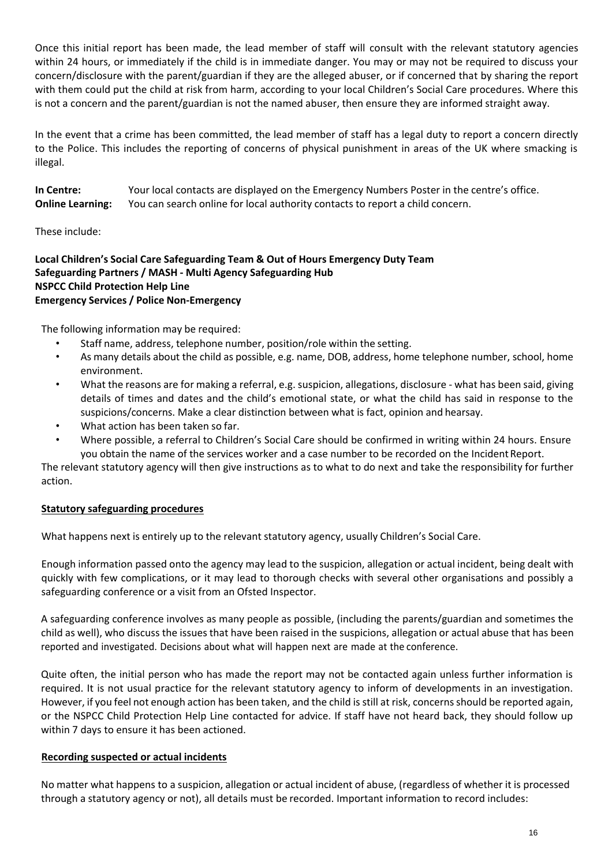Once this initial report has been made, the lead member of staff will consult with the relevant statutory agencies within 24 hours, or immediately if the child is in immediate danger. You may or may not be required to discuss your concern/disclosure with the parent/guardian if they are the alleged abuser, or if concerned that by sharing the report with them could put the child at risk from harm, according to your local Children's Social Care procedures. Where this is not a concern and the parent/guardian is not the named abuser, then ensure they are informed straight away.

In the event that a crime has been committed, the lead member of staff has a legal duty to report a concern directly to the Police. This includes the reporting of concerns of physical punishment in areas of the UK where smacking is illegal.

**In Centre:** Your local contacts are displayed on the Emergency Numbers Poster in the centre's office. **Online Learning:** You can search online for local authority contacts to report a child concern.

## These include:

## **Local Children's Social Care Safeguarding Team & Out of Hours Emergency Duty Team Safeguarding Partners / MASH - Multi Agency Safeguarding Hub NSPCC Child Protection Help Line Emergency Services / Police Non-Emergency**

The following information may be required:

- Staff name, address, telephone number, position/role within the setting.
- As many details about the child as possible, e.g. name, DOB, address, home telephone number, school, home environment.
- What the reasons are for making a referral, e.g. suspicion, allegations, disclosure what has been said, giving details of times and dates and the child's emotional state, or what the child has said in response to the suspicions/concerns. Make a clear distinction between what is fact, opinion and hearsay.
- What action has been taken so far.
- Where possible, a referral to Children's Social Care should be confirmed in writing within 24 hours. Ensure you obtain the name of the services worker and a case number to be recorded on the Incident Report.

The relevant statutory agency will then give instructions as to what to do next and take the responsibility for further action.

#### **Statutory safeguarding procedures**

What happens next is entirely up to the relevant statutory agency, usually Children's Social Care.

Enough information passed onto the agency may lead to the suspicion, allegation or actual incident, being dealt with quickly with few complications, or it may lead to thorough checks with several other organisations and possibly a safeguarding conference or a visit from an Ofsted Inspector.

A safeguarding conference involves as many people as possible, (including the parents/guardian and sometimes the child as well), who discuss the issues that have been raised in the suspicions, allegation or actual abuse that has been reported and investigated. Decisions about what will happen next are made at the conference.

Quite often, the initial person who has made the report may not be contacted again unless further information is required. It is not usual practice for the relevant statutory agency to inform of developments in an investigation. However, if you feel not enough action has been taken, and the child is still at risk, concerns should be reported again, or the NSPCC Child Protection Help Line contacted for advice. If staff have not heard back, they should follow up within 7 days to ensure it has been actioned.

#### **Recording suspected or actual incidents**

No matter what happens to a suspicion, allegation or actual incident of abuse, (regardless of whether it is processed through a statutory agency or not), all details must be recorded. Important information to record includes: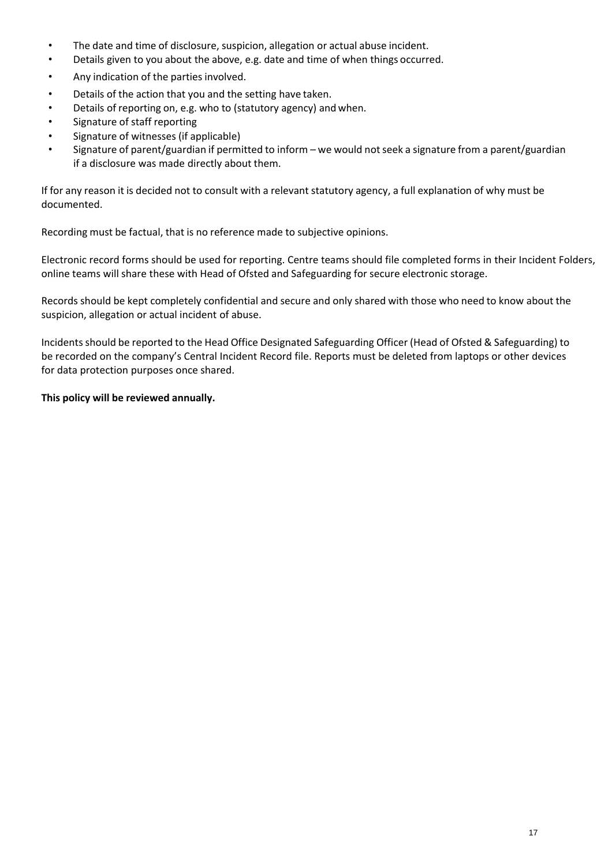- The date and time of disclosure, suspicion, allegation or actual abuse incident.
- Details given to you about the above, e.g. date and time of when things occurred.
- Any indication of the parties involved.
- Details of the action that you and the setting have taken.
- Details of reporting on, e.g. who to (statutory agency) and when.
- Signature of staff reporting
- Signature of witnesses (if applicable)
- Signature of parent/guardian if permitted to inform we would not seek a signature from a parent/guardian if a disclosure was made directly about them.

If for any reason it is decided not to consult with a relevant statutory agency, a full explanation of why must be documented.

Recording must be factual, that is no reference made to subjective opinions.

Electronic record forms should be used for reporting. Centre teams should file completed forms in their Incident Folders, online teams will share these with Head of Ofsted and Safeguarding for secure electronic storage.

Records should be kept completely confidential and secure and only shared with those who need to know about the suspicion, allegation or actual incident of abuse.

Incidentsshould be reported to the Head Office Designated Safeguarding Officer (Head of Ofsted & Safeguarding) to be recorded on the company's Central Incident Record file. Reports must be deleted from laptops or other devices for data protection purposes once shared.

### **This policy will be reviewed annually.**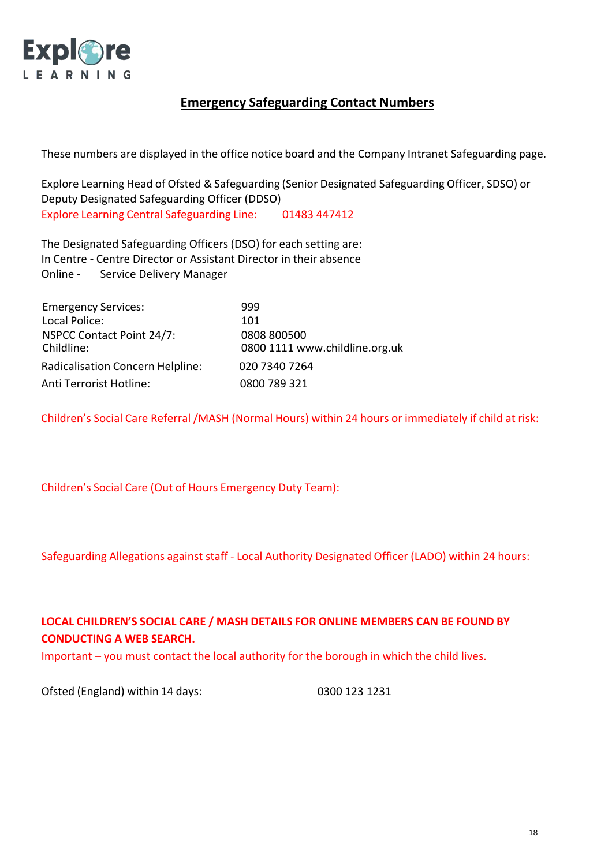

# **Emergency Safeguarding Contact Numbers**

These numbers are displayed in the office notice board and the Company Intranet Safeguarding page.

Explore Learning Head of Ofsted & Safeguarding (Senior Designated Safeguarding Officer, SDSO) or Deputy Designated Safeguarding Officer (DDSO) Explore Learning Central Safeguarding Line: 01483 447412

The Designated Safeguarding Officers (DSO) for each setting are: In Centre - Centre Director or Assistant Director in their absence Online - Service Delivery Manager

| <b>Emergency Services:</b>              | 999                            |
|-----------------------------------------|--------------------------------|
| Local Police:                           | 101                            |
| NSPCC Contact Point 24/7:               | 0808 800500                    |
| Childline:                              | 0800 1111 www.childline.org.uk |
| <b>Radicalisation Concern Helpline:</b> | 020 7340 7264                  |
| Anti Terrorist Hotline:                 | 0800 789 321                   |

Children's Social Care Referral /MASH (Normal Hours) within 24 hours or immediately if child at risk:

Children's Social Care (Out of Hours Emergency Duty Team):

Safeguarding Allegations against staff - Local Authority Designated Officer (LADO) within 24 hours:

# **LOCAL CHILDREN'S SOCIAL CARE / MASH DETAILS FOR ONLINE MEMBERS CAN BE FOUND BY CONDUCTING A WEB SEARCH.**

Important – you must contact the local authority for the borough in which the child lives.

Ofsted (England) within 14 days: 0300 123 1231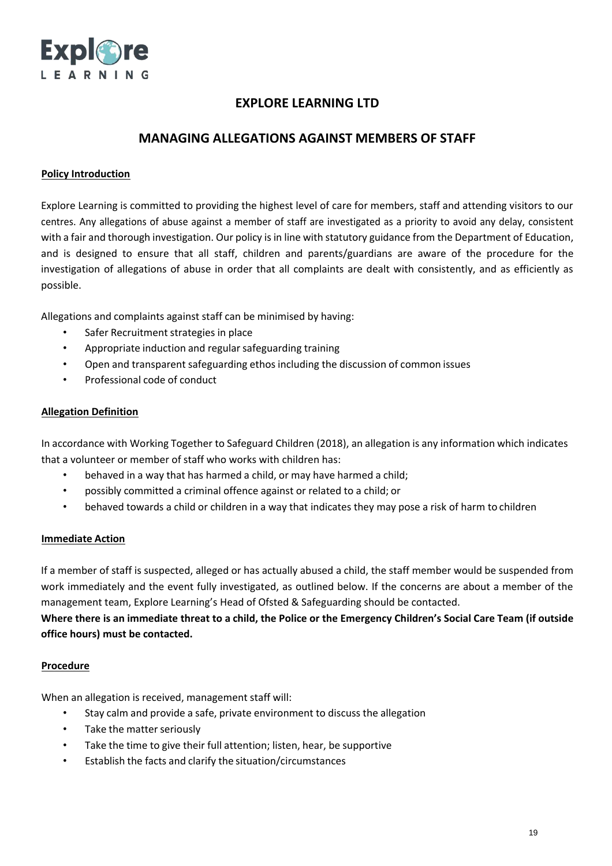

## **MANAGING ALLEGATIONS AGAINST MEMBERS OF STAFF**

### **Policy Introduction**

Explore Learning is committed to providing the highest level of care for members, staff and attending visitors to our centres. Any allegations of abuse against a member of staff are investigated as a priority to avoid any delay, consistent with a fair and thorough investigation. Our policy is in line with statutory guidance from the Department of Education, and is designed to ensure that all staff, children and parents/guardians are aware of the procedure for the investigation of allegations of abuse in order that all complaints are dealt with consistently, and as efficiently as possible.

Allegations and complaints against staff can be minimised by having:

- Safer Recruitment strategies in place
- Appropriate induction and regular safeguarding training
- Open and transparent safeguarding ethos including the discussion of common issues
- Professional code of conduct

#### **Allegation Definition**

In accordance with Working Together to Safeguard Children (2018), an allegation is any information which indicates that a volunteer or member of staff who works with children has:

- behaved in a way that has harmed a child, or may have harmed a child;
- possibly committed a criminal offence against or related to a child; or
- behaved towards a child or children in a way that indicates they may pose a risk of harm to children

#### **Immediate Action**

If a member of staff is suspected, alleged or has actually abused a child, the staff member would be suspended from work immediately and the event fully investigated, as outlined below. If the concerns are about a member of the management team, Explore Learning's Head of Ofsted & Safeguarding should be contacted.

Where there is an immediate threat to a child, the Police or the Emergency Children's Social Care Team (if outside **office hours) must be contacted.**

#### **Procedure**

When an allegation is received, management staff will:

- Stay calm and provide a safe, private environment to discuss the allegation
- Take the matter seriously
- Take the time to give their full attention; listen, hear, be supportive
- Establish the facts and clarify the situation/circumstances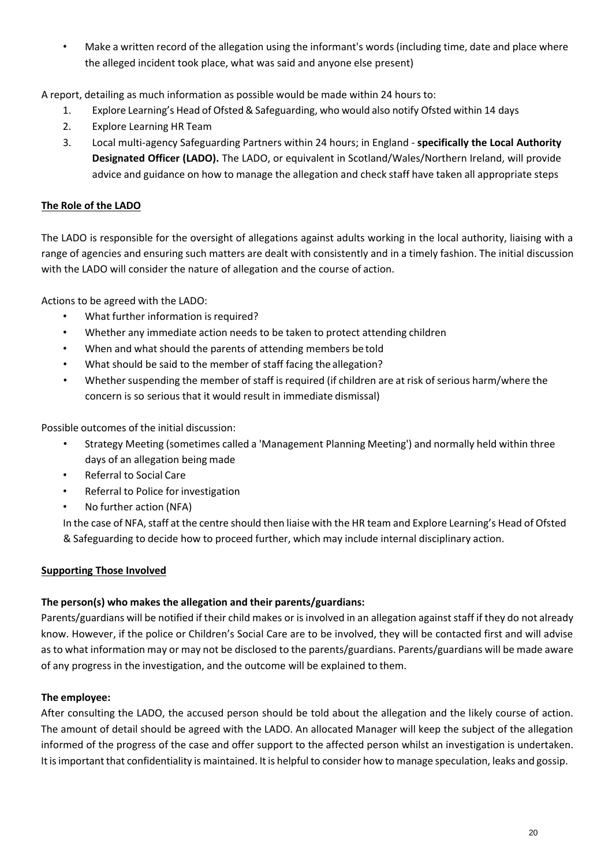• Make a written record of the allegation using the informant's words (including time, date and place where the alleged incident took place, what was said and anyone else present)

A report, detailing as much information as possible would be made within 24 hours to:

- 1. Explore Learning's Head of Ofsted& Safeguarding, who would also notify Ofsted within 14 days
- 2. Explore Learning HR Team
- 3. Local multi-agency Safeguarding Partners within 24 hours; in England **specifically the Local Authority Designated Officer (LADO).** The LADO, or equivalent in Scotland/Wales/Northern Ireland, will provide advice and guidance on how to manage the allegation and check staff have taken all appropriate steps

## **The Role of the LADO**

The LADO is responsible for the oversight of allegations against adults working in the local authority, liaising with a range of agencies and ensuring such matters are dealt with consistently and in a timely fashion. The initial discussion with the LADO will consider the nature of allegation and the course of action.

Actions to be agreed with the LADO:

- What further information is required?
- Whether any immediate action needs to be taken to protect attending children
- When and what should the parents of attending members be told
- What should be said to the member of staff facing the allegation?
- Whether suspending the member of staff isrequired (if children are at risk of serious harm/where the concern is so serious that it would result in immediate dismissal)

Possible outcomes of the initial discussion:

- Strategy Meeting (sometimes called a 'Management Planning Meeting') and normally held within three days of an allegation being made
- Referral to Social Care
- Referral to Police for investigation
- No further action (NFA)

In the case of NFA, staff at the centre should then liaise with the HR team and Explore Learning's Head of Ofsted & Safeguarding to decide how to proceed further, which may include internal disciplinary action.

## **Supporting Those Involved**

## **The person(s) who makes the allegation and their parents/guardians:**

Parents/guardians will be notified if their child makes or isinvolved in an allegation against staff if they do not already know. However, if the police or Children's Social Care are to be involved, they will be contacted first and will advise asto what information may or may not be disclosed to the parents/guardians. Parents/guardians will be made aware of any progress in the investigation, and the outcome will be explained to them.

## **The employee:**

After consulting the LADO, the accused person should be told about the allegation and the likely course of action. The amount of detail should be agreed with the LADO. An allocated Manager will keep the subject of the allegation informed of the progress of the case and offer support to the affected person whilst an investigation is undertaken. It is important that confidentiality is maintained. It is helpful to consider how to manage speculation, leaks and gossip.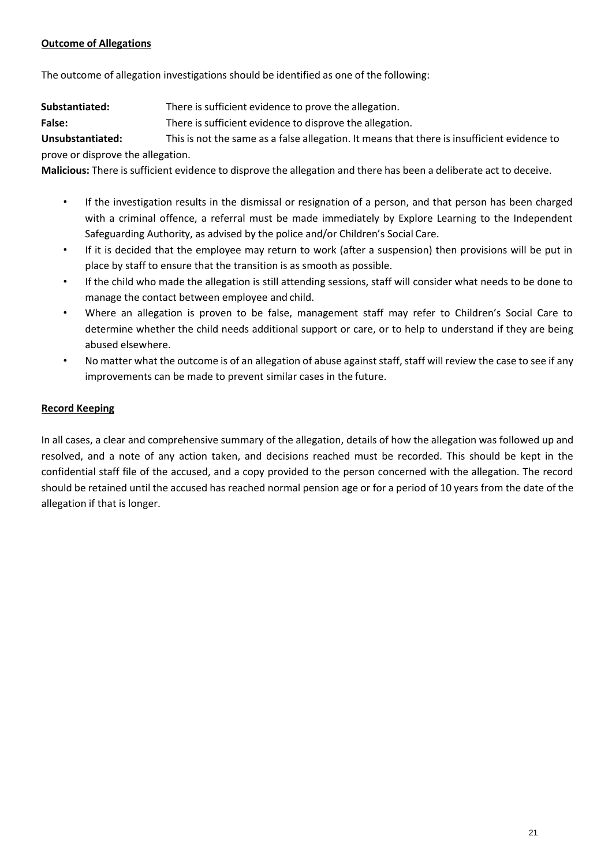## **Outcome of Allegations**

The outcome of allegation investigations should be identified as one of the following:

**Substantiated:** There is sufficient evidence to prove the allegation.

False: There is sufficient evidence to disprove the allegation.

**Unsubstantiated:** This is not the same as a false allegation. It means that there is insufficient evidence to prove or disprove the allegation.

**Malicious:** There is sufficient evidence to disprove the allegation and there has been a deliberate act to deceive.

- If the investigation results in the dismissal or resignation of a person, and that person has been charged with a criminal offence, a referral must be made immediately by Explore Learning to the Independent Safeguarding Authority, as advised by the police and/or Children's Social Care.
- If it is decided that the employee may return to work (after a suspension) then provisions will be put in place by staff to ensure that the transition is as smooth as possible.
- If the child who made the allegation is still attending sessions, staff will consider what needs to be done to manage the contact between employee and child.
- Where an allegation is proven to be false, management staff may refer to Children's Social Care to determine whether the child needs additional support or care, or to help to understand if they are being abused elsewhere.
- No matter what the outcome is of an allegation of abuse against staff, staff will review the case to see if any improvements can be made to prevent similar cases in the future.

## **Record Keeping**

In all cases, a clear and comprehensive summary of the allegation, details of how the allegation was followed up and resolved, and a note of any action taken, and decisions reached must be recorded. This should be kept in the confidential staff file of the accused, and a copy provided to the person concerned with the allegation. The record should be retained until the accused has reached normal pension age or for a period of 10 years from the date of the allegation if that is longer.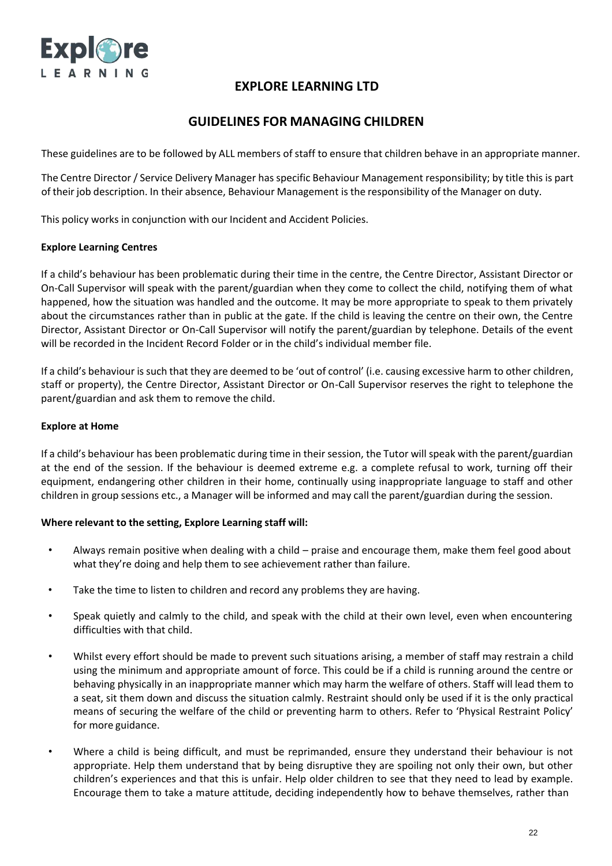

## **GUIDELINES FOR MANAGING CHILDREN**

These guidelines are to be followed by ALL members of staff to ensure that children behave in an appropriate manner.

The Centre Director / Service Delivery Manager hasspecific Behaviour Management responsibility; by title this is part of their job description. In their absence, Behaviour Management is the responsibility of the Manager on duty.

This policy works in conjunction with our Incident and Accident Policies.

### **Explore Learning Centres**

If a child's behaviour has been problematic during their time in the centre, the Centre Director, Assistant Director or On-Call Supervisor will speak with the parent/guardian when they come to collect the child, notifying them of what happened, how the situation was handled and the outcome. It may be more appropriate to speak to them privately about the circumstances rather than in public at the gate. If the child is leaving the centre on their own, the Centre Director, Assistant Director or On-Call Supervisor will notify the parent/guardian by telephone. Details of the event will be recorded in the Incident Record Folder or in the child's individual member file.

If a child's behaviour issuch that they are deemed to be 'out of control' (i.e. causing excessive harm to other children, staff or property), the Centre Director, Assistant Director or On-Call Supervisor reserves the right to telephone the parent/guardian and ask them to remove the child.

#### **Explore at Home**

If a child's behaviour has been problematic during time in their session, the Tutor will speak with the parent/guardian at the end of the session. If the behaviour is deemed extreme e.g. a complete refusal to work, turning off their equipment, endangering other children in their home, continually using inappropriate language to staff and other children in group sessions etc., a Manager will be informed and may call the parent/guardian during the session.

#### **Where relevant to the setting, Explore Learning staff will:**

- Always remain positive when dealing with a child praise and encourage them, make them feel good about what they're doing and help them to see achievement rather than failure.
- Take the time to listen to children and record any problems they are having.
- Speak quietly and calmly to the child, and speak with the child at their own level, even when encountering difficulties with that child.
- Whilst every effort should be made to prevent such situations arising, a member of staff may restrain a child using the minimum and appropriate amount of force. This could be if a child is running around the centre or behaving physically in an inappropriate manner which may harm the welfare of others. Staff will lead them to a seat, sit them down and discuss the situation calmly. Restraint should only be used if it is the only practical means of securing the welfare of the child or preventing harm to others. Refer to 'Physical Restraint Policy' for more guidance.
- Where a child is being difficult, and must be reprimanded, ensure they understand their behaviour is not appropriate. Help them understand that by being disruptive they are spoiling not only their own, but other children's experiences and that this is unfair. Help older children to see that they need to lead by example. Encourage them to take a mature attitude, deciding independently how to behave themselves, rather than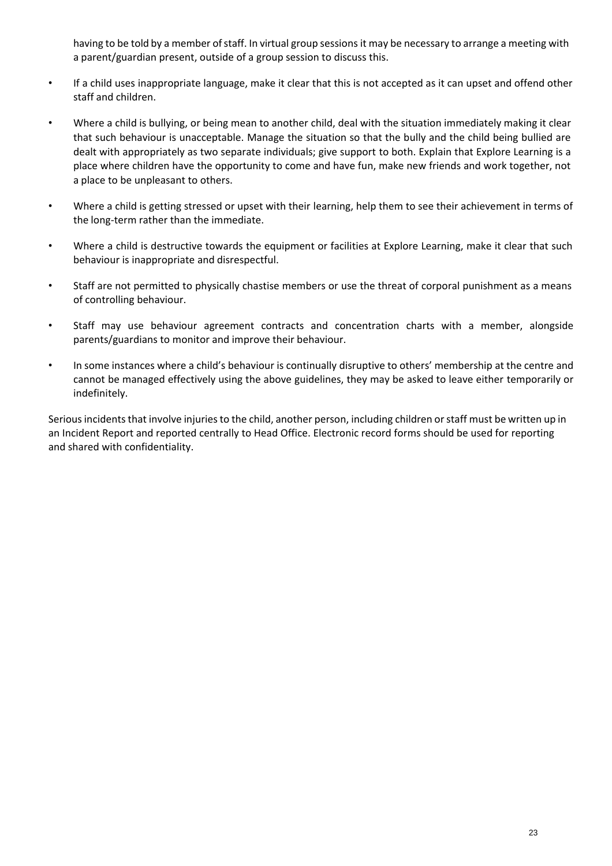having to be told by a member of staff. In virtual group sessions it may be necessary to arrange a meeting with a parent/guardian present, outside of a group session to discuss this.

- If a child uses inappropriate language, make it clear that this is not accepted as it can upset and offend other staff and children.
- Where a child is bullying, or being mean to another child, deal with the situation immediately making it clear that such behaviour is unacceptable. Manage the situation so that the bully and the child being bullied are dealt with appropriately as two separate individuals; give support to both. Explain that Explore Learning is a place where children have the opportunity to come and have fun, make new friends and work together, not a place to be unpleasant to others.
- Where a child is getting stressed or upset with their learning, help them to see their achievement in terms of the long-term rather than the immediate.
- Where a child is destructive towards the equipment or facilities at Explore Learning, make it clear that such behaviour is inappropriate and disrespectful.
- Staff are not permitted to physically chastise members or use the threat of corporal punishment as a means of controlling behaviour.
- Staff may use behaviour agreement contracts and concentration charts with a member, alongside parents/guardians to monitor and improve their behaviour.
- In some instances where a child's behaviour is continually disruptive to others' membership at the centre and cannot be managed effectively using the above guidelines, they may be asked to leave either temporarily or indefinitely.

Serious incidents that involve injuries to the child, another person, including children or staff must be written up in an Incident Report and reported centrally to Head Office. Electronic record forms should be used for reporting and shared with confidentiality.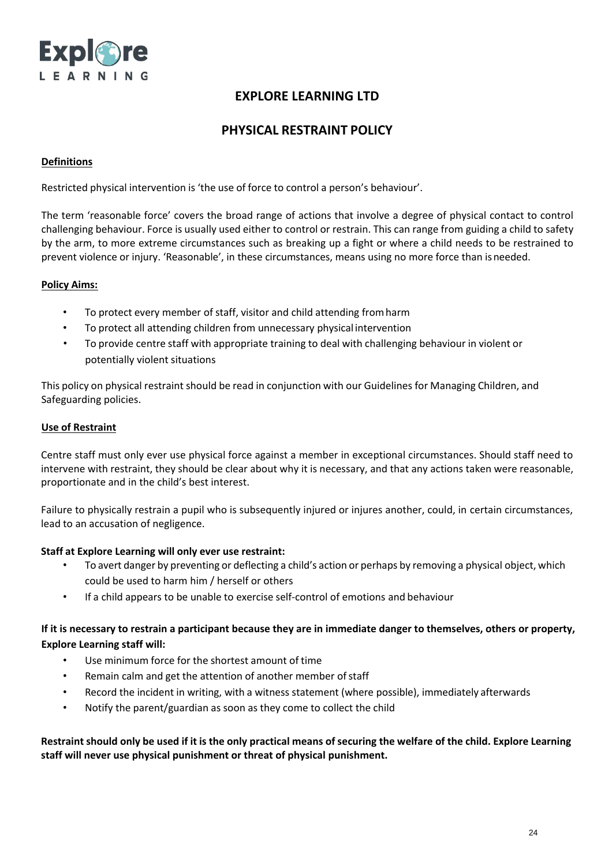

## **PHYSICAL RESTRAINT POLICY**

#### **Definitions**

Restricted physical intervention is 'the use of force to control a person's behaviour'.

The term 'reasonable force' covers the broad range of actions that involve a degree of physical contact to control challenging behaviour. Force is usually used either to control or restrain. This can range from guiding a child to safety by the arm, to more extreme circumstances such as breaking up a fight or where a child needs to be restrained to prevent violence or injury. 'Reasonable', in these circumstances, means using no more force than isneeded.

### **Policy Aims:**

- To protect every member of staff, visitor and child attending fromharm
- To protect all attending children from unnecessary physical intervention
- To provide centre staff with appropriate training to deal with challenging behaviour in violent or potentially violent situations

This policy on physical restraint should be read in conjunction with our Guidelines for Managing Children, and Safeguarding policies.

### **Use of Restraint**

Centre staff must only ever use physical force against a member in exceptional circumstances. Should staff need to intervene with restraint, they should be clear about why it is necessary, and that any actions taken were reasonable, proportionate and in the child's best interest.

Failure to physically restrain a pupil who is subsequently injured or injures another, could, in certain circumstances, lead to an accusation of negligence.

#### **Staff at Explore Learning will only ever use restraint:**

- To avert danger by preventing or deflecting a child's action or perhaps by removing a physical object, which could be used to harm him / herself or others
- If a child appears to be unable to exercise self-control of emotions and behaviour

## **If it is necessary to restrain a participant because they are in immediate danger to themselves, others or property, Explore Learning staff will:**

- Use minimum force for the shortest amount of time
- Remain calm and get the attention of another member ofstaff
- Record the incident in writing, with a witness statement (where possible), immediately afterwards
- Notify the parent/guardian as soon as they come to collect the child

Restraint should only be used if it is the only practical means of securing the welfare of the child. Explore Learning **staff will never use physical punishment or threat of physical punishment.**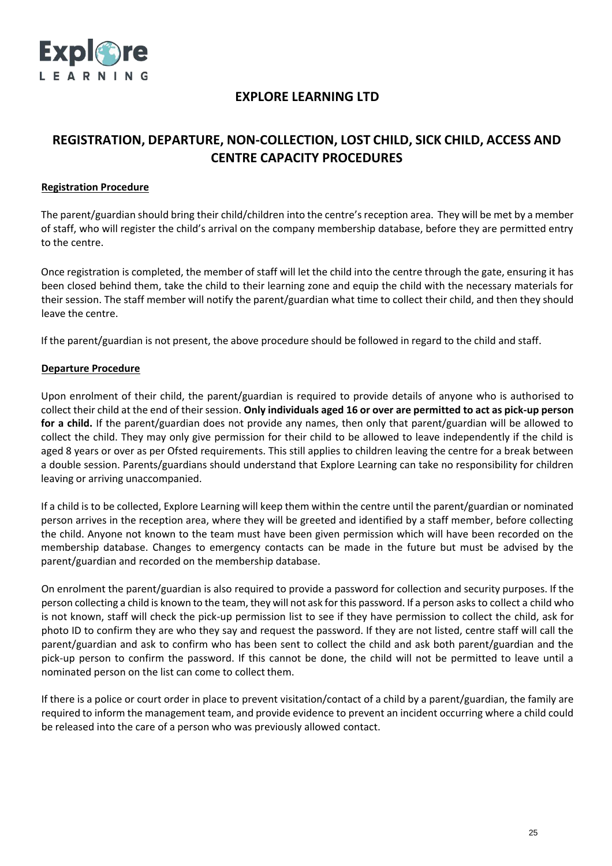

# **REGISTRATION, DEPARTURE, NON-COLLECTION, LOST CHILD, SICK CHILD, ACCESS AND CENTRE CAPACITY PROCEDURES**

### **Registration Procedure**

The parent/guardian should bring their child/children into the centre's reception area. They will be met by a member of staff, who will register the child's arrival on the company membership database, before they are permitted entry to the centre.

Once registration is completed, the member of staff will let the child into the centre through the gate, ensuring it has been closed behind them, take the child to their learning zone and equip the child with the necessary materials for their session. The staff member will notify the parent/guardian what time to collect their child, and then they should leave the centre.

If the parent/guardian is not present, the above procedure should be followed in regard to the child and staff.

### **Departure Procedure**

Upon enrolment of their child, the parent/guardian is required to provide details of anyone who is authorised to collect their child at the end of theirsession. **Only individuals aged 16 or over are permitted to act as pick-up person for a child.** If the parent/guardian does not provide any names, then only that parent/guardian will be allowed to collect the child. They may only give permission for their child to be allowed to leave independently if the child is aged 8 years or over as per Ofsted requirements. This still applies to children leaving the centre for a break between a double session. Parents/guardians should understand that Explore Learning can take no responsibility for children leaving or arriving unaccompanied.

If a child is to be collected, Explore Learning will keep them within the centre until the parent/guardian or nominated person arrives in the reception area, where they will be greeted and identified by a staff member, before collecting the child. Anyone not known to the team must have been given permission which will have been recorded on the membership database. Changes to emergency contacts can be made in the future but must be advised by the parent/guardian and recorded on the membership database.

On enrolment the parent/guardian is also required to provide a password for collection and security purposes. If the person collecting a child is known to the team, they will not ask for this password. If a person asksto collect a child who is not known, staff will check the pick-up permission list to see if they have permission to collect the child, ask for photo ID to confirm they are who they say and request the password. If they are not listed, centre staff will call the parent/guardian and ask to confirm who has been sent to collect the child and ask both parent/guardian and the pick-up person to confirm the password. If this cannot be done, the child will not be permitted to leave until a nominated person on the list can come to collect them.

If there is a police or court order in place to prevent visitation/contact of a child by a parent/guardian, the family are required to inform the management team, and provide evidence to prevent an incident occurring where a child could be released into the care of a person who was previously allowed contact.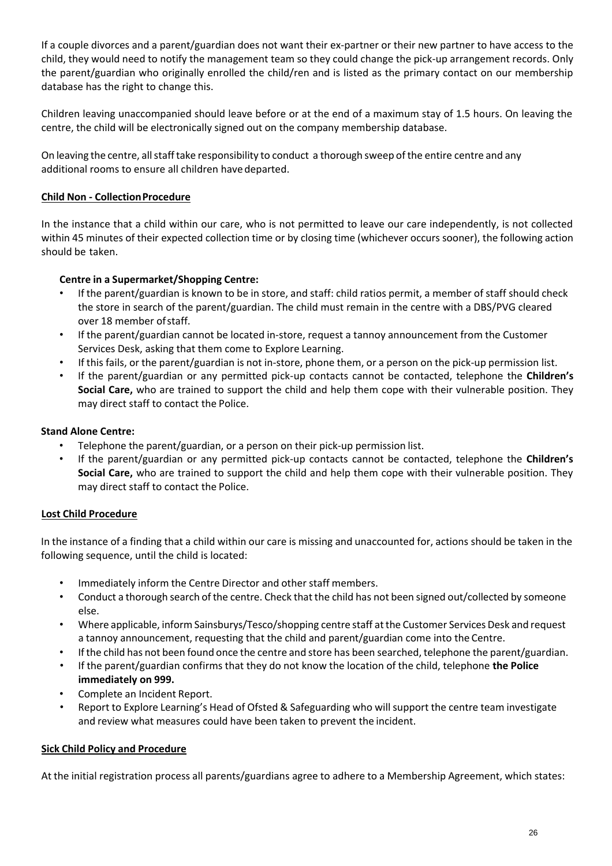If a couple divorces and a parent/guardian does not want their ex-partner or their new partner to have access to the child, they would need to notify the management team so they could change the pick-up arrangement records. Only the parent/guardian who originally enrolled the child/ren and is listed as the primary contact on our membership database has the right to change this.

Children leaving unaccompanied should leave before or at the end of a maximum stay of 1.5 hours. On leaving the centre, the child will be electronically signed out on the company membership database.

On leaving the centre, all staff take responsibility to conduct a thorough sweep of the entire centre and any additional rooms to ensure all children have departed.

## **Child Non - CollectionProcedure**

In the instance that a child within our care, who is not permitted to leave our care independently, is not collected within 45 minutes of their expected collection time or by closing time (whichever occurs sooner), the following action should be taken.

## **Centre in a Supermarket/Shopping Centre:**

- If the parent/guardian is known to be in store, and staff: child ratios permit, a member of staff should check the store in search of the parent/guardian. The child must remain in the centre with a DBS/PVG cleared over 18 member ofstaff.
- If the parent/guardian cannot be located in-store, request a tannoy announcement from the Customer Services Desk, asking that them come to Explore Learning.
- If this fails, or the parent/guardian is not in-store, phone them, or a person on the pick-up permission list.
- If the parent/guardian or any permitted pick-up contacts cannot be contacted, telephone the **Children's Social Care,** who are trained to support the child and help them cope with their vulnerable position. They may direct staff to contact the Police.

## **Stand Alone Centre:**

- Telephone the parent/guardian, or a person on their pick-up permission list.
- If the parent/guardian or any permitted pick-up contacts cannot be contacted, telephone the **Children's Social Care,** who are trained to support the child and help them cope with their vulnerable position. They may direct staff to contact the Police.

## **Lost Child Procedure**

In the instance of a finding that a child within our care is missing and unaccounted for, actions should be taken in the following sequence, until the child is located:

- Immediately inform the Centre Director and other staff members.
- Conduct a thorough search of the centre. Check that the child has not been signed out/collected by someone else.
- Where applicable, inform Sainsburys/Tesco/shopping centre staff at the Customer Services Desk and request a tannoy announcement, requesting that the child and parent/guardian come into the Centre.
- Ifthe child has not been found once the centre and store has been searched, telephone the parent/guardian.
- If the parent/guardian confirms that they do not know the location of the child, telephone **the Police immediately on 999.**
- Complete an Incident Report.
- Report to Explore Learning's Head of Ofsted & Safeguarding who willsupport the centre team investigate and review what measures could have been taken to prevent the incident.

## **Sick Child Policy and Procedure**

At the initial registration process all parents/guardians agree to adhere to a Membership Agreement, which states: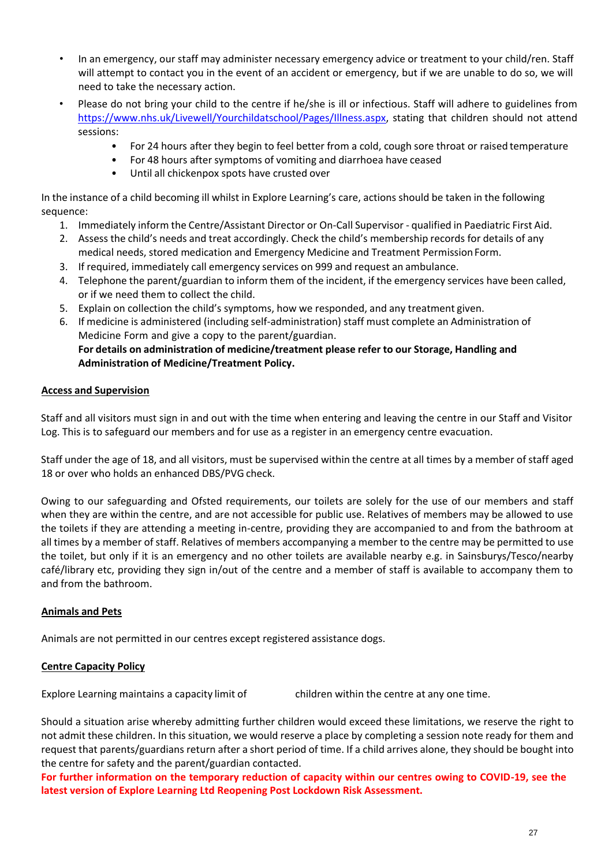- In an emergency, our staff may administer necessary emergency advice or treatment to your child/ren. Staff will attempt to contact you in the event of an accident or emergency, but if we are unable to do so, we will need to take the necessary action.
- Please do not bring your child to the centre if he/she is ill or infectious. Staff will adhere to guidelines from [https://www.nhs.uk/Livewell/Yourchildatschool/Pages/Illness.aspx,](https://www.nhs.uk/Livewell/Yourchildatschool/Pages/Illness.aspx) stating that children should not attend sessions:
	- For 24 hours after they begin to feel better from a cold, cough sore throat or raised temperature
	- For 48 hours after symptoms of vomiting and diarrhoea have ceased
	- Until all chickenpox spots have crusted over

In the instance of a child becoming ill whilst in Explore Learning's care, actions should be taken in the following sequence:

- 1. Immediately inform the Centre/Assistant Director or On-Call Supervisor qualified in Paediatric First Aid.
- 2. Assess the child's needs and treat accordingly. Check the child's membership records for details of any medical needs, stored medication and Emergency Medicine and Treatment PermissionForm.
- 3. If required, immediately call emergency services on 999 and request an ambulance.
- 4. Telephone the parent/guardian to inform them of the incident, if the emergency services have been called, or if we need them to collect the child.
- 5. Explain on collection the child's symptoms, how we responded, and any treatment given.
- 6. If medicine is administered (including self-administration) staff must complete an Administration of Medicine Form and give a copy to the parent/guardian. **For details on administration of medicine/treatment please refer to our Storage, Handling and Administration of Medicine/Treatment Policy.**

## **Access and Supervision**

Staff and all visitors must sign in and out with the time when entering and leaving the centre in our Staff and Visitor Log. This is to safeguard our members and for use as a register in an emergency centre evacuation.

Staff under the age of 18, and all visitors, must be supervised within the centre at all times by a member of staff aged 18 or over who holds an enhanced DBS/PVG check.

Owing to our safeguarding and Ofsted requirements, our toilets are solely for the use of our members and staff when they are within the centre, and are not accessible for public use. Relatives of members may be allowed to use the toilets if they are attending a meeting in-centre, providing they are accompanied to and from the bathroom at all times by a member of staff. Relatives of members accompanying a member to the centre may be permitted to use the toilet, but only if it is an emergency and no other toilets are available nearby e.g. in Sainsburys/Tesco/nearby café/library etc, providing they sign in/out of the centre and a member of staff is available to accompany them to and from the bathroom.

#### **Animals and Pets**

Animals are not permitted in our centres except registered assistance dogs.

#### **Centre Capacity Policy**

Explore Learning maintains a capacity limit of children within the centre at any one time.

Should a situation arise whereby admitting further children would exceed these limitations, we reserve the right to not admit these children. In this situation, we would reserve a place by completing a session note ready for them and request that parents/guardians return after a short period of time. If a child arrives alone, they should be bought into the centre for safety and the parent/guardian contacted.

**For further information on the temporary reduction of capacity within our centres owing to COVID-19, see the latest version of Explore Learning Ltd Reopening Post Lockdown Risk Assessment.**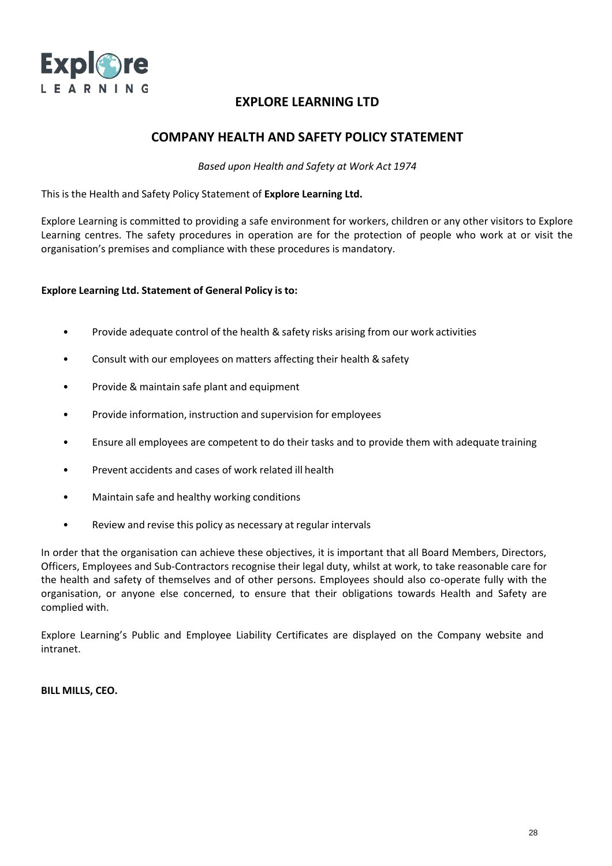

## **COMPANY HEALTH AND SAFETY POLICY STATEMENT**

*Based upon Health and Safety at Work Act 1974*

This is the Health and Safety Policy Statement of **Explore Learning Ltd.**

Explore Learning is committed to providing a safe environment for workers, children or any other visitors to Explore Learning centres. The safety procedures in operation are for the protection of people who work at or visit the organisation's premises and compliance with these procedures is mandatory.

### **Explore Learning Ltd. Statement of General Policy is to:**

- Provide adequate control of the health & safety risks arising from our work activities
- Consult with our employees on matters affecting their health & safety
- Provide & maintain safe plant and equipment
- Provide information, instruction and supervision for employees
- Ensure all employees are competent to do their tasks and to provide them with adequate training
- Prevent accidents and cases of work related ill health
- Maintain safe and healthy working conditions
- Review and revise this policy as necessary at regular intervals

In order that the organisation can achieve these objectives, it is important that all Board Members, Directors, Officers, Employees and Sub-Contractors recognise their legal duty, whilst at work, to take reasonable care for the health and safety of themselves and of other persons. Employees should also co-operate fully with the organisation, or anyone else concerned, to ensure that their obligations towards Health and Safety are complied with.

Explore Learning's Public and Employee Liability Certificates are displayed on the Company website and intranet.

**BILL MILLS, CEO.**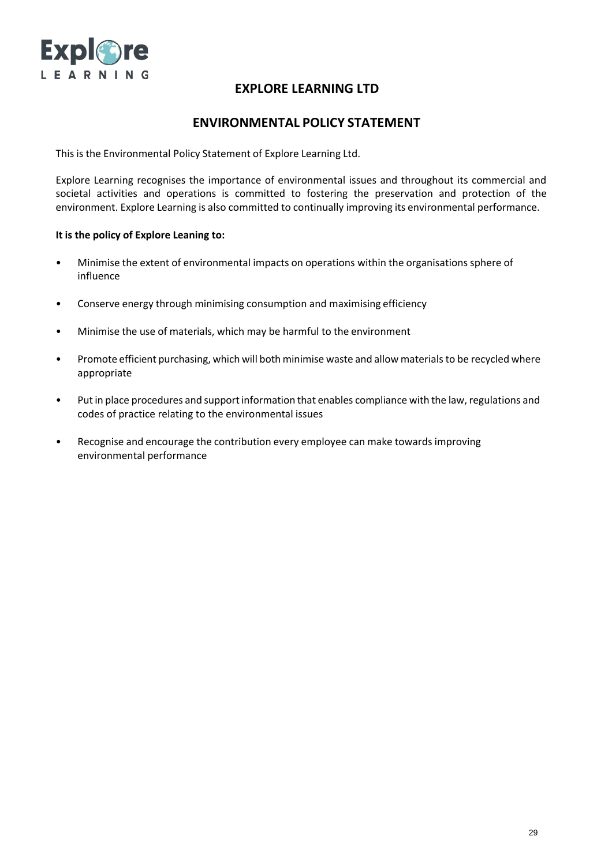

## **ENVIRONMENTAL POLICY STATEMENT**

This is the Environmental Policy Statement of Explore Learning Ltd.

Explore Learning recognises the importance of environmental issues and throughout its commercial and societal activities and operations is committed to fostering the preservation and protection of the environment. Explore Learning is also committed to continually improving its environmental performance.

#### **It is the policy of Explore Leaning to:**

- Minimise the extent of environmental impacts on operations within the organisations sphere of influence
- Conserve energy through minimising consumption and maximising efficiency
- Minimise the use of materials, which may be harmful to the environment
- Promote efficient purchasing, which will both minimise waste and allow materials to be recycled where appropriate
- Put in place procedures and support information that enables compliance with the law, regulations and codes of practice relating to the environmental issues
- Recognise and encourage the contribution every employee can make towards improving environmental performance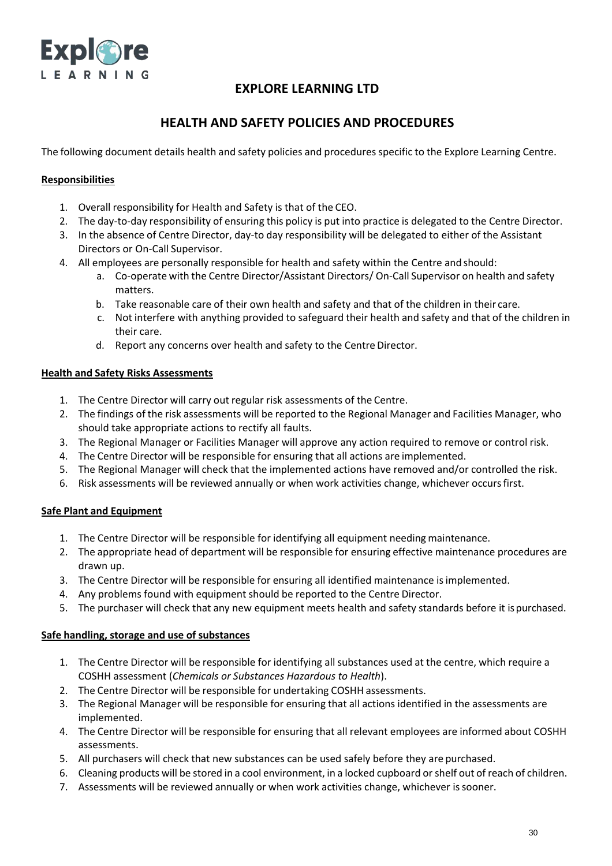

# **HEALTH AND SAFETY POLICIES AND PROCEDURES**

The following document details health and safety policies and procedures specific to the Explore Learning Centre.

### **Responsibilities**

- 1. Overall responsibility for Health and Safety is that of the CEO.
- 2. The day-to-day responsibility of ensuring this policy is put into practice is delegated to the Centre Director.
- 3. In the absence of Centre Director, day-to day responsibility will be delegated to either of the Assistant Directors or On-Call Supervisor.
- 4. All employees are personally responsible for health and safety within the Centre and should:
	- a. Co-operate with the Centre Director/Assistant Directors/ On-Call Supervisor on health and safety matters.
	- b. Take reasonable care of their own health and safety and that of the children in their care.
	- c. Not interfere with anything provided to safeguard their health and safety and that of the children in their care.
	- d. Report any concerns over health and safety to the Centre Director.

### **Health and Safety Risks Assessments**

- 1. The Centre Director will carry out regular risk assessments of the Centre.
- 2. The findings of the risk assessments will be reported to the Regional Manager and Facilities Manager, who should take appropriate actions to rectify all faults.
- 3. The Regional Manager or Facilities Manager will approve any action required to remove or control risk.
- 4. The Centre Director will be responsible for ensuring that all actions are implemented.
- 5. The Regional Manager will check that the implemented actions have removed and/or controlled the risk.
- 6. Risk assessments will be reviewed annually or when work activities change, whichever occursfirst.

## **Safe Plant and Equipment**

- 1. The Centre Director will be responsible for identifying all equipment needing maintenance.
- 2. The appropriate head of department will be responsible for ensuring effective maintenance procedures are drawn up.
- 3. The Centre Director will be responsible for ensuring all identified maintenance isimplemented.
- 4. Any problems found with equipment should be reported to the Centre Director.
- 5. The purchaser will check that any new equipment meets health and safety standards before it ispurchased.

#### **Safe handling, storage and use of substances**

- 1. The Centre Director will be responsible for identifying all substances used at the centre, which require a COSHH assessment (*Chemicals or Substances Hazardous to Health*).
- 2. The Centre Director will be responsible for undertaking COSHH assessments.
- 3. The Regional Manager will be responsible for ensuring that all actions identified in the assessments are implemented.
- 4. The Centre Director will be responsible for ensuring that all relevant employees are informed about COSHH assessments.
- 5. All purchasers will check that new substances can be used safely before they are purchased.
- 6. Cleaning products will be stored in a cool environment, in a locked cupboard orshelf out of reach of children.
- 7. Assessments will be reviewed annually or when work activities change, whichever issooner.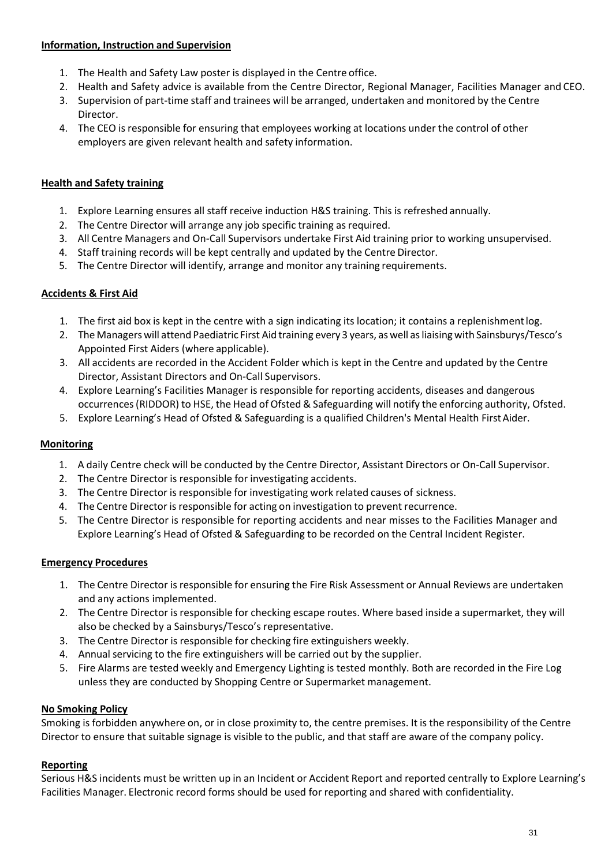### **Information, Instruction and Supervision**

- 1. The Health and Safety Law poster is displayed in the Centre office.
- 2. Health and Safety advice is available from the Centre Director, Regional Manager, Facilities Manager and CEO.
- 3. Supervision of part-time staff and trainees will be arranged, undertaken and monitored by the Centre Director.
- 4. The CEO is responsible for ensuring that employees working at locations under the control of other employers are given relevant health and safety information.

## **Health and Safety training**

- 1. Explore Learning ensures all staff receive induction H&S training. This is refreshed annually.
- 2. The Centre Director will arrange any job specific training as required.
- 3. All Centre Managers and On-Call Supervisors undertake First Aid training prior to working unsupervised.
- 4. Staff training records will be kept centrally and updated by the Centre Director.
- 5. The Centre Director will identify, arrange and monitor any training requirements.

## **Accidents & First Aid**

- 1. The first aid box is kept in the centre with a sign indicating its location; it contains a replenishmentlog.
- 2. The Managers will attend Paediatric First Aid training every 3 years, as well as liaising with Sainsburys/Tesco's Appointed First Aiders (where applicable).
- 3. All accidents are recorded in the Accident Folder which is kept in the Centre and updated by the Centre Director, Assistant Directors and On-Call Supervisors.
- 4. Explore Learning's Facilities Manager is responsible for reporting accidents, diseases and dangerous occurrences(RIDDOR) to HSE, the Head of Ofsted & Safeguarding will notify the enforcing authority, Ofsted.
- 5. Explore Learning's Head of Ofsted & Safeguarding is a qualified Children's Mental Health First Aider.

## **Monitoring**

- 1. A daily Centre check will be conducted by the Centre Director, Assistant Directors or On-Call Supervisor.
- 2. The Centre Director is responsible for investigating accidents.
- 3. The Centre Director is responsible for investigating work related causes of sickness.
- 4. The Centre Director is responsible for acting on investigation to prevent recurrence.
- 5. The Centre Director is responsible for reporting accidents and near misses to the Facilities Manager and Explore Learning's Head of Ofsted & Safeguarding to be recorded on the Central Incident Register.

### **Emergency Procedures**

- 1. The Centre Director is responsible for ensuring the Fire Risk Assessment or Annual Reviews are undertaken and any actions implemented.
- 2. The Centre Director is responsible for checking escape routes. Where based inside a supermarket, they will also be checked by a Sainsburys/Tesco's representative.
- 3. The Centre Director is responsible for checking fire extinguishers weekly.
- 4. Annual servicing to the fire extinguishers will be carried out by the supplier.
- 5. Fire Alarms are tested weekly and Emergency Lighting is tested monthly. Both are recorded in the Fire Log unless they are conducted by Shopping Centre or Supermarket management.

## **No Smoking Policy**

Smoking is forbidden anywhere on, or in close proximity to, the centre premises. It is the responsibility of the Centre Director to ensure that suitable signage is visible to the public, and that staff are aware of the company policy.

## **Reporting**

Serious H&S incidents must be written up in an Incident or Accident Report and reported centrally to Explore Learning's Facilities Manager. Electronic record forms should be used for reporting and shared with confidentiality.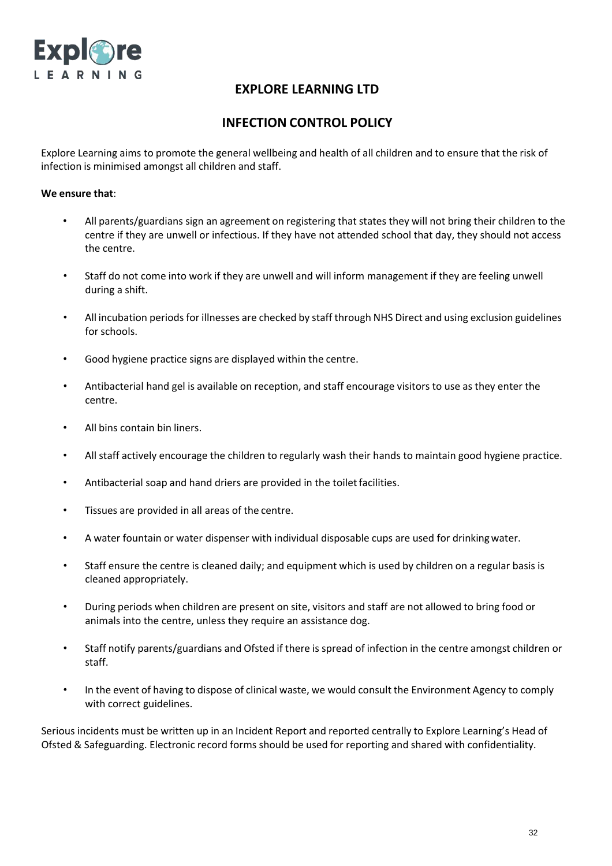

# **INFECTION CONTROL POLICY**

Explore Learning aims to promote the general wellbeing and health of all children and to ensure that the risk of infection is minimised amongst all children and staff.

#### **We ensure that**:

- All parents/guardians sign an agreement on registering that states they will not bring their children to the centre if they are unwell or infectious. If they have not attended school that day, they should not access the centre.
- Staff do not come into work if they are unwell and will inform management if they are feeling unwell during a shift.
- All incubation periods for illnesses are checked by staff through NHS Direct and using exclusion guidelines for schools.
- Good hygiene practice signs are displayed within the centre.
- Antibacterial hand gel is available on reception, and staff encourage visitors to use as they enter the centre.
- All bins contain bin liners.
- All staff actively encourage the children to regularly wash their hands to maintain good hygiene practice.
- Antibacterial soap and hand driers are provided in the toilet facilities.
- Tissues are provided in all areas of the centre.
- A water fountain or water dispenser with individual disposable cups are used for drinkingwater.
- Staff ensure the centre is cleaned daily; and equipment which is used by children on a regular basis is cleaned appropriately.
- During periods when children are present on site, visitors and staff are not allowed to bring food or animals into the centre, unless they require an assistance dog.
- Staff notify parents/guardians and Ofsted if there is spread of infection in the centre amongst children or staff.
- In the event of having to dispose of clinical waste, we would consult the Environment Agency to comply with correct guidelines.

Serious incidents must be written up in an Incident Report and reported centrally to Explore Learning's Head of Ofsted & Safeguarding. Electronic record forms should be used for reporting and shared with confidentiality.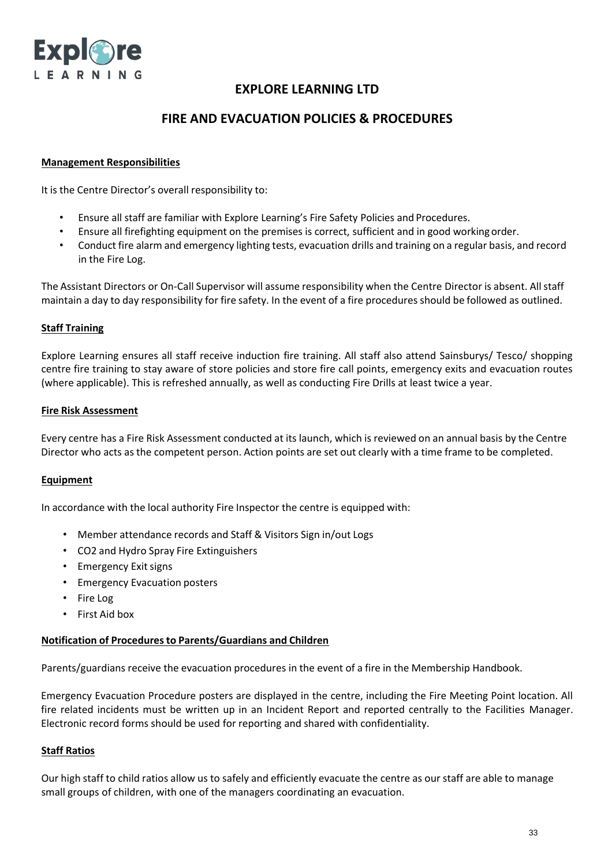

## **FIRE AND EVACUATION POLICIES & PROCEDURES**

#### **Management Responsibilities**

It is the Centre Director's overall responsibility to:

- Ensure all staff are familiar with Explore Learning's Fire Safety Policies and Procedures.
- Ensure all firefighting equipment on the premises is correct, sufficient and in good workingorder.
- Conduct fire alarm and emergency lighting tests, evacuation drills and training on a regular basis, and record in the Fire Log.

The Assistant Directors or On-Call Supervisor will assume responsibility when the Centre Director is absent. Allstaff maintain a day to day responsibility for fire safety. In the event of a fire procedures should be followed as outlined.

#### **Staff Training**

Explore Learning ensures all staff receive induction fire training. All staff also attend Sainsburys/ Tesco/ shopping centre fire training to stay aware of store policies and store fire call points, emergency exits and evacuation routes (where applicable). This is refreshed annually, as well as conducting Fire Drills at least twice a year.

#### **Fire Risk Assessment**

Every centre has a Fire Risk Assessment conducted at its launch, which is reviewed on an annual basis by the Centre Director who acts as the competent person. Action points are set out clearly with a time frame to be completed.

#### **Equipment**

In accordance with the local authority Fire Inspector the centre is equipped with:

- Member attendance records and Staff & Visitors Sign in/out Logs
- CO2 and Hydro Spray Fire Extinguishers
- Emergency Exit signs
- Emergency Evacuation posters
- Fire Log
- First Aid box

#### **Notification of Proceduresto Parents/Guardians and Children**

Parents/guardians receive the evacuation procedures in the event of a fire in the Membership Handbook.

Emergency Evacuation Procedure posters are displayed in the centre, including the Fire Meeting Point location. All fire related incidents must be written up in an Incident Report and reported centrally to the Facilities Manager. Electronic record forms should be used for reporting and shared with confidentiality.

#### **Staff Ratios**

Our high staff to child ratios allow us to safely and efficiently evacuate the centre as our staff are able to manage small groups of children, with one of the managers coordinating an evacuation.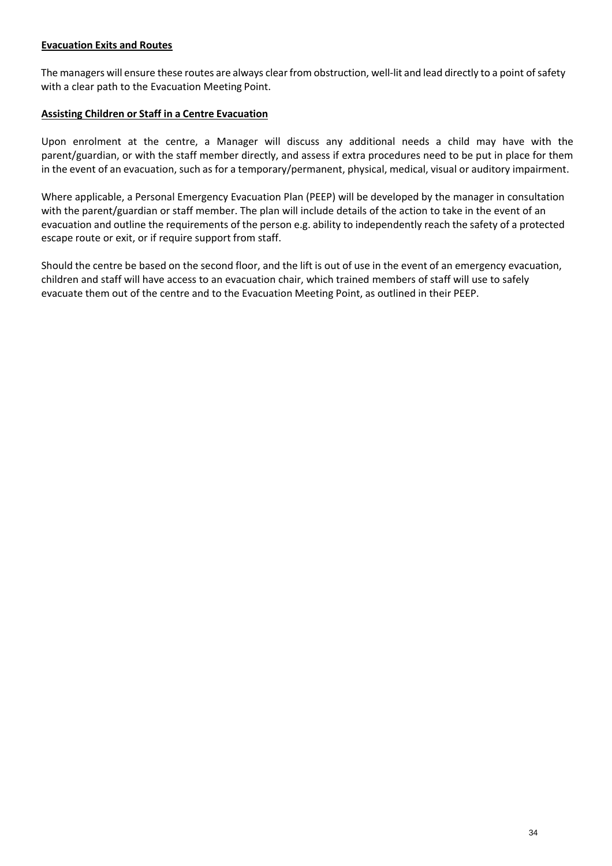### **Evacuation Exits and Routes**

The managers will ensure these routes are always clear from obstruction, well-lit and lead directly to a point of safety with a clear path to the Evacuation Meeting Point.

### **Assisting Children or Staff in a Centre Evacuation**

Upon enrolment at the centre, a Manager will discuss any additional needs a child may have with the parent/guardian, or with the staff member directly, and assess if extra procedures need to be put in place for them in the event of an evacuation, such as for a temporary/permanent, physical, medical, visual or auditory impairment.

Where applicable, a Personal Emergency Evacuation Plan (PEEP) will be developed by the manager in consultation with the parent/guardian or staff member. The plan will include details of the action to take in the event of an evacuation and outline the requirements of the person e.g. ability to independently reach the safety of a protected escape route or exit, or if require support from staff.

Should the centre be based on the second floor, and the lift is out of use in the event of an emergency evacuation, children and staff will have access to an evacuation chair, which trained members of staff will use to safely evacuate them out of the centre and to the Evacuation Meeting Point, as outlined in their PEEP.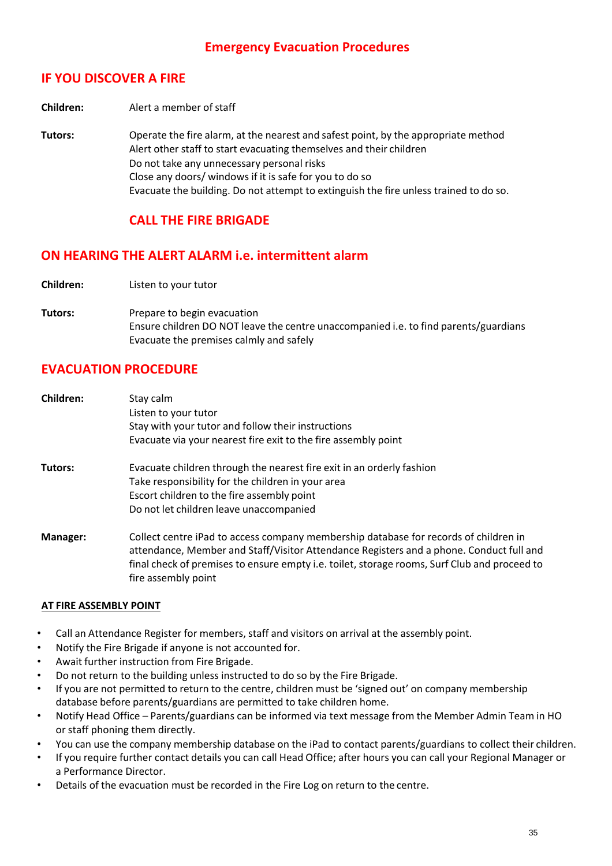# **Emergency Evacuation Procedures**

# **IF YOU DISCOVER A FIRE**

**Children:** Alert a member of staff

**Tutors:** Operate the fire alarm, at the nearest and safest point, by the appropriate method Alert other staff to start evacuating themselves and their children Do not take any unnecessary personal risks Close any doors/ windows if it is safe for you to do so Evacuate the building. Do not attempt to extinguish the fire unless trained to do so.

## **CALL THE FIRE BRIGADE**

## **ON HEARING THE ALERT ALARM i.e. intermittent alarm**

**Children:** Listen to your tutor

**Tutors:** Prepare to begin evacuation Ensure children DO NOT leave the centre unaccompanied i.e. to find parents/guardians Evacuate the premises calmly and safely

## **EVACUATION PROCEDURE**

| Children: | Stay calm<br>Listen to your tutor<br>Stay with your tutor and follow their instructions<br>Evacuate via your nearest fire exit to the fire assembly point                                                                                                                                              |
|-----------|--------------------------------------------------------------------------------------------------------------------------------------------------------------------------------------------------------------------------------------------------------------------------------------------------------|
| Tutors:   | Evacuate children through the nearest fire exit in an orderly fashion<br>Take responsibility for the children in your area<br>Escort children to the fire assembly point<br>Do not let children leave unaccompanied                                                                                    |
| Manager:  | Collect centre iPad to access company membership database for records of children in<br>attendance, Member and Staff/Visitor Attendance Registers and a phone. Conduct full and<br>final check of premises to ensure empty i.e. toilet, storage rooms, Surf Club and proceed to<br>fire assembly point |

#### **AT FIRE ASSEMBLY POINT**

- Call an Attendance Register for members, staff and visitors on arrival at the assembly point.
- Notify the Fire Brigade if anyone is not accounted for.
- Await further instruction from Fire Brigade.
- Do not return to the building unless instructed to do so by the Fire Brigade.
- If you are not permitted to return to the centre, children must be 'signed out' on company membership database before parents/guardians are permitted to take children home.
- Notify Head Office Parents/guardians can be informed via text message from the Member Admin Team in HO or staff phoning them directly.
- You can use the company membership database on the iPad to contact parents/guardians to collect their children.
- If you require further contact details you can call Head Office; after hours you can call your Regional Manager or a Performance Director.
- Details of the evacuation must be recorded in the Fire Log on return to the centre.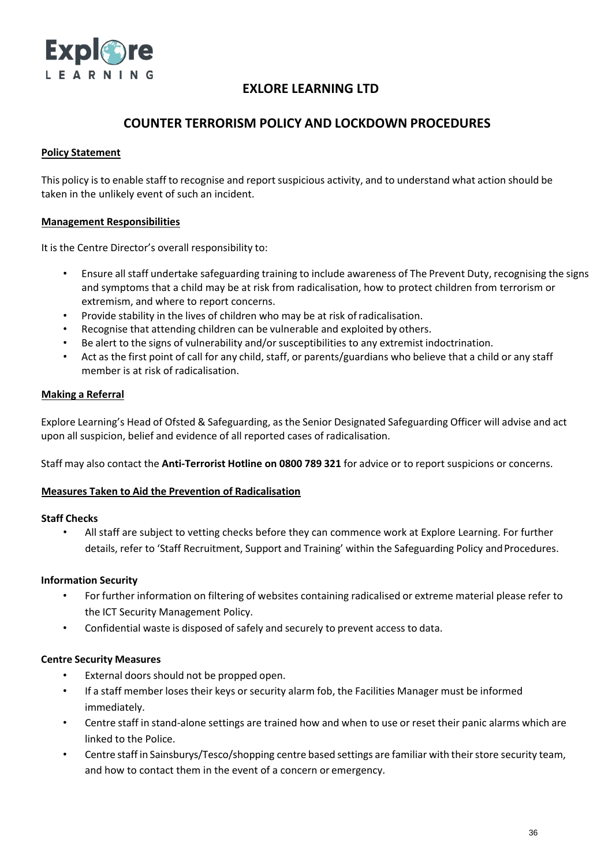

# **COUNTER TERRORISM POLICY AND LOCKDOWN PROCEDURES**

### **Policy Statement**

This policy is to enable staff to recognise and report suspicious activity, and to understand what action should be taken in the unlikely event of such an incident.

### **Management Responsibilities**

It is the Centre Director's overall responsibility to:

- Ensure all staff undertake safeguarding training to include awareness of The Prevent Duty, recognising the signs and symptoms that a child may be at risk from radicalisation, how to protect children from terrorism or extremism, and where to report concerns.
- Provide stability in the lives of children who may be at risk ofradicalisation.
- Recognise that attending children can be vulnerable and exploited by others.
- Be alert to the signs of vulnerability and/orsusceptibilities to any extremist indoctrination.
- Act as the first point of call for any child, staff, or parents/guardians who believe that a child or any staff member is at risk of radicalisation.

### **Making a Referral**

Explore Learning's Head of Ofsted & Safeguarding, as the Senior Designated Safeguarding Officer will advise and act upon all suspicion, belief and evidence of all reported cases of radicalisation.

Staff may also contact the **Anti-Terrorist Hotline on 0800 789 321** for advice or to report suspicions or concerns.

#### **Measures Taken to Aid the Prevention of Radicalisation**

#### **Staff Checks**

• All staff are subject to vetting checks before they can commence work at Explore Learning. For further details, refer to 'Staff Recruitment, Support and Training' within the Safeguarding Policy and Procedures.

#### **Information Security**

- For further information on filtering of websites containing radicalised or extreme material please refer to the ICT Security Management Policy.
- Confidential waste is disposed of safely and securely to prevent access to data.

#### **Centre Security Measures**

- External doors should not be propped open.
- If a staff member loses their keys or security alarm fob, the Facilities Manager must be informed immediately.
- Centre staff in stand-alone settings are trained how and when to use or reset their panic alarms which are linked to the Police.
- Centre staff in Sainsburys/Tesco/shopping centre based settings are familiar with theirstore security team, and how to contact them in the event of a concern or emergency.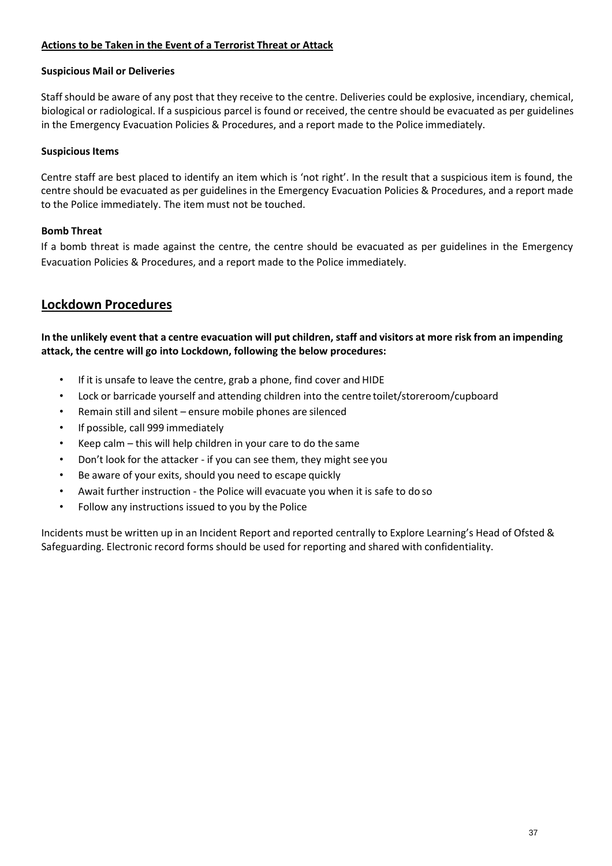## **Actions to be Taken in the Event of a Terrorist Threat or Attack**

### **Suspicious Mail or Deliveries**

Staff should be aware of any post that they receive to the centre. Deliveries could be explosive, incendiary, chemical, biological or radiological. If a suspicious parcel is found or received, the centre should be evacuated as per guidelines in the Emergency Evacuation Policies & Procedures, and a report made to the Police immediately.

### **Suspicious Items**

Centre staff are best placed to identify an item which is 'not right'. In the result that a suspicious item is found, the centre should be evacuated as per guidelines in the Emergency Evacuation Policies & Procedures, and a report made to the Police immediately. The item must not be touched.

## **Bomb Threat**

If a bomb threat is made against the centre, the centre should be evacuated as per guidelines in the Emergency Evacuation Policies & Procedures, and a report made to the Police immediately.

## **Lockdown Procedures**

In the unlikely event that a centre evacuation will put children, staff and visitors at more risk from an impending **attack, the centre will go into Lockdown, following the below procedures:**

- If it is unsafe to leave the centre, grab a phone, find cover and HIDE
- Lock or barricade yourself and attending children into the centre toilet/storeroom/cupboard
- Remain still and silent ensure mobile phones are silenced
- If possible, call 999 immediately
- Keep calm this will help children in your care to do the same
- Don't look for the attacker if you can see them, they might see you
- Be aware of your exits, should you need to escape quickly
- Await further instruction the Police will evacuate you when it is safe to do so
- Follow any instructions issued to you by the Police

Incidents must be written up in an Incident Report and reported centrally to Explore Learning's Head of Ofsted & Safeguarding. Electronic record forms should be used for reporting and shared with confidentiality.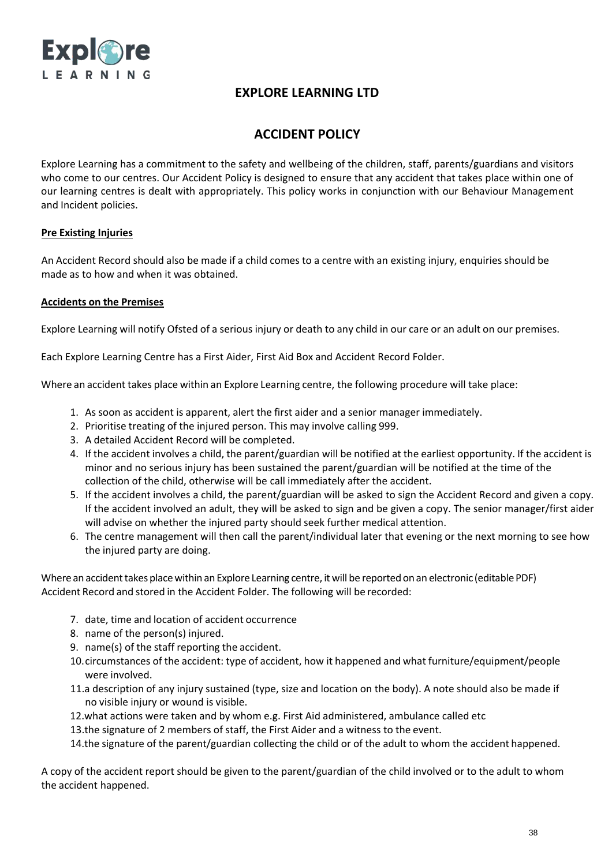

# **ACCIDENT POLICY**

Explore Learning has a commitment to the safety and wellbeing of the children, staff, parents/guardians and visitors who come to our centres. Our Accident Policy is designed to ensure that any accident that takes place within one of our learning centres is dealt with appropriately. This policy works in conjunction with our Behaviour Management and Incident policies.

## **Pre Existing Injuries**

An Accident Record should also be made if a child comes to a centre with an existing injury, enquiries should be made as to how and when it was obtained.

### **Accidents on the Premises**

Explore Learning will notify Ofsted of a serious injury or death to any child in our care or an adult on our premises.

Each Explore Learning Centre has a First Aider, First Aid Box and Accident Record Folder.

Where an accident takes place within an Explore Learning centre, the following procedure will take place:

- 1. As soon as accident is apparent, alert the first aider and a senior manager immediately.
- 2. Prioritise treating of the injured person. This may involve calling 999.
- 3. A detailed Accident Record will be completed.
- 4. If the accident involves a child, the parent/guardian will be notified at the earliest opportunity. If the accident is minor and no serious injury has been sustained the parent/guardian will be notified at the time of the collection of the child, otherwise will be call immediately after the accident.
- 5. If the accident involves a child, the parent/guardian will be asked to sign the Accident Record and given a copy. If the accident involved an adult, they will be asked to sign and be given a copy. The senior manager/first aider will advise on whether the injured party should seek further medical attention.
- 6. The centre management will then call the parent/individual later that evening or the next morning to see how the injured party are doing.

Where an accident takes place within an Explore Learning centre, it will be reported on an electronic (editable PDF) Accident Record and stored in the Accident Folder. The following will be recorded:

- 7. date, time and location of accident occurrence
- 8. name of the person(s) injured.
- 9. name(s) of the staff reporting the accident.
- 10.circumstances of the accident: type of accident, how it happened and what furniture/equipment/people were involved.
- 11.a description of any injury sustained (type, size and location on the body). A note should also be made if no visible injury or wound is visible.
- 12.what actions were taken and by whom e.g. First Aid administered, ambulance called etc
- 13.the signature of 2 members of staff, the First Aider and a witness to the event.
- 14.the signature of the parent/guardian collecting the child or of the adult to whom the accident happened.

A copy of the accident report should be given to the parent/guardian of the child involved or to the adult to whom the accident happened.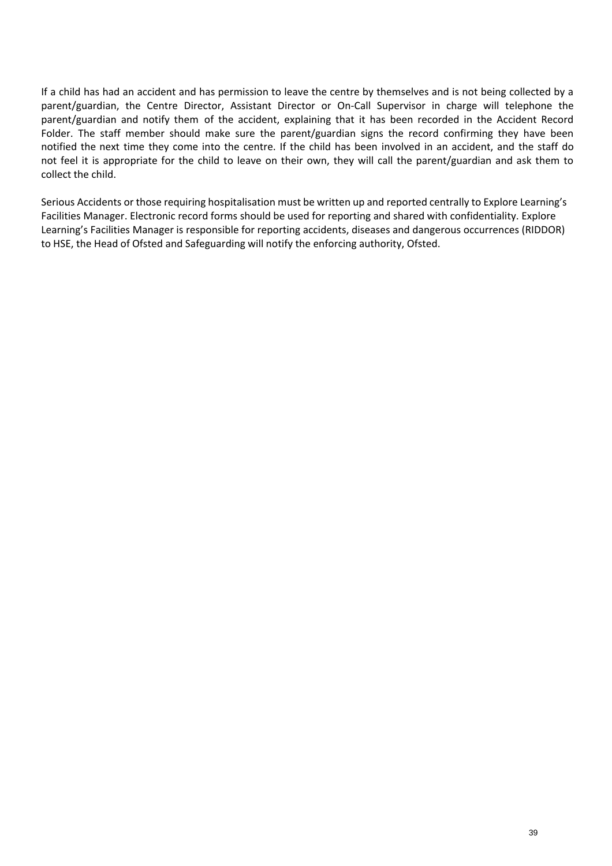If a child has had an accident and has permission to leave the centre by themselves and is not being collected by a parent/guardian, the Centre Director, Assistant Director or On-Call Supervisor in charge will telephone the parent/guardian and notify them of the accident, explaining that it has been recorded in the Accident Record Folder. The staff member should make sure the parent/guardian signs the record confirming they have been notified the next time they come into the centre. If the child has been involved in an accident, and the staff do not feel it is appropriate for the child to leave on their own, they will call the parent/guardian and ask them to collect the child.

Serious Accidents or those requiring hospitalisation must be written up and reported centrally to Explore Learning's Facilities Manager. Electronic record forms should be used for reporting and shared with confidentiality. Explore Learning's Facilities Manager is responsible for reporting accidents, diseases and dangerous occurrences (RIDDOR) to HSE, the Head of Ofsted and Safeguarding will notify the enforcing authority, Ofsted.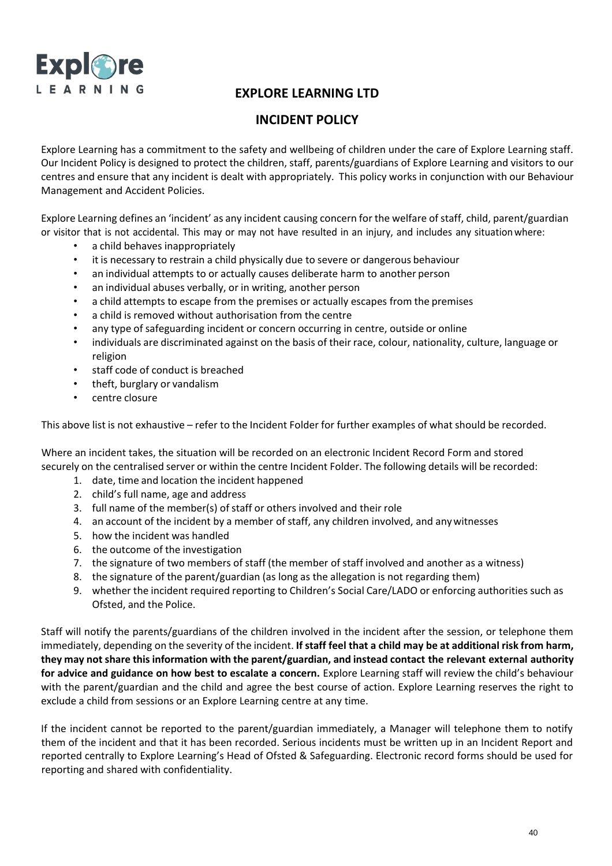

# **INCIDENT POLICY**

Explore Learning has a commitment to the safety and wellbeing of children under the care of Explore Learning staff. Our Incident Policy is designed to protect the children, staff, parents/guardians of Explore Learning and visitors to our centres and ensure that any incident is dealt with appropriately. This policy works in conjunction with our Behaviour Management and Accident Policies.

Explore Learning defines an 'incident' as any incident causing concern for the welfare of staff, child, parent/guardian or visitor that is not accidental. This may or may not have resulted in an injury, and includes any situationwhere:

- a child behaves inappropriately
- it is necessary to restrain a child physically due to severe or dangerous behaviour
- an individual attempts to or actually causes deliberate harm to another person
- an individual abuses verbally, or in writing, another person
- a child attempts to escape from the premises or actually escapes from the premises
- a child is removed without authorisation from the centre
- any type of safeguarding incident or concern occurring in centre, outside or online
- individuals are discriminated against on the basis of their race, colour, nationality, culture, language or religion
- staff code of conduct is breached
- theft, burglary or vandalism
- centre closure

This above list is not exhaustive – refer to the Incident Folder for further examples of what should be recorded.

Where an incident takes, the situation will be recorded on an electronic Incident Record Form and stored securely on the centralised server or within the centre Incident Folder. The following details will be recorded:

- 1. date, time and location the incident happened
- 2. child's full name, age and address
- 3. full name of the member(s) of staff or others involved and their role
- 4. an account of the incident by a member of staff, any children involved, and anywitnesses
- 5. how the incident was handled
- 6. the outcome of the investigation
- 7. the signature of two members of staff (the member of staff involved and another as a witness)
- 8. the signature of the parent/guardian (as long as the allegation is not regarding them)
- 9. whether the incident required reporting to Children's Social Care/LADO or enforcing authorities such as Ofsted, and the Police.

Staff will notify the parents/guardians of the children involved in the incident after the session, or telephone them immediately, depending on the severity of the incident. **If staff feel that a child may be at additional risk from harm,** they may not share this information with the parent/guardian, and instead contact the relevant external authority **for advice and guidance on how best to escalate a concern.** Explore Learning staff will review the child's behaviour with the parent/guardian and the child and agree the best course of action. Explore Learning reserves the right to exclude a child from sessions or an Explore Learning centre at any time.

If the incident cannot be reported to the parent/guardian immediately, a Manager will telephone them to notify them of the incident and that it has been recorded. Serious incidents must be written up in an Incident Report and reported centrally to Explore Learning's Head of Ofsted & Safeguarding. Electronic record forms should be used for reporting and shared with confidentiality.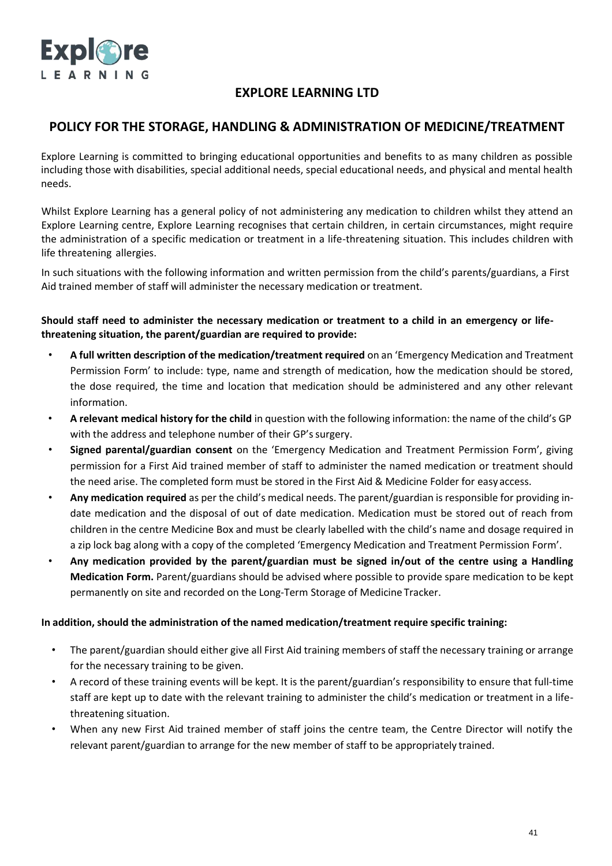

## **POLICY FOR THE STORAGE, HANDLING & ADMINISTRATION OF MEDICINE/TREATMENT**

Explore Learning is committed to bringing educational opportunities and benefits to as many children as possible including those with disabilities, special additional needs, special educational needs, and physical and mental health needs.

Whilst Explore Learning has a general policy of not administering any medication to children whilst they attend an Explore Learning centre, Explore Learning recognises that certain children, in certain circumstances, might require the administration of a specific medication or treatment in a life-threatening situation. This includes children with life threatening allergies.

In such situations with the following information and written permission from the child's parents/guardians, a First Aid trained member of staff will administer the necessary medication or treatment.

**Should staff need to administer the necessary medication or treatment to a child in an emergency or lifethreatening situation, the parent/guardian are required to provide:**

- **A full written description of the medication/treatment required** on an 'Emergency Medication and Treatment Permission Form' to include: type, name and strength of medication, how the medication should be stored, the dose required, the time and location that medication should be administered and any other relevant information.
- **A relevant medical history for the child** in question with the following information: the name of the child's GP with the address and telephone number of their GP's surgery.
- **Signed parental/guardian consent** on the 'Emergency Medication and Treatment Permission Form', giving permission for a First Aid trained member of staff to administer the named medication or treatment should the need arise. The completed form must be stored in the First Aid & Medicine Folder for easy access.
- **Any medication required** as per the child's medical needs. The parent/guardian is responsible for providing indate medication and the disposal of out of date medication. Medication must be stored out of reach from children in the centre Medicine Box and must be clearly labelled with the child's name and dosage required in a zip lock bag along with a copy of the completed 'Emergency Medication and Treatment Permission Form'.
- **Any medication provided by the parent/guardian must be signed in/out of the centre using a Handling Medication Form.** Parent/guardians should be advised where possible to provide spare medication to be kept permanently on site and recorded on the Long-Term Storage of Medicine Tracker.

#### **In addition, should the administration of the named medication/treatment require specific training:**

- The parent/guardian should either give all First Aid training members of staff the necessary training or arrange for the necessary training to be given.
- A record of these training events will be kept. It is the parent/guardian's responsibility to ensure that full-time staff are kept up to date with the relevant training to administer the child's medication or treatment in a lifethreatening situation.
- When any new First Aid trained member of staff joins the centre team, the Centre Director will notify the relevant parent/guardian to arrange for the new member of staff to be appropriately trained.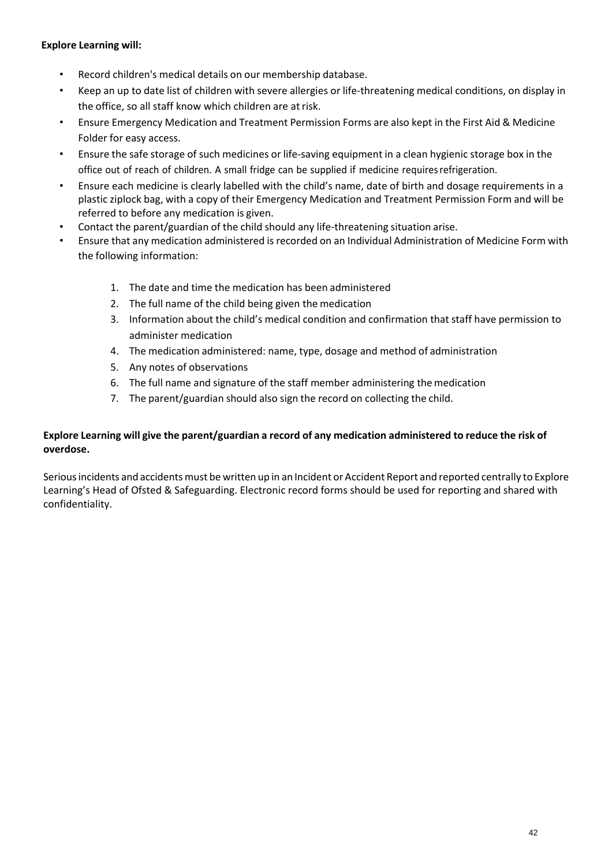### **Explore Learning will:**

- Record children's medical details on our membership database.
- Keep an up to date list of children with severe allergies or life-threatening medical conditions, on display in the office, so all staff know which children are atrisk.
- Ensure Emergency Medication and Treatment Permission Forms are also kept in the First Aid & Medicine Folder for easy access.
- Ensure the safe storage of such medicines or life-saving equipment in a clean hygienic storage box in the office out of reach of children. A small fridge can be supplied if medicine requiresrefrigeration.
- Ensure each medicine is clearly labelled with the child's name, date of birth and dosage requirements in a plastic ziplock bag, with a copy of their Emergency Medication and Treatment Permission Form and will be referred to before any medication is given.
- Contact the parent/guardian of the child should any life-threatening situation arise.
- Ensure that any medication administered is recorded on an Individual Administration of Medicine Form with the following information:
	- 1. The date and time the medication has been administered
	- 2. The full name of the child being given the medication
	- 3. Information about the child's medical condition and confirmation thatstaff have permission to administer medication
	- 4. The medication administered: name, type, dosage and method of administration
	- 5. Any notes of observations
	- 6. The full name and signature of the staff member administering themedication
	- 7. The parent/guardian should also sign the record on collecting the child.

## Explore Learning will give the parent/guardian a record of any medication administered to reduce the risk of **overdose.**

Serious incidents and accidents must be written up in an Incident or Accident Report and reported centrally to Explore Learning's Head of Ofsted & Safeguarding. Electronic record forms should be used for reporting and shared with confidentiality.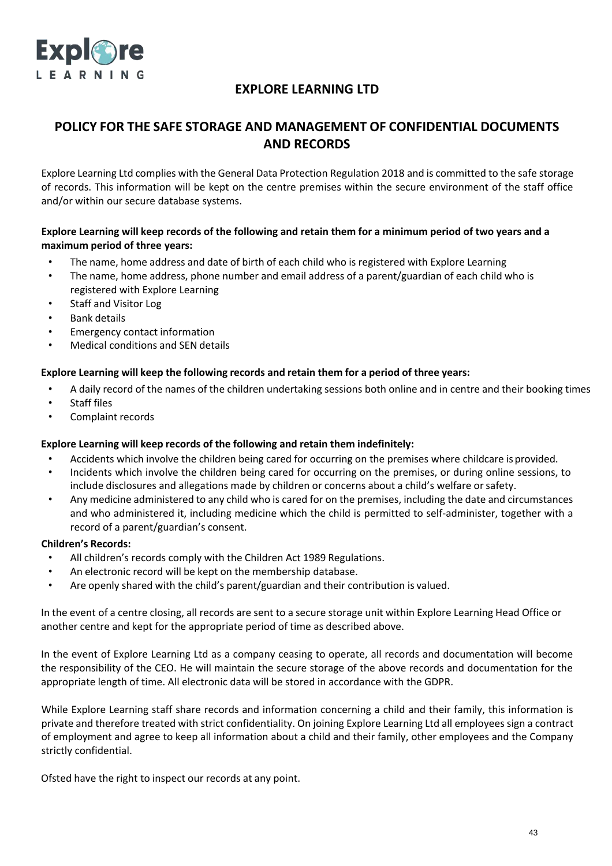

# **POLICY FOR THE SAFE STORAGE AND MANAGEMENT OF CONFIDENTIAL DOCUMENTS AND RECORDS**

Explore Learning Ltd complies with the General Data Protection Regulation 2018 and is committed to the safe storage of records. This information will be kept on the centre premises within the secure environment of the staff office and/or within our secure database systems.

## Explore Learning will keep records of the following and retain them for a minimum period of two years and a **maximum period of three years:**

- The name, home address and date of birth of each child who is registered with Explore Learning
- The name, home address, phone number and email address of a parent/guardian of each child who is registered with Explore Learning
- Staff and Visitor Log
- Bank details
- Emergency contact information
- Medical conditions and SEN details

### **Explore Learning will keep the following records and retain them for a period of three years:**

- A daily record of the names of the children undertaking sessions both online and in centre and their booking times
- Staff files
- Complaint records

#### **Explore Learning will keep records of the following and retain them indefinitely:**

- Accidents which involve the children being cared for occurring on the premises where childcare is provided.
- Incidents which involve the children being cared for occurring on the premises, or during online sessions, to include disclosures and allegations made by children or concerns about a child's welfare orsafety.
- Any medicine administered to any child who is cared for on the premises, including the date and circumstances and who administered it, including medicine which the child is permitted to self-administer, together with a record of a parent/guardian's consent.

#### **Children's Records:**

- All children's records comply with the Children Act 1989 Regulations.
- An electronic record will be kept on the membership database.
- Are openly shared with the child's parent/guardian and their contribution is valued.

In the event of a centre closing, all records are sent to a secure storage unit within Explore Learning Head Office or another centre and kept for the appropriate period of time as described above.

In the event of Explore Learning Ltd as a company ceasing to operate, all records and documentation will become the responsibility of the CEO. He will maintain the secure storage of the above records and documentation for the appropriate length of time. All electronic data will be stored in accordance with the GDPR.

While Explore Learning staff share records and information concerning a child and their family, this information is private and therefore treated with strict confidentiality. On joining Explore Learning Ltd all employees sign a contract of employment and agree to keep all information about a child and their family, other employees and the Company strictly confidential.

Ofsted have the right to inspect our records at any point.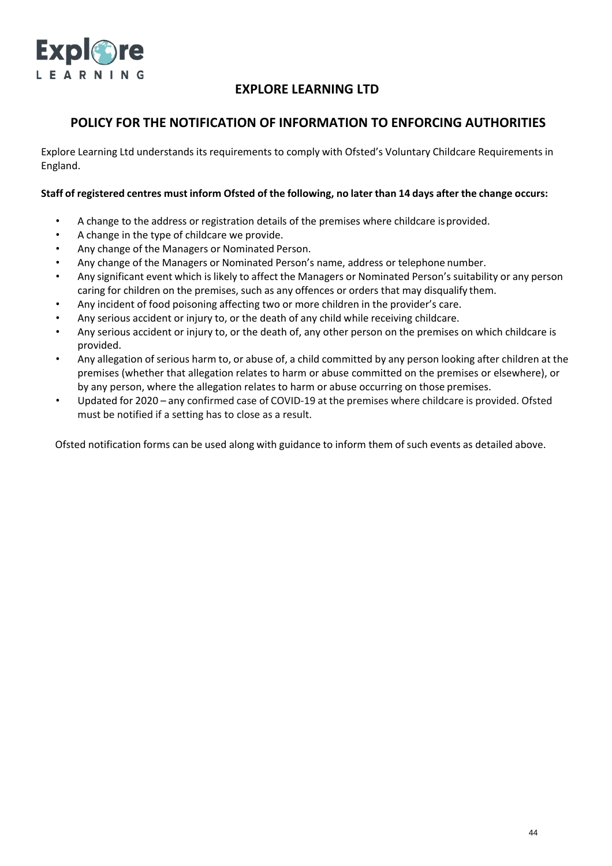

## **POLICY FOR THE NOTIFICATION OF INFORMATION TO ENFORCING AUTHORITIES**

Explore Learning Ltd understands its requirements to comply with Ofsted's Voluntary Childcare Requirements in England.

#### Staff of registered centres must inform Ofsted of the following, no later than 14 days after the change occurs:

- A change to the address or registration details of the premises where childcare isprovided.
- A change in the type of childcare we provide.
- Any change of the Managers or Nominated Person.
- Any change of the Managers or Nominated Person's name, address or telephone number.
- Any significant event which is likely to affect the Managers or Nominated Person's suitability or any person caring for children on the premises, such as any offences or orders that may disqualify them.
- Any incident of food poisoning affecting two or more children in the provider's care.
- Any serious accident or injury to, or the death of any child while receiving childcare.
- Any serious accident or injury to, or the death of, any other person on the premises on which childcare is provided.
- Any allegation of serious harm to, or abuse of, a child committed by any person looking after children at the premises (whether that allegation relates to harm or abuse committed on the premises or elsewhere), or by any person, where the allegation relates to harm or abuse occurring on those premises.
- Updated for 2020 any confirmed case of COVID-19 at the premises where childcare is provided. Ofsted must be notified if a setting has to close as a result.

Ofsted notification forms can be used along with guidance to inform them of such events as detailed above.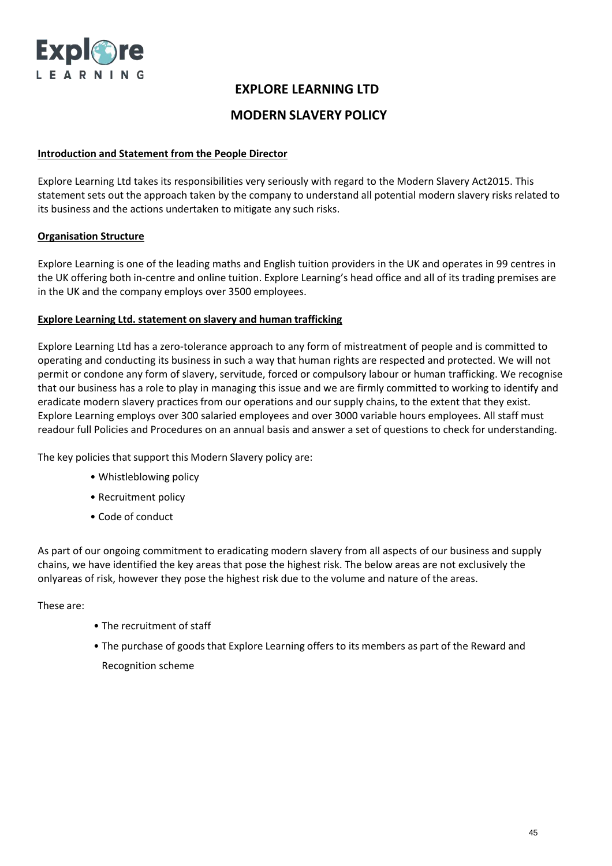

## **MODERN SLAVERY POLICY**

#### **Introduction and Statement from the People Director**

Explore Learning Ltd takes its responsibilities very seriously with regard to the Modern Slavery Act2015. This statement sets out the approach taken by the company to understand all potential modern slavery risks related to its business and the actions undertaken to mitigate any such risks.

### **Organisation Structure**

Explore Learning is one of the leading maths and English tuition providers in the UK and operates in 99 centres in the UK offering both in-centre and online tuition. Explore Learning's head office and all of its trading premises are in the UK and the company employs over 3500 employees.

### **Explore Learning Ltd. statement on slavery and human trafficking**

Explore Learning Ltd has a zero-tolerance approach to any form of mistreatment of people and is committed to operating and conducting its business in such a way that human rights are respected and protected. We will not permit or condone any form of slavery, servitude, forced or compulsory labour or human trafficking. We recognise that our business has a role to play in managing this issue and we are firmly committed to working to identify and eradicate modern slavery practices from our operations and our supply chains, to the extent that they exist. Explore Learning employs over 300 salaried employees and over 3000 variable hours employees. All staff must readour full Policies and Procedures on an annual basis and answer a set of questions to check for understanding.

The key policies that support this Modern Slavery policy are:

- Whistleblowing policy
- Recruitment policy
- Code of conduct

As part of our ongoing commitment to eradicating modern slavery from all aspects of our business and supply chains, we have identified the key areas that pose the highest risk. The below areas are not exclusively the onlyareas of risk, however they pose the highest risk due to the volume and nature of the areas.

These are:

- The recruitment of staff
- The purchase of goods that Explore Learning offers to its members as part of the Reward and Recognition scheme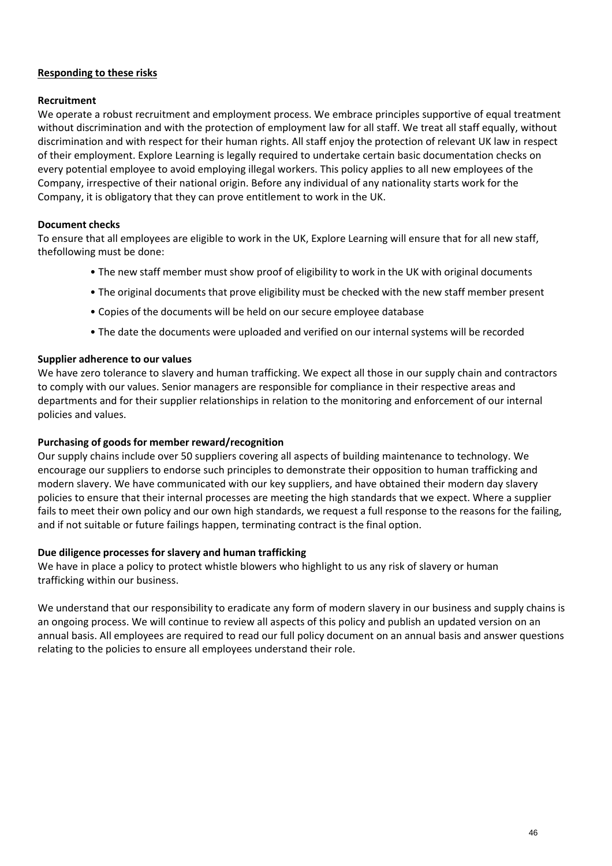### **Responding to these risks**

#### **Recruitment**

We operate a robust recruitment and employment process. We embrace principles supportive of equal treatment without discrimination and with the protection of employment law for all staff. We treat all staff equally, without discrimination and with respect for their human rights. All staff enjoy the protection of relevant UK law in respect of their employment. Explore Learning is legally required to undertake certain basic documentation checks on every potential employee to avoid employing illegal workers. This policy applies to all new employees of the Company, irrespective of their national origin. Before any individual of any nationality starts work for the Company, it is obligatory that they can prove entitlement to work in the UK.

### **Document checks**

To ensure that all employees are eligible to work in the UK, Explore Learning will ensure that for all new staff, thefollowing must be done:

- The new staff member must show proof of eligibility to work in the UK with original documents
- The original documents that prove eligibility must be checked with the new staff member present
- Copies of the documents will be held on our secure employee database
- The date the documents were uploaded and verified on our internal systems will be recorded

#### **Supplier adherence to our values**

We have zero tolerance to slavery and human trafficking. We expect all those in our supply chain and contractors to comply with our values. Senior managers are responsible for compliance in their respective areas and departments and for their supplier relationships in relation to the monitoring and enforcement of our internal policies and values.

#### **Purchasing of goods for member reward/recognition**

Our supply chains include over 50 suppliers covering all aspects of building maintenance to technology. We encourage our suppliers to endorse such principles to demonstrate their opposition to human trafficking and modern slavery. We have communicated with our key suppliers, and have obtained their modern day slavery policies to ensure that their internal processes are meeting the high standards that we expect. Where a supplier fails to meet their own policy and our own high standards, we request a full response to the reasons for the failing, and if not suitable or future failings happen, terminating contract is the final option.

#### **Due diligence processes for slavery and human trafficking**

We have in place a policy to protect whistle blowers who highlight to us any risk of slavery or human trafficking within our business.

We understand that our responsibility to eradicate any form of modern slavery in our business and supply chains is an ongoing process. We will continue to review all aspects of this policy and publish an updated version on an annual basis. All employees are required to read our full policy document on an annual basis and answer questions relating to the policies to ensure all employees understand their role.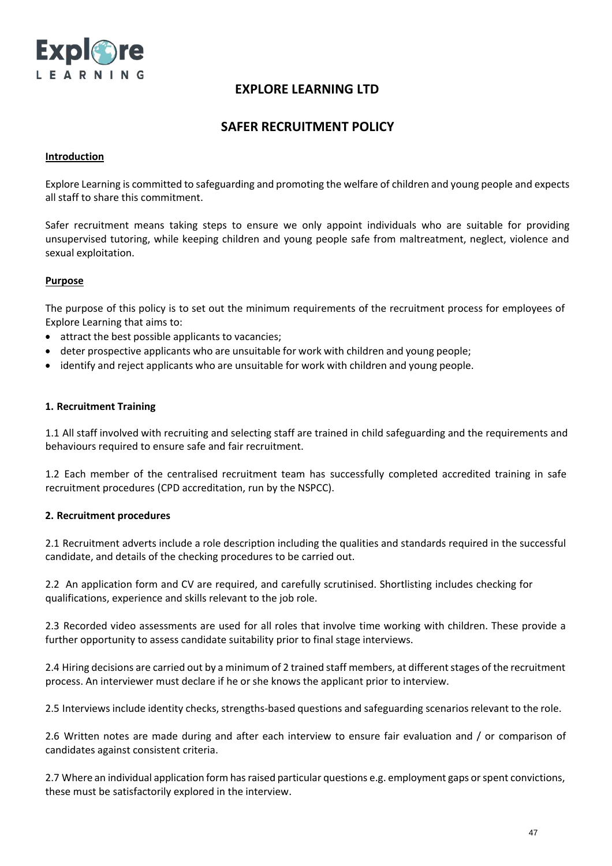

## **SAFER RECRUITMENT POLICY**

#### **Introduction**

Explore Learning is committed to safeguarding and promoting the welfare of children and young people and expects all staff to share this commitment.

Safer recruitment means taking steps to ensure we only appoint individuals who are suitable for providing unsupervised tutoring, while keeping children and young people safe from maltreatment, neglect, violence and sexual exploitation.

#### **Purpose**

The purpose of this policy is to set out the minimum requirements of the recruitment process for employees of Explore Learning that aims to:

- attract the best possible applicants to vacancies;
- deter prospective applicants who are unsuitable for work with children and young people;
- identify and reject applicants who are unsuitable for work with children and young people.

#### **1. Recruitment Training**

1.1 All staff involved with recruiting and selecting staff are trained in child safeguarding and the requirements and behaviours required to ensure safe and fair recruitment.

1.2 Each member of the centralised recruitment team has successfully completed accredited training in safe recruitment procedures (CPD accreditation, run by the NSPCC).

#### **2. Recruitment procedures**

2.1 Recruitment adverts include a role description including the qualities and standards required in the successful candidate, and details of the checking procedures to be carried out.

2.2 An application form and CV are required, and carefully scrutinised. Shortlisting includes checking for qualifications, experience and skills relevant to the job role.

2.3 Recorded video assessments are used for all roles that involve time working with children. These provide a further opportunity to assess candidate suitability prior to final stage interviews.

2.4 Hiring decisions are carried out by a minimum of 2 trained staff members, at different stages of the recruitment process. An interviewer must declare if he or she knows the applicant prior to interview.

2.5 Interviews include identity checks, strengths-based questions and safeguarding scenariosrelevant to the role.

2.6 Written notes are made during and after each interview to ensure fair evaluation and / or comparison of candidates against consistent criteria.

2.7 Where an individual application form has raised particular questions e.g. employment gaps or spent convictions, these must be satisfactorily explored in the interview.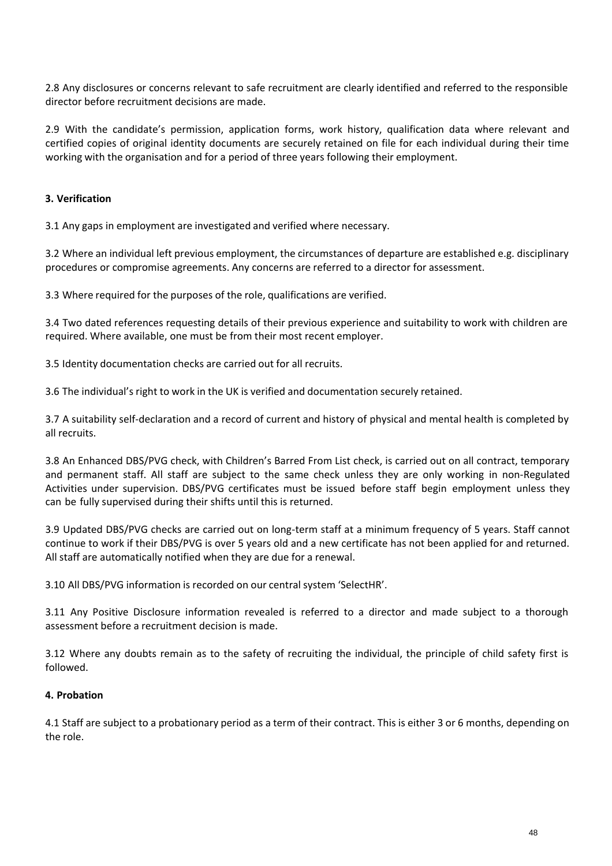2.8 Any disclosures or concerns relevant to safe recruitment are clearly identified and referred to the responsible director before recruitment decisions are made.

2.9 With the candidate's permission, application forms, work history, qualification data where relevant and certified copies of original identity documents are securely retained on file for each individual during their time working with the organisation and for a period of three years following their employment.

### **3. Verification**

3.1 Any gaps in employment are investigated and verified where necessary.

3.2 Where an individual left previous employment, the circumstances of departure are established e.g. disciplinary procedures or compromise agreements. Any concerns are referred to a director for assessment.

3.3 Where required for the purposes of the role, qualifications are verified.

3.4 Two dated references requesting details of their previous experience and suitability to work with children are required. Where available, one must be from their most recent employer.

3.5 Identity documentation checks are carried out for all recruits.

3.6 The individual's right to work in the UK is verified and documentation securely retained.

3.7 A suitability self-declaration and a record of current and history of physical and mental health is completed by all recruits.

3.8 An Enhanced DBS/PVG check, with Children's Barred From List check, is carried out on all contract, temporary and permanent staff. All staff are subject to the same check unless they are only working in non-Regulated Activities under supervision. DBS/PVG certificates must be issued before staff begin employment unless they can be fully supervised during their shifts until this is returned.

3.9 Updated DBS/PVG checks are carried out on long-term staff at a minimum frequency of 5 years. Staff cannot continue to work if their DBS/PVG is over 5 years old and a new certificate has not been applied for and returned. All staff are automatically notified when they are due for a renewal.

3.10 All DBS/PVG information is recorded on our central system 'SelectHR'.

3.11 Any Positive Disclosure information revealed is referred to a director and made subject to a thorough assessment before a recruitment decision is made.

3.12 Where any doubts remain as to the safety of recruiting the individual, the principle of child safety first is followed.

#### **4. Probation**

4.1 Staff are subject to a probationary period as a term of their contract. This is either 3 or 6 months, depending on the role.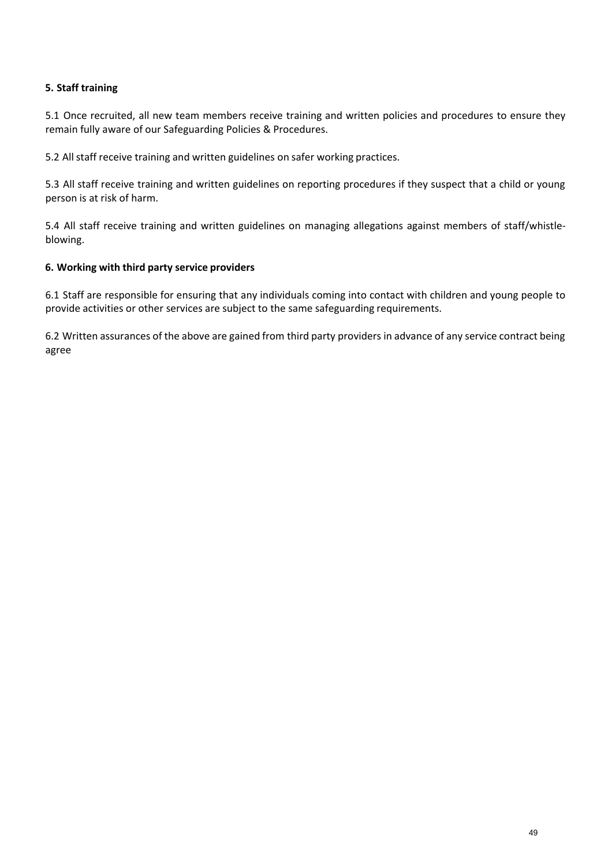## **5. Staff training**

5.1 Once recruited, all new team members receive training and written policies and procedures to ensure they remain fully aware of our Safeguarding Policies & Procedures.

5.2 All staff receive training and written guidelines on safer working practices.

5.3 All staff receive training and written guidelines on reporting procedures if they suspect that a child or young person is at risk of harm.

5.4 All staff receive training and written guidelines on managing allegations against members of staff/whistleblowing.

### **6. Working with third party service providers**

6.1 Staff are responsible for ensuring that any individuals coming into contact with children and young people to provide activities or other services are subject to the same safeguarding requirements.

6.2 Written assurances of the above are gained from third party providers in advance of any service contract being agree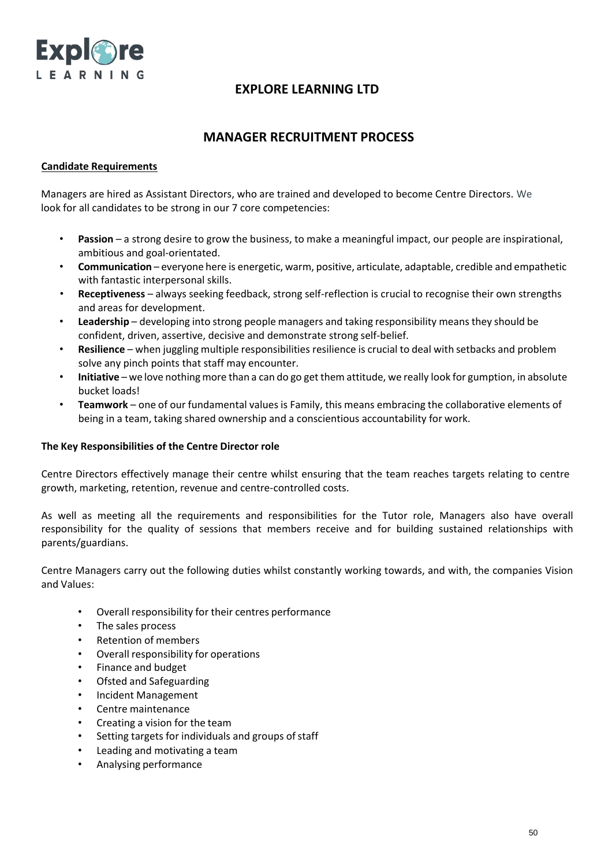

## **MANAGER RECRUITMENT PROCESS**

### **Candidate Requirements**

Managers are hired as Assistant Directors, who are trained and developed to become Centre Directors. We look for all candidates to be strong in our 7 core competencies:

- **Passion** a strong desire to grow the business, to make a meaningful impact, our people are inspirational, ambitious and goal-orientated.
- **Communication** everyone here is energetic, warm, positive, articulate, adaptable, credible and empathetic with fantastic interpersonal skills.
- **Receptiveness** always seeking feedback, strong self-reflection is crucial to recognise their own strengths and areas for development.
- **Leadership** developing into strong people managers and taking responsibility means they should be confident, driven, assertive, decisive and demonstrate strong self-belief.
- **Resilience** when juggling multiple responsibilities resilience is crucial to deal with setbacks and problem solve any pinch points that staff may encounter.
- **Initiative** we love nothingmore than a can do go get them attitude, we really look for gumption, in absolute bucket loads!
- **Teamwork** one of our fundamental values is Family, this means embracing the collaborative elements of being in a team, taking shared ownership and a conscientious accountability for work.

#### **The Key Responsibilities of the Centre Director role**

Centre Directors effectively manage their centre whilst ensuring that the team reaches targets relating to centre growth, marketing, retention, revenue and centre-controlled costs.

As well as meeting all the requirements and responsibilities for the Tutor role, Managers also have overall responsibility for the quality of sessions that members receive and for building sustained relationships with parents/guardians.

Centre Managers carry out the following duties whilst constantly working towards, and with, the companies Vision and Values:

- Overall responsibility for their centres performance
- The sales process
- Retention of members
- Overall responsibility for operations
- Finance and budget
- Ofsted and Safeguarding
- Incident Management
- Centre maintenance
- Creating a vision for the team
- Setting targets for individuals and groups of staff
- Leading and motivating a team
- Analysing performance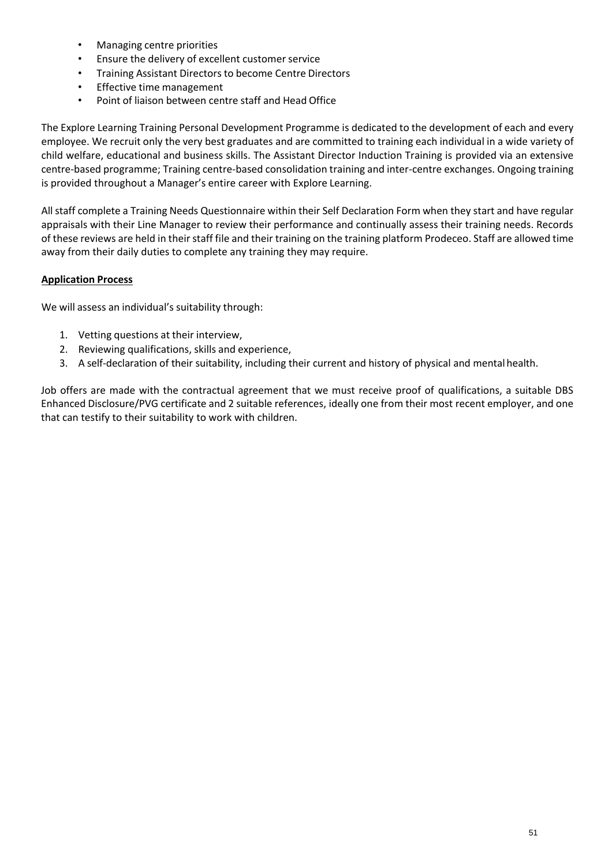- Managing centre priorities
- Ensure the delivery of excellent customer service
- Training Assistant Directors to become Centre Directors
- Effective time management
- Point of liaison between centre staff and Head Office

The Explore Learning Training Personal Development Programme is dedicated to the development of each and every employee. We recruit only the very best graduates and are committed to training each individual in a wide variety of child welfare, educational and business skills. The Assistant Director Induction Training is provided via an extensive centre-based programme; Training centre-based consolidation training and inter-centre exchanges. Ongoing training is provided throughout a Manager's entire career with Explore Learning.

All staff complete a Training Needs Questionnaire within their Self Declaration Form when they start and have regular appraisals with their Line Manager to review their performance and continually assess their training needs. Records of these reviews are held in their staff file and their training on the training platform Prodeceo. Staff are allowed time away from their daily duties to complete any training they may require.

### **Application Process**

We will assess an individual's suitability through:

- 1. Vetting questions at their interview,
- 2. Reviewing qualifications, skills and experience,
- 3. A self-declaration of their suitability, including their current and history of physical and mental health.

Job offers are made with the contractual agreement that we must receive proof of qualifications, a suitable DBS Enhanced Disclosure/PVG certificate and 2 suitable references, ideally one from their most recent employer, and one that can testify to their suitability to work with children.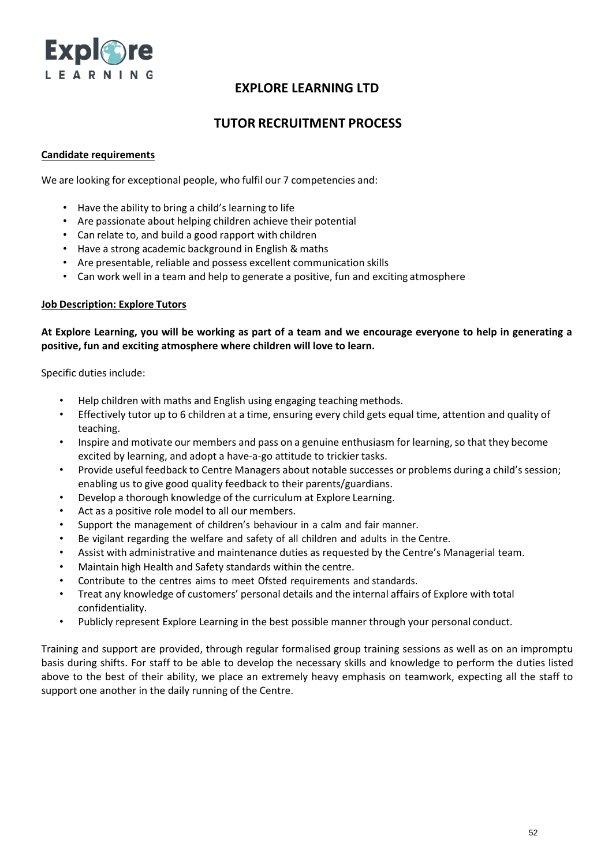

## **TUTOR RECRUITMENT PROCESS**

### **Candidate requirements**

We are looking for exceptional people, who fulfil our 7 competencies and:

- Have the ability to bring a child's learning to life
- Are passionate about helping children achieve their potential
- Can relate to, and build a good rapport with children
- Have a strong academic background in English & maths
- Are presentable, reliable and possess excellent communication skills
- Can work well in a team and help to generate a positive, fun and exciting atmosphere

### **Job Description: Explore Tutors**

### **At Explore Learning, you will be working as part of a team and we encourage everyone to help in generating a positive, fun and exciting atmosphere where children will love to learn.**

Specific duties include:

- Help children with maths and English using engaging teaching methods.
- Effectively tutor up to 6 children at a time, ensuring every child gets equal time, attention and quality of teaching.
- Inspire and motivate our members and pass on a genuine enthusiasm for learning, so that they become excited by learning, and adopt a have-a-go attitude to trickier tasks.
- Provide useful feedback to Centre Managers about notable successes or problems during a child's session; enabling us to give good quality feedback to their parents/guardians.
- Develop a thorough knowledge of the curriculum at Explore Learning.
- Act as a positive role model to all our members.
- Support the management of children's behaviour in a calm and fair manner.
- Be vigilant regarding the welfare and safety of all children and adults in the Centre.
- Assist with administrative and maintenance duties as requested by the Centre's Managerial team.
- Maintain high Health and Safety standards within the centre.
- Contribute to the centres aims to meet Ofsted requirements and standards.
- Treat any knowledge of customers' personal details and the internal affairs of Explore with total confidentiality.
- Publicly represent Explore Learning in the best possible manner through your personal conduct.

Training and support are provided, through regular formalised group training sessions as well as on an impromptu basis during shifts. For staff to be able to develop the necessary skills and knowledge to perform the duties listed above to the best of their ability, we place an extremely heavy emphasis on teamwork, expecting all the staff to support one another in the daily running of the Centre.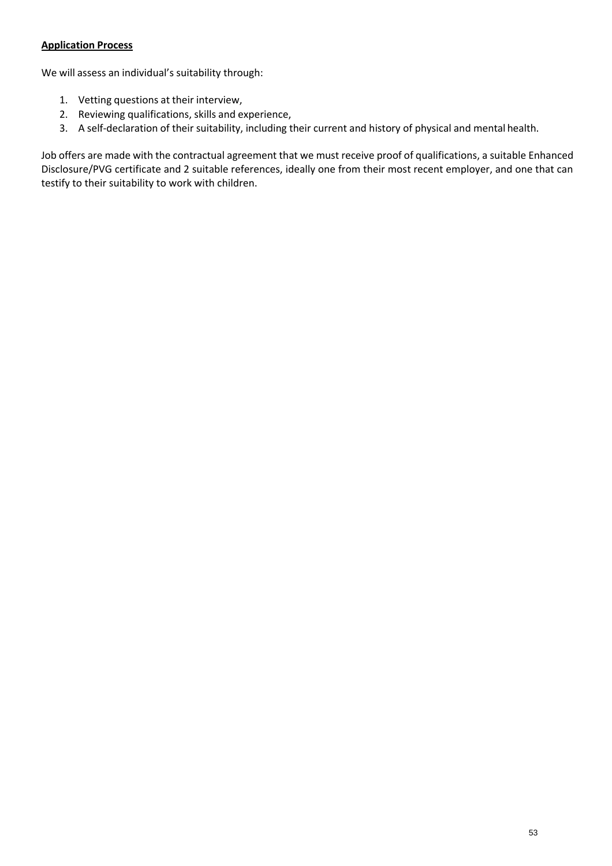## **Application Process**

We will assess an individual's suitability through:

- 1. Vetting questions at their interview,
- 2. Reviewing qualifications, skills and experience,
- 3. A self-declaration of their suitability, including their current and history of physical and mental health.

Job offers are made with the contractual agreement that we must receive proof of qualifications, a suitable Enhanced Disclosure/PVG certificate and 2 suitable references, ideally one from their most recent employer, and one that can testify to their suitability to work with children.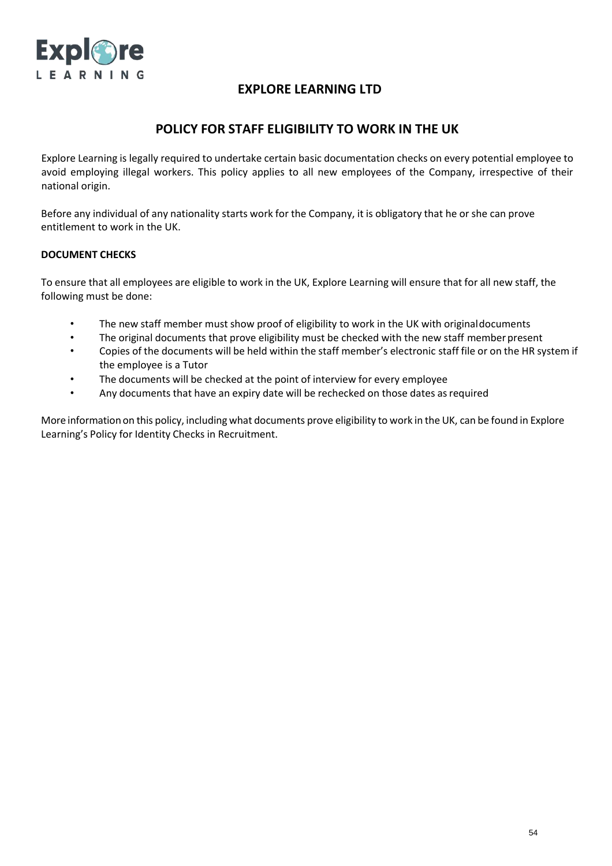

## **POLICY FOR STAFF ELIGIBILITY TO WORK IN THE UK**

Explore Learning is legally required to undertake certain basic documentation checks on every potential employee to avoid employing illegal workers. This policy applies to all new employees of the Company, irrespective of their national origin.

Before any individual of any nationality starts work for the Company, it is obligatory that he or she can prove entitlement to work in the UK.

### **DOCUMENT CHECKS**

To ensure that all employees are eligible to work in the UK, Explore Learning will ensure that for all new staff, the following must be done:

- The new staff member must show proof of eligibility to work in the UK with original documents
- The original documents that prove eligibility must be checked with the new staff member present
- Copies of the documents will be held within the staff member's electronic staff file or on the HR system if the employee is a Tutor
- The documents will be checked at the point of interview for every employee
- Any documents that have an expiry date will be rechecked on those dates as required

More information on this policy, including what documents prove eligibility to work in the UK, can be found in Explore Learning's Policy for Identity Checks in Recruitment.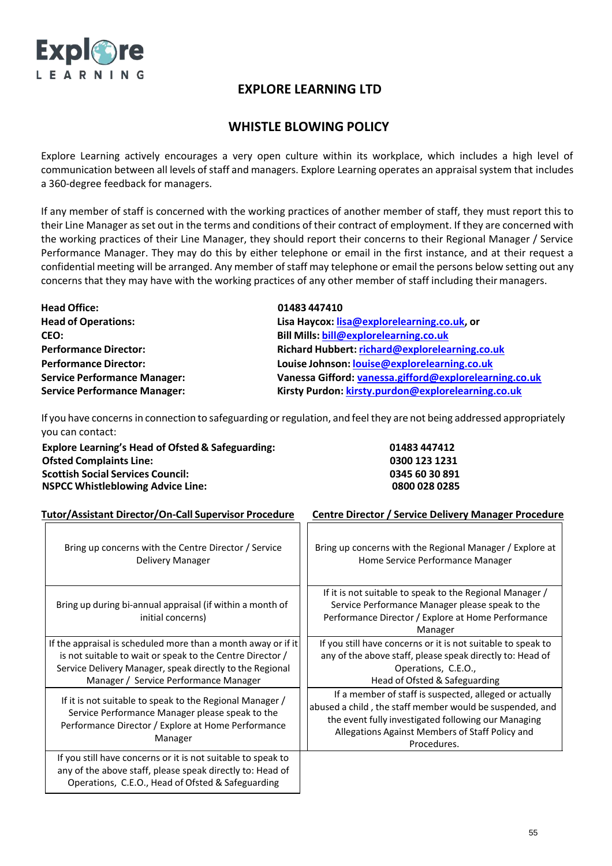

## **WHISTLE BLOWING POLICY**

Explore Learning actively encourages a very open culture within its workplace, which includes a high level of communication between all levels of staff and managers. Explore Learning operates an appraisal system that includes a 360-degree feedback for managers.

If any member of staff is concerned with the working practices of another member of staff, they must report this to their Line Manager asset out in the terms and conditions of their contract of employment. If they are concerned with the working practices of their Line Manager, they should report their concerns to their Regional Manager / Service Performance Manager. They may do this by either telephone or email in the first instance, and at their request a confidential meeting will be arranged. Any member of staff may telephone or email the persons below setting out any concerns that they may have with the working practices of any other member of staff including their managers.

| <b>Head Office:</b>                 | 01483 447410                                           |
|-------------------------------------|--------------------------------------------------------|
| <b>Head of Operations:</b>          | Lisa Haycox: lisa@explorelearning.co.uk, or            |
| CEO:                                | <b>Bill Mills: bill@explorelearning.co.uk</b>          |
| <b>Performance Director:</b>        | Richard Hubbert: richard@explorelearning.co.uk         |
| <b>Performance Director:</b>        | Louise Johnson: louise@explorelearning.co.uk           |
| <b>Service Performance Manager:</b> | Vanessa Gifford: vanessa.gifford@explorelearning.co.uk |
| <b>Service Performance Manager:</b> | Kirsty Purdon: kirsty.purdon@explorelearning.co.uk     |

If you have concernsin connection to safeguarding or regulation, and feel they are not being addressed appropriately you can contact:

| <b>Explore Learning's Head of Ofsted &amp; Safeguarding:</b> |  |
|--------------------------------------------------------------|--|
| <b>Ofsted Complaints Line:</b>                               |  |
| <b>Scottish Social Services Council:</b>                     |  |
| <b>NSPCC Whistleblowing Advice Line:</b>                     |  |

**Explore Learning's Head of Ofsted & Safeguarding: 01483 447412 Ofsted Complaints Line: 0300 123 1231 Scottish Social Services Council: 0345 60 30 891 NSPCC Whistleblowing Advice Line: 0800 028 0285**

| Tutor/Assistant Director/On-Call Supervisor Procedure                                                                                                                                                                           | <b>Centre Director / Service Delivery Manager Procedure</b>                                                                                                                                                                                 |  |
|---------------------------------------------------------------------------------------------------------------------------------------------------------------------------------------------------------------------------------|---------------------------------------------------------------------------------------------------------------------------------------------------------------------------------------------------------------------------------------------|--|
| Bring up concerns with the Centre Director / Service<br>Delivery Manager                                                                                                                                                        | Bring up concerns with the Regional Manager / Explore at<br>Home Service Performance Manager                                                                                                                                                |  |
| Bring up during bi-annual appraisal (if within a month of<br>initial concerns)                                                                                                                                                  | If it is not suitable to speak to the Regional Manager /<br>Service Performance Manager please speak to the<br>Performance Director / Explore at Home Performance<br>Manager                                                                |  |
| If the appraisal is scheduled more than a month away or if it<br>is not suitable to wait or speak to the Centre Director /<br>Service Delivery Manager, speak directly to the Regional<br>Manager / Service Performance Manager | If you still have concerns or it is not suitable to speak to<br>any of the above staff, please speak directly to: Head of<br>Operations, C.E.O.,<br>Head of Ofsted & Safeguarding                                                           |  |
| If it is not suitable to speak to the Regional Manager /<br>Service Performance Manager please speak to the<br>Performance Director / Explore at Home Performance<br>Manager                                                    | If a member of staff is suspected, alleged or actually<br>abused a child, the staff member would be suspended, and<br>the event fully investigated following our Managing<br>Allegations Against Members of Staff Policy and<br>Procedures. |  |
| If you still have concerns or it is not suitable to speak to<br>any of the above staff, please speak directly to: Head of<br>Operations, C.E.O., Head of Ofsted & Safeguarding                                                  |                                                                                                                                                                                                                                             |  |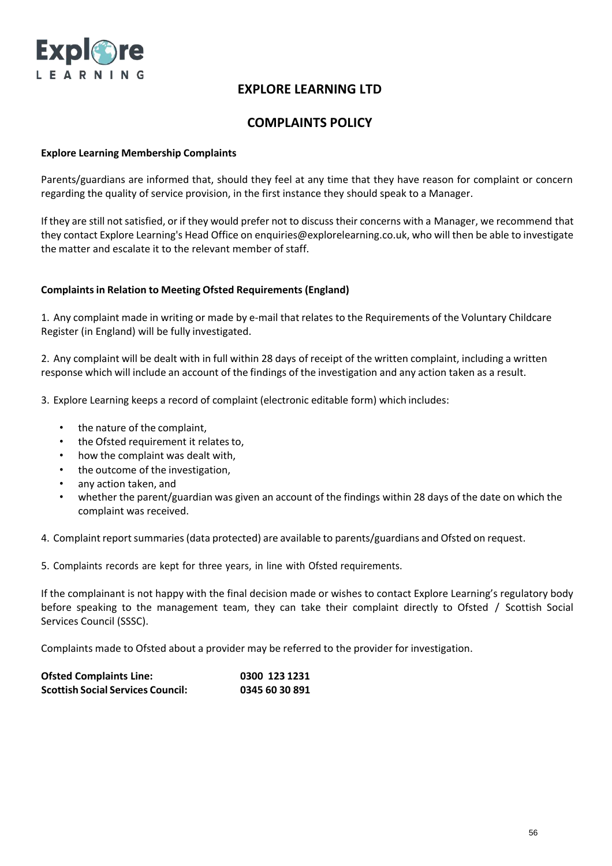

## **COMPLAINTS POLICY**

#### **Explore Learning Membership Complaints**

Parents/guardians are informed that, should they feel at any time that they have reason for complaint or concern regarding the quality of service provision, in the first instance they should speak to a Manager.

If they are still not satisfied, or if they would prefer not to discuss their concerns with a Manager, we recommend that they contact Explore Learning's Head Office on [enquiries@explorelearning.co.uk,](mailto:enquiries@explorelearning.co.uk) who will then be able to investigate the matter and escalate it to the relevant member of staff.

### **Complaintsin Relation to Meeting Ofsted Requirements (England)**

1. Any complaint made in writing or made by e-mail that relates to the Requirements of the Voluntary Childcare Register (in England) will be fully investigated.

2. Any complaint will be dealt with in full within 28 days of receipt of the written complaint, including a written response which will include an account of the findings of the investigation and any action taken as a result.

3. Explore Learning keeps a record of complaint (electronic editable form) which includes:

- the nature of the complaint,
- the Ofsted requirement it relates to,
- how the complaint was dealt with,
- the outcome of the investigation,
- any action taken, and
- whether the parent/guardian was given an account of the findings within 28 days of the date on which the complaint was received.

4. Complaint report summaries (data protected) are available to parents/guardians and Ofsted on request.

5. Complaints records are kept for three years, in line with Ofsted requirements.

If the complainant is not happy with the final decision made or wishes to contact Explore Learning's regulatory body before speaking to the management team, they can take their complaint directly to Ofsted / Scottish Social Services Council (SSSC).

Complaints made to Ofsted about a provider may be referred to the provider for investigation.

| <b>Ofsted Complaints Line:</b>           | 0300 123 1231  |
|------------------------------------------|----------------|
| <b>Scottish Social Services Council:</b> | 0345 60 30 891 |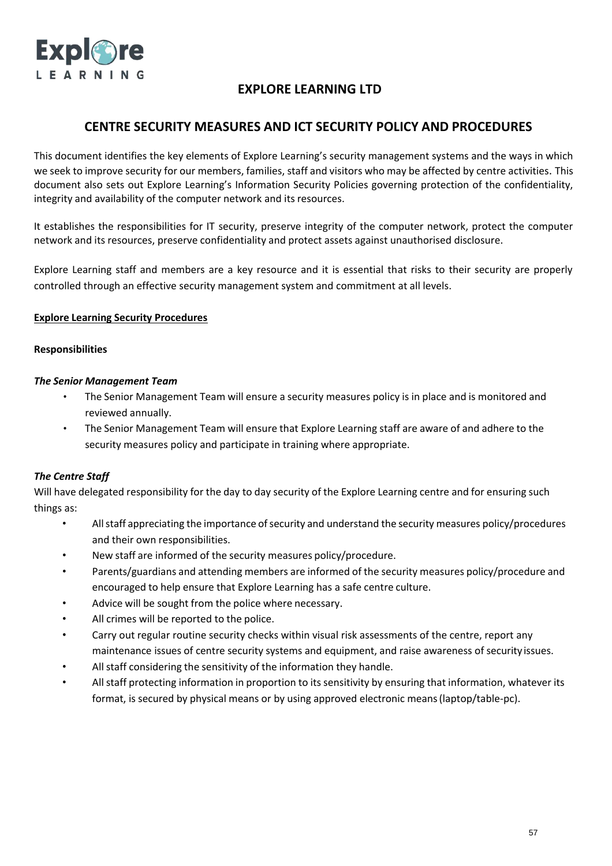

## **CENTRE SECURITY MEASURES AND ICT SECURITY POLICY AND PROCEDURES**

This document identifies the key elements of Explore Learning's security management systems and the ways in which we seek to improve security for our members, families, staff and visitors who may be affected by centre activities. This document also sets out Explore Learning's Information Security Policies governing protection of the confidentiality, integrity and availability of the computer network and its resources.

It establishes the responsibilities for IT security, preserve integrity of the computer network, protect the computer network and its resources, preserve confidentiality and protect assets against unauthorised disclosure.

Explore Learning staff and members are a key resource and it is essential that risks to their security are properly controlled through an effective security management system and commitment at all levels.

### **Explore Learning Security Procedures**

#### **Responsibilities**

#### *The Senior Management Team*

- The Senior Management Team will ensure a security measures policy is in place and is monitored and reviewed annually.
- The Senior Management Team will ensure that Explore Learning staff are aware of and adhere to the security measures policy and participate in training where appropriate.

## *The Centre Staff*

Will have delegated responsibility for the day to day security of the Explore Learning centre and for ensuring such things as:

- All staff appreciating the importance of security and understand the security measures policy/procedures and their own responsibilities.
- New staff are informed of the security measures policy/procedure.
- Parents/guardians and attending members are informed of the security measures policy/procedure and encouraged to help ensure that Explore Learning has a safe centre culture.
- Advice will be sought from the police where necessary.
- All crimes will be reported to the police.
- Carry out regular routine security checks within visual risk assessments of the centre, report any maintenance issues of centre security systems and equipment, and raise awareness of security issues.
- All staff considering the sensitivity of the information they handle.
- All staff protecting information in proportion to its sensitivity by ensuring that information, whatever its format, is secured by physical means or by using approved electronic means(laptop/table-pc).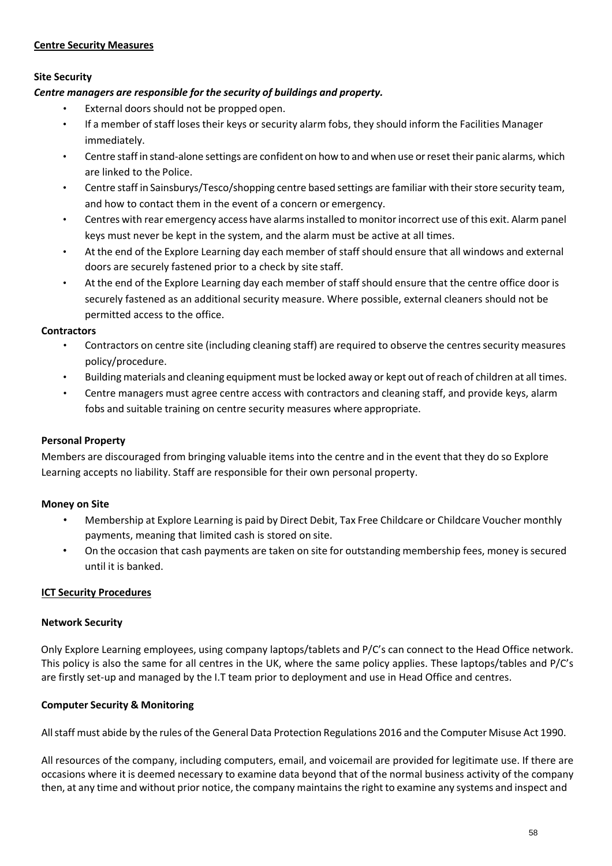#### **Centre Security Measures**

### **Site Security**

### *Centre managers are responsible for the security of buildings and property.*

- External doors should not be propped open.
- If a member of staff loses their keys or security alarm fobs, they should inform the Facilities Manager immediately.
- Centre staff in stand-alone settings are confident on how to and when use orreset their panic alarms, which are linked to the Police.
- Centre staff in Sainsburys/Tesco/shopping centre based settings are familiar with their store security team, and how to contact them in the event of a concern or emergency.
- Centres with rear emergency access have alarmsinstalled to monitorincorrect use of this exit. Alarm panel keys must never be kept in the system, and the alarm must be active at all times.
- At the end of the Explore Learning day each member of staff should ensure that all windows and external doors are securely fastened prior to a check by site staff.
- At the end of the Explore Learning day each member of staff should ensure that the centre office door is securely fastened as an additional security measure. Where possible, external cleaners should not be permitted access to the office.

### **Contractors**

- Contractors on centre site (including cleaning staff) are required to observe the centres security measures policy/procedure.
- Building materials and cleaning equipment must be locked away or kept out ofreach of children at all times.
- Centre managers must agree centre access with contractors and cleaning staff, and provide keys, alarm fobs and suitable training on centre security measures where appropriate.

## **Personal Property**

Members are discouraged from bringing valuable items into the centre and in the event that they do so Explore Learning accepts no liability. Staff are responsible for their own personal property.

## **Money on Site**

- Membership at Explore Learning is paid by Direct Debit, Tax Free Childcare or Childcare Voucher monthly payments, meaning that limited cash is stored on site.
- On the occasion that cash payments are taken on site for outstanding membership fees, money is secured until it is banked.

## **ICT Security Procedures**

#### **Network Security**

Only Explore Learning employees, using company laptops/tablets and P/C's can connect to the Head Office network. This policy is also the same for all centres in the UK, where the same policy applies. These laptops/tables and P/C's are firstly set-up and managed by the I.T team prior to deployment and use in Head Office and centres.

## **Computer Security & Monitoring**

Allstaff must abide by the rules of the General Data Protection Regulations 2016 and the Computer Misuse Act 1990.

All resources of the company, including computers, email, and voicemail are provided for legitimate use. If there are occasions where it is deemed necessary to examine data beyond that of the normal business activity of the company then, at any time and without prior notice, the company maintains the right to examine any systems and inspect and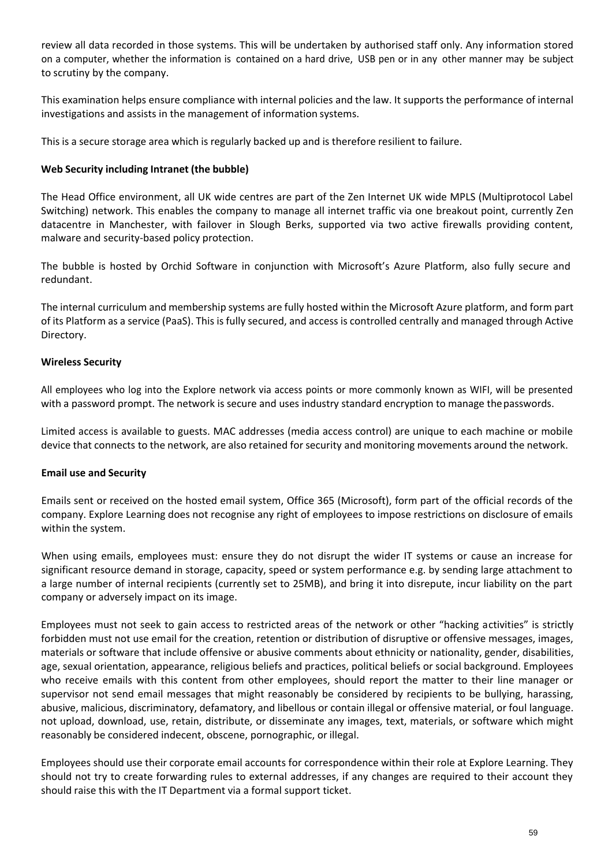review all data recorded in those systems. This will be undertaken by authorised staff only. Any information stored on a computer, whether the information is contained on a hard drive, USB pen or in any other manner may be subject to scrutiny by the company.

This examination helps ensure compliance with internal policies and the law. It supports the performance of internal investigations and assists in the management of information systems.

This is a secure storage area which is regularly backed up and is therefore resilient to failure.

### **Web Security including Intranet (the bubble)**

The Head Office environment, all UK wide centres are part of the Zen Internet UK wide MPLS (Multiprotocol Label Switching) network. This enables the company to manage all internet traffic via one breakout point, currently Zen datacentre in Manchester, with failover in Slough Berks, supported via two active firewalls providing content, malware and security-based policy protection.

The bubble is hosted by Orchid Software in conjunction with Microsoft's Azure Platform, also fully secure and redundant.

The internal curriculum and membership systems are fully hosted within the Microsoft Azure platform, and form part of its Platform as a service (PaaS). This is fully secured, and access is controlled centrally and managed through Active Directory.

### **Wireless Security**

All employees who log into the Explore network via access points or more commonly known as WIFI, will be presented with a password prompt. The network is secure and uses industry standard encryption to manage the passwords.

Limited access is available to guests. MAC addresses (media access control) are unique to each machine or mobile device that connects to the network, are also retained for security and monitoring movements around the network.

#### **Email use and Security**

Emails sent or received on the hosted email system, Office 365 (Microsoft), form part of the official records of the company. Explore Learning does not recognise any right of employees to impose restrictions on disclosure of emails within the system.

When using emails, employees must: ensure they do not disrupt the wider IT systems or cause an increase for significant resource demand in storage, capacity, speed or system performance e.g. by sending large attachment to a large number of internal recipients (currently set to 25MB), and bring it into disrepute, incur liability on the part company or adversely impact on its image.

Employees must not seek to gain access to restricted areas of the network or other "hacking activities" is strictly forbidden must not use email for the creation, retention or distribution of disruptive or offensive messages, images, materials or software that include offensive or abusive comments about ethnicity or nationality, gender, disabilities, age, sexual orientation, appearance, religious beliefs and practices, political beliefs or social background. Employees who receive emails with this content from other employees, should report the matter to their line manager or supervisor not send email messages that might reasonably be considered by recipients to be bullying, harassing, abusive, malicious, discriminatory, defamatory, and libellous or contain illegal or offensive material, or foul language. not upload, download, use, retain, distribute, or disseminate any images, text, materials, or software which might reasonably be considered indecent, obscene, pornographic, or illegal.

Employees should use their corporate email accounts for correspondence within their role at Explore Learning. They should not try to create forwarding rules to external addresses, if any changes are required to their account they should raise this with the IT Department via a formal support ticket.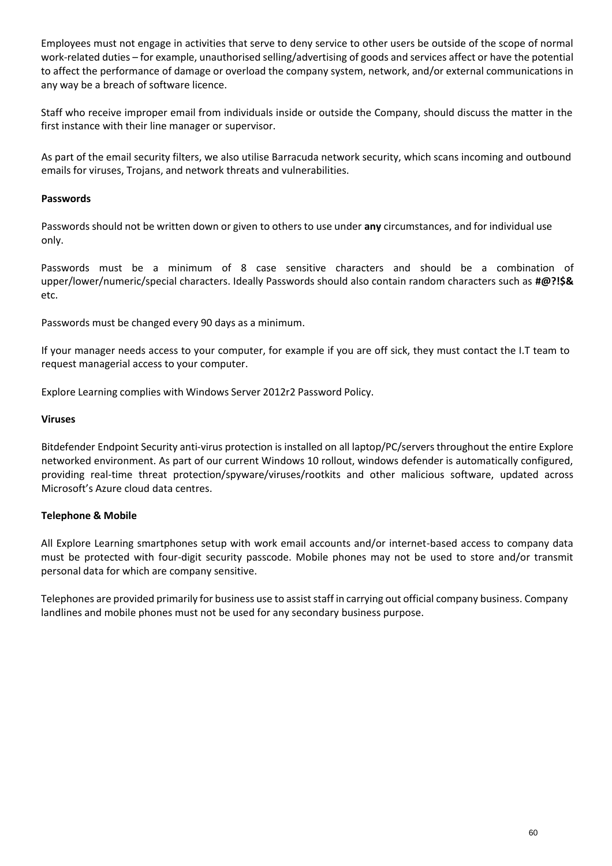Employees must not engage in activities that serve to deny service to other users be outside of the scope of normal work-related duties – for example, unauthorised selling/advertising of goods and services affect or have the potential to affect the performance of damage or overload the company system, network, and/or external communications in any way be a breach of software licence.

Staff who receive improper email from individuals inside or outside the Company, should discuss the matter in the first instance with their line manager or supervisor.

As part of the email security filters, we also utilise Barracuda network security, which scans incoming and outbound emails for viruses, Trojans, and network threats and vulnerabilities.

### **Passwords**

Passwords should not be written down or given to others to use under **any** circumstances, and for individual use only.

Passwords must be a minimum of 8 case sensitive characters and should be a combination of upper/lower/numeric/special characters. Ideally Passwords should also contain random characters such as **#@?!\$&** etc.

Passwords must be changed every 90 days as a minimum.

If your manager needs access to your computer, for example if you are off sick, they must contact the I.T team to request managerial access to your computer.

Explore Learning complies with Windows Server 2012r2 Password Policy.

### **Viruses**

Bitdefender Endpoint Security anti-virus protection is installed on all laptop/PC/servers throughout the entire Explore networked environment. As part of our current Windows 10 rollout, windows defender is automatically configured, providing real-time threat protection/spyware/viruses/rootkits and other malicious software, updated across Microsoft's Azure cloud data centres.

## **Telephone & Mobile**

All Explore Learning smartphones setup with work email accounts and/or internet-based access to company data must be protected with four-digit security passcode. Mobile phones may not be used to store and/or transmit personal data for which are company sensitive.

Telephones are provided primarily for business use to assiststaff in carrying out official company business. Company landlines and mobile phones must not be used for any secondary business purpose.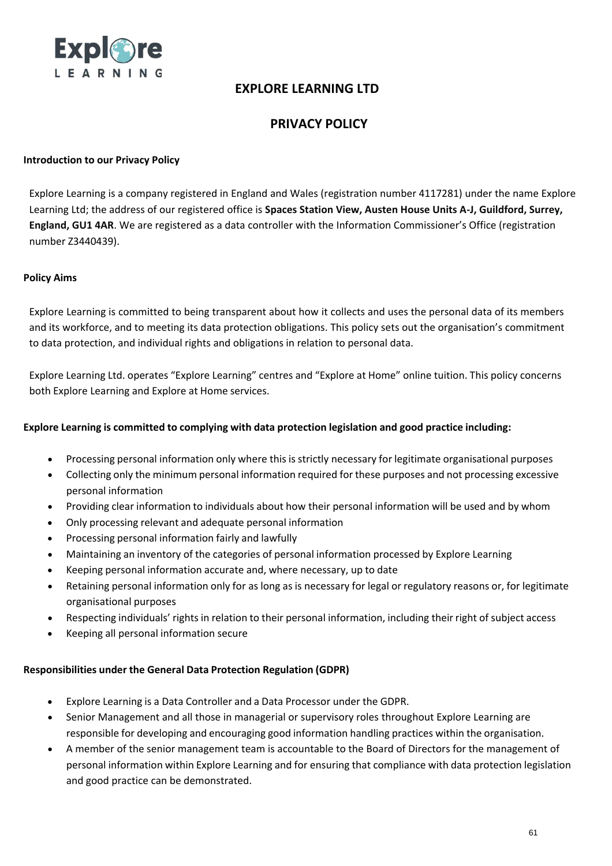

## **PRIVACY POLICY**

### **Introduction to our Privacy Policy**

Explore Learning is a company registered in England and Wales (registration number 4117281) under the name Explore Learning Ltd; the address of our registered office is **Spaces Station View, Austen House Units A-J, Guildford, Surrey, England, GU1 4AR**. We are registered as a data controller with the Information Commissioner's Office (registration number Z3440439).

#### **Policy Aims**

Explore Learning is committed to being transparent about how it collects and uses the personal data of its members and its workforce, and to meeting its data protection obligations. This policy sets out the organisation's commitment to data protection, and individual rights and obligations in relation to personal data.

Explore Learning Ltd. operates "Explore Learning" centres and "Explore at Home" online tuition. This policy concerns both Explore Learning and Explore at Home services.

#### **Explore Learning is committed to complying with data protection legislation and good practice including:**

- Processing personal information only where this is strictly necessary for legitimate organisational purposes
- Collecting only the minimum personal information required for these purposes and not processing excessive personal information
- Providing clear information to individuals about how their personal information will be used and by whom
- Only processing relevant and adequate personal information
- Processing personal information fairly and lawfully
- Maintaining an inventory of the categories of personal information processed by Explore Learning
- Keeping personal information accurate and, where necessary, up to date
- Retaining personal information only for as long as is necessary for legal or regulatory reasons or, for legitimate organisational purposes
- Respecting individuals' rights in relation to their personal information, including their right of subject access
- Keeping all personal information secure

#### **Responsibilities under the General Data Protection Regulation (GDPR)**

- Explore Learning is a Data Controller and a Data Processor under the GDPR.
- Senior Management and all those in managerial or supervisory roles throughout Explore Learning are responsible for developing and encouraging good information handling practices within the organisation.
- A member of the senior management team is accountable to the Board of Directors for the management of personal information within Explore Learning and for ensuring that compliance with data protection legislation and good practice can be demonstrated.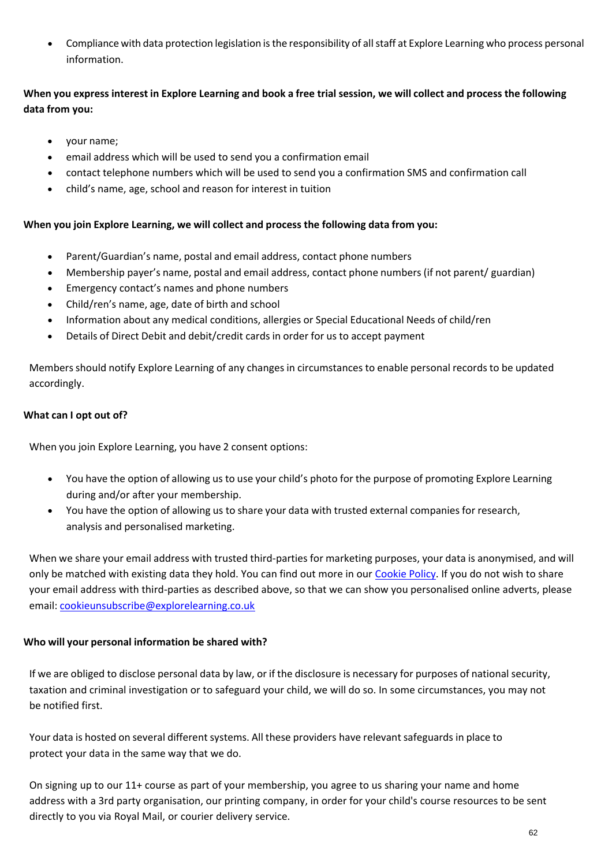• Compliance with data protection legislation is the responsibility of all staff at Explore Learning who process personal information.

## When you express interest in Explore Learning and book a free trial session, we will collect and process the following **data from you:**

- your name;
- email address which will be used to send you a confirmation email
- contact telephone numbers which will be used to send you a confirmation SMS and confirmation call
- child's name, age, school and reason for interest in tuition

## **When you join Explore Learning, we will collect and process the following data from you:**

- Parent/Guardian's name, postal and email address, contact phone numbers
- Membership payer's name, postal and email address, contact phone numbers (if not parent/ guardian)
- Emergency contact's names and phone numbers
- Child/ren's name, age, date of birth and school
- Information about any medical conditions, allergies or Special Educational Needs of child/ren
- Details of Direct Debit and debit/credit cards in order for us to accept payment

Members should notify Explore Learning of any changes in circumstances to enable personal records to be updated accordingly.

## **What can I opt out of?**

When you join Explore Learning, you have 2 consent options:

- You have the option of allowing us to use your child's photo for the purpose of promoting Explore Learning during and/or after your membership.
- You have the option of allowing us to share your data with trusted external companies for research, analysis and personalised marketing.

When we share your email address with trusted third-parties for marketing purposes, your data is anonymised, and will only be matched with existing data they hold. You can find out more in our Cookie Policy. If you do not wish to share your email address with third-parties as described above, so that we can show you personalised online adverts, please email: [cookieunsubscribe@explorelearning.co.uk](mailto:cookieunsubscribe@explorelearning.co.uk)

## **Who will your personal information be shared with?**

If we are obliged to disclose personal data by law, or if the disclosure is necessary for purposes of national security, taxation and criminal investigation or to safeguard your child, we will do so. In some circumstances, you may not be notified first.

Your data is hosted on several different systems. All these providers have relevant safeguards in place to protect your data in the same way that we do.

On signing up to our 11+ course as part of your membership, you agree to us sharing your name and home address with a 3rd party organisation, our printing company, in order for your child's course resources to be sent directly to you via Royal Mail, or courier delivery service.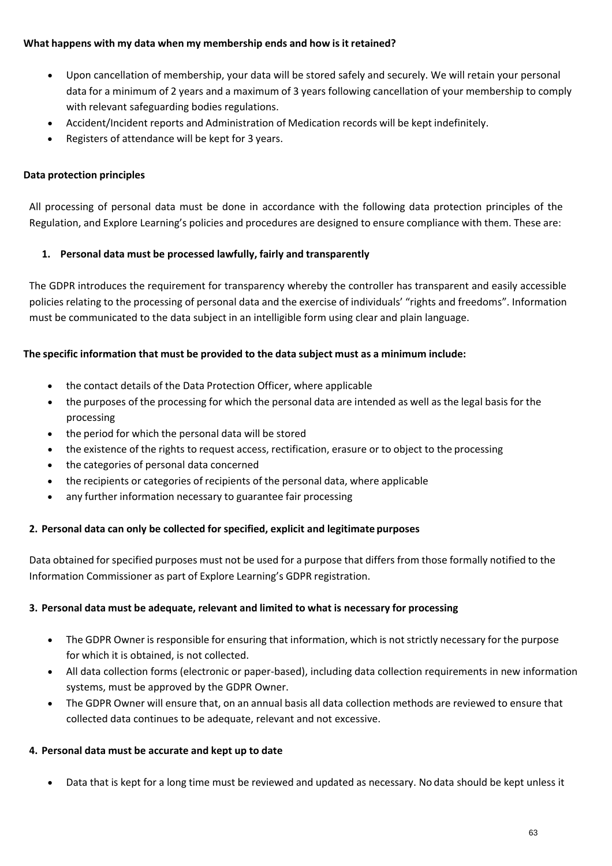## **What happens with my data when my membership ends and how is it retained?**

- Upon cancellation of membership, your data will be stored safely and securely. We will retain your personal data for a minimum of 2 years and a maximum of 3 years following cancellation of your membership to comply with relevant safeguarding bodies regulations.
- Accident/Incident reports and Administration of Medication records will be kept indefinitely.
- Registers of attendance will be kept for 3 years.

#### **Data protection principles**

All processing of personal data must be done in accordance with the following data protection principles of the Regulation, and Explore Learning's policies and procedures are designed to ensure compliance with them. These are:

### **1. Personal data must be processed lawfully, fairly and transparently**

The GDPR introduces the requirement for transparency whereby the controller has transparent and easily accessible policies relating to the processing of personal data and the exercise of individuals' "rights and freedoms". Information must be communicated to the data subject in an intelligible form using clear and plain language.

### **The specific information that must be provided to the data subject must as a minimum include:**

- the contact details of the Data Protection Officer, where applicable
- the purposes of the processing for which the personal data are intended as well as the legal basis for the processing
- the period for which the personal data will be stored
- the existence of the rights to request access, rectification, erasure or to object to the processing
- the categories of personal data concerned
- the recipients or categories of recipients of the personal data, where applicable
- any further information necessary to guarantee fair processing

#### **2. Personal data can only be collected for specified, explicit and legitimate purposes**

Data obtained for specified purposes must not be used for a purpose that differs from those formally notified to the Information Commissioner as part of Explore Learning's GDPR registration.

#### **3. Personal data must be adequate, relevant and limited to what is necessary for processing**

- The GDPR Owner is responsible for ensuring that information, which is not strictly necessary for the purpose for which it is obtained, is not collected.
- All data collection forms (electronic or paper-based), including data collection requirements in new information systems, must be approved by the GDPR Owner.
- The GDPR Owner will ensure that, on an annual basis all data collection methods are reviewed to ensure that collected data continues to be adequate, relevant and not excessive.

#### **4. Personal data must be accurate and kept up to date**

• Data that is kept for a long time must be reviewed and updated as necessary. No data should be kept unless it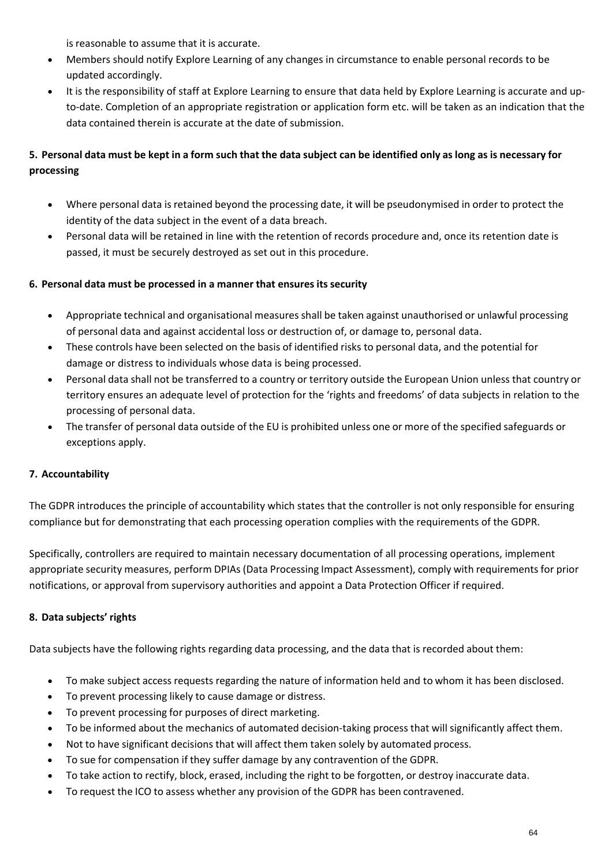is reasonable to assume that it is accurate.

- Members should notify Explore Learning of any changes in circumstance to enable personal records to be updated accordingly.
- It is the responsibility of staff at Explore Learning to ensure that data held by Explore Learning is accurate and upto-date. Completion of an appropriate registration or application form etc. will be taken as an indication that the data contained therein is accurate at the date of submission.

## 5. Personal data must be kept in a form such that the data subject can be identified only as long as is necessary for **processing**

- Where personal data is retained beyond the processing date, it will be pseudonymised in order to protect the identity of the data subject in the event of a data breach.
- Personal data will be retained in line with the retention of records procedure and, once its retention date is passed, it must be securely destroyed as set out in this procedure.

## **6. Personal data must be processed in a manner that ensures itssecurity**

- Appropriate technical and organisational measures shall be taken against unauthorised or unlawful processing of personal data and against accidental loss or destruction of, or damage to, personal data.
- These controls have been selected on the basis of identified risks to personal data, and the potential for damage or distress to individuals whose data is being processed.
- Personal data shall not be transferred to a country or territory outside the European Union unless that country or territory ensures an adequate level of protection for the 'rights and freedoms' of data subjects in relation to the processing of personal data.
- The transfer of personal data outside of the EU is prohibited unless one or more of the specified safeguards or exceptions apply.

## **7. Accountability**

The GDPR introduces the principle of accountability which states that the controller is not only responsible for ensuring compliance but for demonstrating that each processing operation complies with the requirements of the GDPR.

Specifically, controllers are required to maintain necessary documentation of all processing operations, implement appropriate security measures, perform DPIAs(Data Processing Impact Assessment), comply with requirements for prior notifications, or approval from supervisory authorities and appoint a Data Protection Officer if required.

## **8. Data subjects' rights**

Data subjects have the following rights regarding data processing, and the data that is recorded about them:

- To make subject access requests regarding the nature of information held and to whom it has been disclosed.
- To prevent processing likely to cause damage or distress.
- To prevent processing for purposes of direct marketing. • To be informed about the mechanics of automated decision-taking process that will significantly affect them.
- Not to have significant decisions that will affect them taken solely by automated process.
- To sue for compensation if they suffer damage by any contravention of the GDPR.
- To take action to rectify, block, erased, including the right to be forgotten, or destroy inaccurate data.
- To request the ICO to assess whether any provision of the GDPR has been contravened.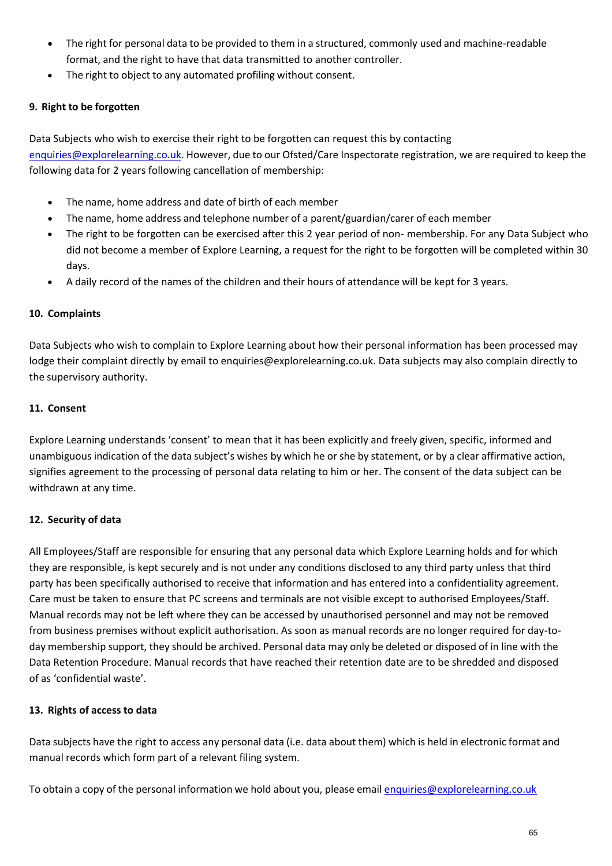- The right for personal data to be provided to them in a structured, commonly used and machine-readable format, and the right to have that data transmitted to another controller.
- The right to object to any automated profiling without consent.

## **9. Right to be forgotten**

Data Subjects who wish to exercise their right to be forgotten can request this by contacting [enquiries@explorelearning.co.uk.](mailto:enquiries@explorelearning.co.uk) However, due to our Ofsted/Care Inspectorate registration, we are required to keep the following data for 2 years following cancellation of membership:

- The name, home address and date of birth of each member
- The name, home address and telephone number of a parent/guardian/carer of each member
- The right to be forgotten can be exercised after this 2 year period of non- membership. For any Data Subject who did not become a member of Explore Learning, a request for the right to be forgotten will be completed within 30 days.
- A daily record of the names of the children and their hours of attendance will be kept for 3 years.

## **10. Complaints**

Data Subjects who wish to complain to Explore Learning about how their personal information has been processed may lodge their complaint directly by [email to enquiries@explorelearning.co.uk. D](mailto:enquiries@explorelearning.co.uk)ata subjects may also complain directly to the supervisory authority.

## **11. Consent**

Explore Learning understands 'consent' to mean that it has been explicitly and freely given, specific, informed and unambiguous indication of the data subject's wishes by which he or she by statement, or by a clear affirmative action, signifies agreement to the processing of personal data relating to him or her. The consent of the data subject can be withdrawn at any time.

## **12. Security of data**

All Employees/Staff are responsible for ensuring that any personal data which Explore Learning holds and for which they are responsible, is kept securely and is not under any conditions disclosed to any third party unless that third party has been specifically authorised to receive that information and has entered into a confidentiality agreement. Care must be taken to ensure that PC screens and terminals are not visible except to authorised Employees/Staff. Manual records may not be left where they can be accessed by unauthorised personnel and may not be removed from business premises without explicit authorisation. As soon as manual records are no longer required for day-today membership support, they should be archived. Personal data may only be deleted or disposed of in line with the Data Retention Procedure. Manual records that have reached their retention date are to be shredded and disposed of as 'confidential waste'.

## **13. Rights of access to data**

Data subjects have the right to access any personal data (i.e. data about them) which is held in electronic format and manual records which form part of a relevant filing system.

To obtain a copy of the personal information we hold about you, please email [enquiries@explorelearning.co.uk](mailto:enquiries@explorelearning.co.uk)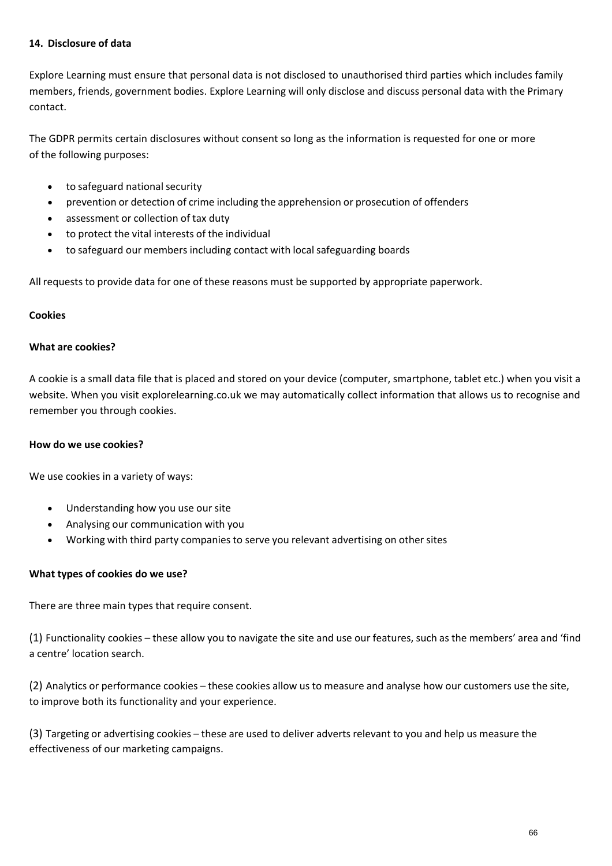### **14. Disclosure of data**

Explore Learning must ensure that personal data is not disclosed to unauthorised third parties which includes family members, friends, government bodies. Explore Learning will only disclose and discuss personal data with the Primary contact.

The GDPR permits certain disclosures without consent so long as the information is requested for one or more of the following purposes:

- to safeguard national security
- prevention or detection of crime including the apprehension or prosecution of offenders
- assessment or collection of tax duty
- to protect the vital interests of the individual
- to safeguard our members including contact with local safeguarding boards

All requests to provide data for one of these reasons must be supported by appropriate paperwork.

#### **Cookies**

### **What are cookies?**

A cookie is a small data file that is placed and stored on your device (computer, smartphone, tablet etc.) when you visit a website. When you visit explorelearning.co.uk we may automatically collect information that allows us to recognise and remember you through cookies.

#### **How do we use cookies?**

We use cookies in a variety of ways:

- Understanding how you use our site
- Analysing our communication with you
- Working with third party companies to serve you relevant advertising on other sites

#### **What types of cookies do we use?**

There are three main types that require consent.

(1) Functionality cookies – these allow you to navigate the site and use our features, such as the members' area and 'find a centre' location search.

(2) Analytics or performance cookies – these cookies allow us to measure and analyse how our customers use the site, to improve both its functionality and your experience.

(3) Targeting or advertising cookies – these are used to deliver adverts relevant to you and help us measure the effectiveness of our marketing campaigns.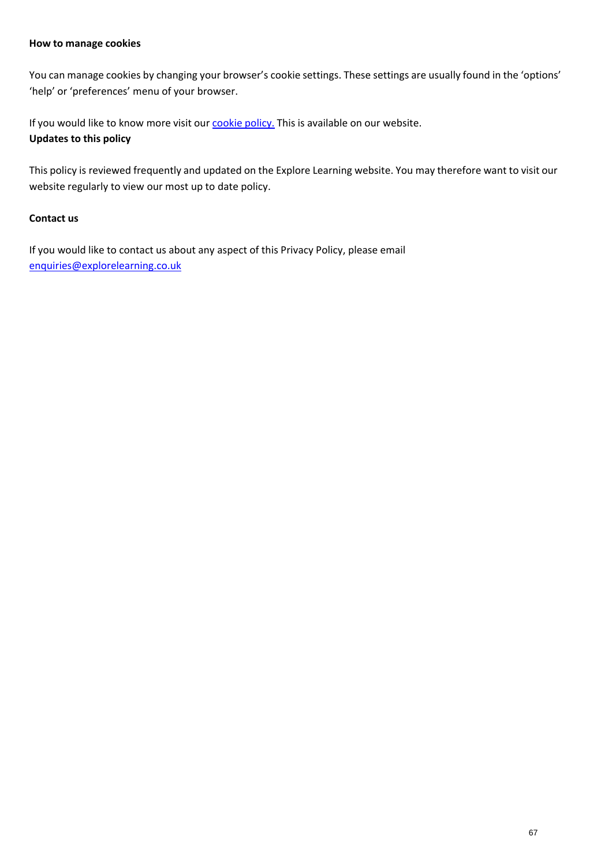#### **How to manage cookies**

You can manage cookies by changing your browser's cookie settings. These settings are usually found in the 'options' 'help' or 'preferences' menu of your browser.

If you would like to know more visit our cookie policy. This is available on our website. **Updates to this policy**

This policy is reviewed frequently and updated on the Explore Learning website. You may therefore want to visit our website regularly to view our most up to date policy.

### **Contact us**

If you would like to contact us about any aspect of this Privacy Policy, please email [enquiries@explorelearning.co.uk](mailto:enquiries@explorelearning.co.uk)